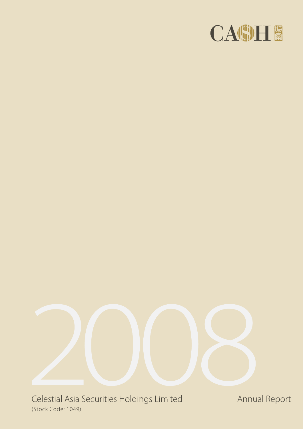



Celestial Asia Securities Holdings Limited (Stock Code: 1049)

Annual Report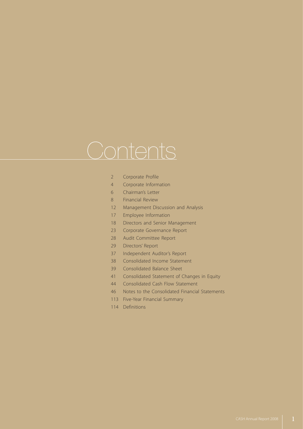# **Contents**

- 2 Corporate Profile
- 4 Corporate Information
- 6 Chairman's Letter
- 8 Financial Review
- 12 Management Discussion and Analysis
- 17 Employee Information
- 18 Directors and Senior Management
- 23 Corporate Governance Report
- 28 Audit Committee Report
- 29 Directors' Report
- 37 Independent Auditor's Report
- 38 Consolidated Income Statement
- 39 Consolidated Balance Sheet
- 41 Consolidated Statement of Changes in Equity
- 44 Consolidated Cash Flow Statement
- 46 Notes to the Consolidated Financial Statements
- 113 Five-Year Financial Summary
- 114 Definitions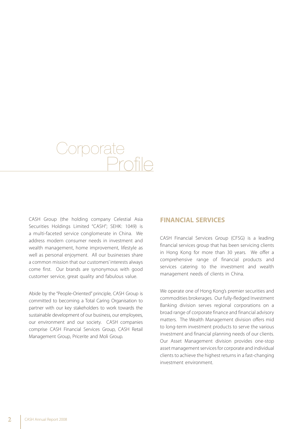# Corporate Profile

CASH Group (the holding company Celestial Asia Securities Holdings Limited "CASH"; SEHK: 1049) is a multi-faceted service conglomerate in China. We address modern consumer needs in investment and wealth management, home improvement, lifestyle as well as personal enjoyment. All our businesses share a common mission that our customers' interests always come first. Our brands are synonymous with good customer service, great quality and fabulous value.

Abide by the "People-Oriented" principle, CASH Group is committed to becoming a Total Caring Organisation to partner with our key stakeholders to work towards the sustainable development of our business, our employees, our environment and our society. CASH companies comprise CASH Financial Services Group, CASH Retail Management Group, Pricerite and Moli Group.

#### **FINANCIAL SERVICES**

CASH Financial Services Group (CFSG) is a leading financial services group that has been servicing clients in Hong Kong for more than 30 years. We offer a comprehensive range of financial products and services catering to the investment and wealth management needs of clients in China.

We operate one of Hong Kong's premier securities and commodities brokerages. Our fully-fledged Investment Banking division serves regional corporations on a broad range of corporate finance and financial advisory matters. The Wealth Management division offers mid to long-term investment products to serve the various investment and financial planning needs of our clients. Our Asset Management division provides one-stop asset management services for corporate and individual clients to achieve the highest returns in a fast-changing investment environment.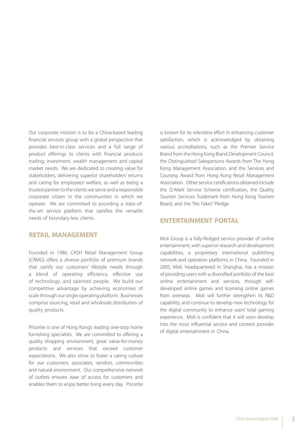Our corporate mission is to be a China-based leading financial services group with a global perspective that provides best-in-class services and a full range of product offerings to clients with financial products trading, investment, wealth management and capital market needs. We are dedicated to creating value for stakeholders, delivering superior shareholders' returns and caring for employees' welfare, as well as being a trusted partner to the clients we serve and a responsible corporate citizen in the communities in which we operate. We are committed to providing a state-ofthe-art service platform that satisfies the versatile needs of boundary-less clients.

#### **RETAIL MANAGEMENT**

Founded in 1986, CASH Retail Management Group (CRMG) offers a diverse portfolio of premium brands that satisfy our customers' lifestyle needs through a blend of operating efficiency, effective use of technology, and talented people. We build our competitive advantage by achieving economies of scale through our single operating platform. Businesses comprise sourcing, retail and wholesale distribution of quality products.

Pricerite is one of Hong Kong's leading one-stop home furnishing specialists. We are committed to offering a quality shopping environment, great value-for-money products and services that exceed customer expectations. We also strive to foster a caring culture for our customers, associates, vendors, communities and natural environment. Our comprehensive network of outlets ensures ease of access for customers and enables them to enjoy better living every day. Pricerite is known for its relentless effort in enhancing customer satisfaction, which is acknowledged by obtaining various accreditations, such as the Premier Service Brand from the Hong Kong Brand Development Council, the Distinguished Salespersons Awards from The Hong Kong Management Association, and the Services and Courtesy Award from Hong Kong Retail Management Association. Other service certifications obtained include the Q-Mark Service Scheme certification, the Quality Tourism Services Trademark from Hong Kong Tourism Board, and the "No Fakes" Pledge.

#### **ENTERTAINMENT PORTAL**

Moli Group is a fully-fledged service provider of online entertainment, with superior research and development capabilities, a proprietary international publishing network and operation platforms in China. Founded in 2005, Moli, headquartered in Shanghai, has a mission of providing users with a diversified portfolio of the best online entertainment and services, through selfdeveloped online games and licensing online games from overseas. Moli will further strengthen its R&D capability, and continue to develop new technology for the digital community to enhance users' total gaming experience. Moli is confident that it will soon develop into the most influential service and content provider of digital entertainment in China.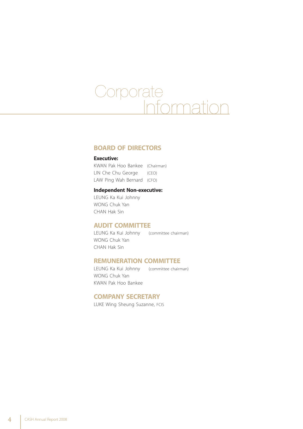# Corporate e<br>Inme

#### **BOARD OF DIRECTORS**

#### **Executive:**

KWAN Pak Hoo Bankee (Chairman) LIN Che Chu George (CEO) LAW Ping Wah Bernard (CFO)

#### **Independent Non-executive:**

LEUNG Ka Kui Johnny WONG Chuk Yan CHAN Hak Sin

#### **AUDIT COMMITTEE**

LEUNG Ka Kui Johnny (committee chairman) WONG Chuk Yan CHAN Hak Sin

#### **REMUNERATION COMMITTEE**

LEUNG Ka Kui Johnny (committee chairman) WONG Chuk Yan KWAN Pak Hoo Bankee

#### **COMPANY SECRETARY**

LUKE Wing Sheung Suzanne, FCIS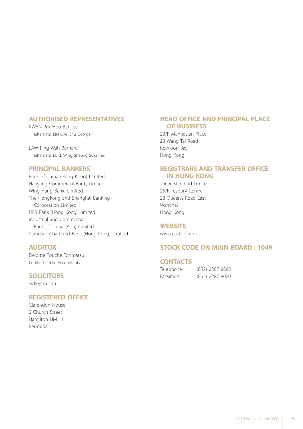#### **AUTHORISED REPRESENTATIVES**

KWAN Pak Hoo Bankee (alternate: LIN Che Chu George)

LAW Ping Wah Bernard (alternate: LUKE Wing Sheung Suzanne)

#### **PRINCIPAL BANKERS**

Bank of China (Hong Kong) Limited Nanyang Commercial Bank, Limited Wing Hang Bank, Limited The Hongkong and Shanghai Banking Corporation Limited DBS Bank (Hong Kong) Limited Industrial and Commercial Bank of China (Asia) Limited Standard Chartered Bank (Hong Kong) Limited

#### **AUDITOR**

Deloitte Touche Tohmatsu Certified Public Accountants

#### **SOLICITORS**

Sidley Austin

#### **REGISTERED OFFICE**

Clarendon House 2 Church Street Hamilton HM 11 Bermuda

#### **HEAD OFFICE AND PRINCIPAL PLACE OF BUSINESS**

28/F Manhattan Place 23 Wang Tai Road Kowloon Bay Hong Kong

#### **REGISTRARS AND TRANSFER OFFICE IN HONG KONG**

Tricor Standard Limited 26/F Tesbury Centre 28 Queen's Road East Wanchai Hong Kong

#### **WEBSITE**

www.cash.com.hk

#### **STOCK CODE ON MAIN BOARD : 1049**

#### **CONTACTS**

| Telephone : |  | (852) 2287 8888 |  |
|-------------|--|-----------------|--|
| Facsimile   |  | (852) 2287 8000 |  |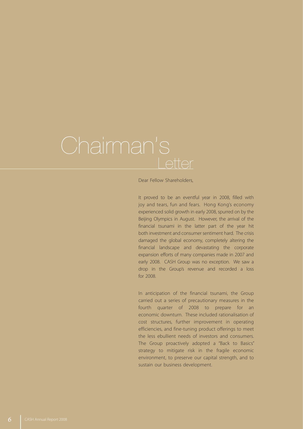Dear Fellow Shareholders,

It proved to be an eventful year in 2008, filled with joy and tears, fun and fears. Hong Kong's economy experienced solid growth in early 2008, spurred on by the Beijing Olympics in August. However, the arrival of the financial tsunami in the latter part of the year hit both investment and consumer sentiment hard. The crisis damaged the global economy, completely altering the financial landscape and devastating the corporate expansion efforts of many companies made in 2007 and early 2008. CASH Group was no exception. We saw a drop in the Group's revenue and recorded a loss for 2008.

In anticipation of the financial tsunami, the Group carried out a series of precautionary measures in the fourth quarter of 2008 to prepare for an economic downturn. These included rationalisation of cost structures, further improvement in operating efficiencies, and fine-tuning product offerings to meet the less ebullient needs of investors and consumers. The Group proactively adopted a "Back to Basics" strategy to mitigate risk in the fragile economic environment, to preserve our capital strength, and to sustain our business development.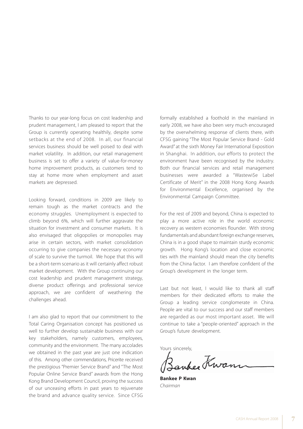Thanks to our year-long focus on cost leadership and prudent management, I am pleased to report that the Group is currently operating healthily, despite some setbacks at the end of 2008. In all, our financial services business should be well poised to deal with market volatility. In addition, our retail management business is set to offer a variety of value-for-money home improvement products, as customers tend to stay at home more when employment and asset markets are depressed.

Looking forward, conditions in 2009 are likely to remain tough as the market contracts and the economy struggles. Unemployment is expected to climb beyond 6%, which will further aggravate the situation for investment and consumer markets. It is also envisaged that oligopolies or monopolies may arise in certain sectors, with market consolidation occurring to give companies the necessary economy of scale to survive the turmoil. We hope that this will be a short-term scenario as it will certainly affect robust market development. With the Group continuing our cost leadership and prudent management strategy, diverse product offerings and professional service approach, we are confident of weathering the challenges ahead.

I am also glad to report that our commitment to the Total Caring Organisation concept has positioned us well to further develop sustainable business with our key stakeholders, namely customers, employees, community and the environment. The many accolades we obtained in the past year are just one indication of this. Among other commendations, Pricerite received the prestigious "Premier Service Brand" and "The Most Popular Online Service Brand" awards from the Hong Kong Brand Development Council, proving the success of our unceasing efforts in past years to rejuvenate the brand and advance quality service. Since CFSG formally established a foothold in the mainland in early 2008, we have also been very much encouraged by the overwhelming response of clients there, with CFSG gaining "The Most Popular Service Brand - Gold Award" at the sixth Money Fair International Exposition in Shanghai. In addition, our efforts to protect the environment have been recognised by the industry. Both our financial services and retail management businesses were awarded a "Wastewi\$e Label Certificate of Merit" in the 2008 Hong Kong Awards for Environmental Excellence, organised by the Environmental Campaign Committee.

For the rest of 2009 and beyond, China is expected to play a more active role in the world economic recovery as western economies flounder. With strong fundamentals and abundant foreign exchange reserves, China is in a good shape to maintain sturdy economic growth. Hong Kong's location and close economic ties with the mainland should mean the city benefits from the China factor. I am therefore confident of the Group's development in the longer term.

Last but not least, I would like to thank all staff members for their dedicated efforts to make the Group a leading service conglomerate in China. People are vital to our success and our staff members are regarded as our most important asset. We will continue to take a "people-oriented" approach in the Group's future development.

Yours sincerely,

when Kwann

**Bankee P Kwan** *Chairman*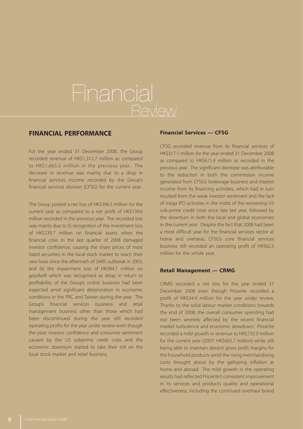# Financial **Review**

#### **FINANCIAL PERFORMANCE**

For the year ended 31 December 2008, the Group recorded revenue of HK\$1,312.7 million as compared to HK\$1,665.5 million in the previous year. The decrease in revenue was mainly due to a drop in financial services income recorded by the Group's financial services division (CFSG) for the current year.

The Group posted a net loss of HK\$396.5 million for the current year as compared to a net profit of HK\$139.6 million recorded in the previous year. The recorded loss was mainly due to (i) recognition of the investment loss of HK\$239.7 million on financial assets when the financial crisis in the last quarter of 2008 damaged investor confidence, causing the share prices of most listed securities in the local stock market to reach their new lows since the aftermath of SARS outbreak in 2003; and (ii) the impairment loss of HK\$84.7 million on goodwill which was recognised as delay in return to profitability of the Group's online business had been expected amid significant deterioration in economic conditions in the PRC and Taiwan during the year. The Group's financial services business and retail management business other than those which had been discontinued during the year still recorded operating profits for the year under review even though the poor investor confidence and consumer sentiment caused by the US subprime credit crisis and the economic downturn started to take their toll on the local stock market and retail business.

#### **Financial Services — CFSG**

CFSG recorded revenue from its financial services of HK\$317.1 million for the year ended 31 December 2008 as compared to HK\$671.4 million as recorded in the previous year. The significant decrease was attributable to the reduction in both the commission income generated from CFSG's brokerage business and interest income from its financing activities, which had in turn resulted from the weak investor sentiment and the lack of mega IPO activities in the midst of the worsening US sub-prime credit crisis since late last year, followed by the downturn in both the local and global economies in the current year. Despite the fact that 2008 had been a most difficult year for the financial services sector at home and overseas, CFSG's core financial services business still recorded an operating profit of HK\$62.3 million for the whole year.

#### **Retail Management — CRMG**

CRMG recorded a net loss for the year ended 31 December 2008 even though Pricerite recorded a profit of HK\$34.9 million for the year under review. Thanks to the solid labour market conditions towards the end of 2008, the overall consumer spending had not been severely affected by the recent financial market turbulence and economic slowdown. Pricerite recorded a mild growth in revenue to HK\$735.0 million for the current year (2007: HK\$665.7 million) while still being able to maintain decent gross profit margins for the household products amid the rising merchandising costs brought about by the galloping inflation at home and abroad. The mild growth in the operating results had reflected Pricerite's consistent improvement in its services and products quality and operational effectiveness, including the continued overhaul brand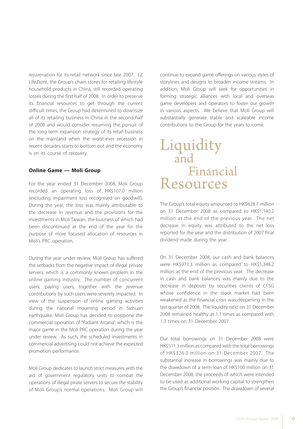rejuvenation for its retail network since late 2007. LZ LifeZtore, the Group's chain stores for retailing lifestyle household products in China, still recorded operating losses during the first half of 2008. In order to preserve its financial resources to get through the current difficult times, the Group had determined to downsize all of its retailing business in China in the second half of 2008 and would consider resuming the pursuit of the long-term expansion strategy of its retail business on the mainland when the worst-ever recession in recent decades starts to bottom out and the economy is on its course of recovery.

#### **Online Game — Moli Group**

For the year ended 31 December 2008, Moli Group recorded an operating loss of HK\$107.0 million (excluding impairment loss recognised on goodwill). During the year, the loss was mainly attributable to the decrease in revenue and the provisions for the investments in Moli Taiwan, the business of which had been discontinued at the end of the year for the purpose of more focused allocation of resources in Moli's PRC operation.

During the year under review, Moli Group has suffered the setbacks from the negative impact of illegal private servers, which is a commonly known problem in the online gaming industry. The number of concurrent users, paying users, together with the revenue contributions by such users were severely impacted. In view of the suspension of online gaming activities during the national mourning period in Sichuan earthquake, Moli Group has decided to postpone the commercial operation of "Radiant Arcana", which is the major game in the Moli PRC operation during the year under review. As such, the scheduled investments in commercial advertising could not achieve the expected promotion performance.

Moli Group dedicates to launch strict measures with the aid of government regulatory units to combat the operations of illegal pirate servers to secure the stability of Moli Group's normal operations. Moli Group will continue to expand game offerings on various styles of storylines and designs to broaden income streams. In addition, Moli Group will seek for opportunities in forming strategic alliances with local and overseas game developers and operators to foster our growth in various aspects. We believe that Moli Group will substantially generate stable and scaleable income contributions to the Group for the years to come.

## Liquidity and Financial Resources

The Group's total equity amounted to HK\$628.7 million on 31 December 2008 as compared to HK\$1,140.2 million at the end of the previous year. The net decrease in equity was attributed to the net loss reported for the year and the distribution of 2007 final dividend made during the year.

On 31 December 2008, our cash and bank balances were HK\$971.3 million as compared to HK\$1,348.2 million at the end of the previous year. The decrease in cash and bank balances was mainly due to the decrease in deposits by securities clients of CFSG whose confidence in the stock market had been weakened as the financial crisis was deepening in the last quarter of 2008. The liquidity ratio on 31 December 2008 remained healthy at 1.1 times as compared with 1.3 times on 31 December 2007.

Our total borrowings on 31 December 2008 were HK\$511.3 million as compared with the total borrowings of HK\$326.0 million on 31 December 2007. The substantial increase in borrowings was mainly due to the drawdown of a term loan of HK\$100 million on 31 December 2008, the proceeds of which were intended to be used as additional working capital to strengthen the Group's financial position. The drawdown of several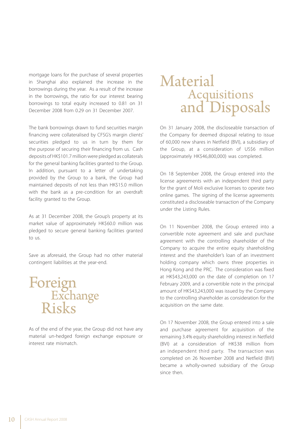mortgage loans for the purchase of several properties in Shanghai also explained the increase in the borrowings during the year. As a result of the increase in the borrowings, the ratio for our interest bearing borrowings to total equity increased to 0.81 on 31 December 2008 from 0.29 on 31 December 2007.

The bank borrowings drawn to fund securities margin financing were collateralised by CFSG's margin clients' securities pledged to us in turn by them for the purpose of securing their financing from us. Cash deposits of HK\$101.7 million were pledged as collaterals for the general banking facilities granted to the Group. In addition, pursuant to a letter of undertaking provided by the Group to a bank, the Group had maintained deposits of not less than HK\$15.0 million with the bank as a pre-condition for an overdraft facility granted to the Group.

As at 31 December 2008, the Group's property at its market value of approximately HK\$60.0 million was pledged to secure general banking facilities granted to us.

Save as aforesaid, the Group had no other material contingent liabilities at the year-end.

# Foreign Exchange Risks

As of the end of the year, the Group did not have any material un-hedged foreign exchange exposure or interest rate mismatch.

# Material **Acquisitions** and Disposals

On 31 January 2008, the discloseable transaction of the Company for deemed disposal relating to issue of 60,000 new shares in Netfield (BVI), a subsidiary of the Group, at a consideration of US\$6 million (approximately HK\$46,800,000) was completed.

On 18 September 2008, the Group entered into the license agreements with an independent third party for the grant of Moli exclusive licenses to operate two online games. The signing of the license agreements constituted a discloseable transaction of the Company under the Listing Rules.

On 11 November 2008, the Group entered into a convertible note agreement and sale and purchase agreement with the controlling shareholder of the Company to acquire the entire equity shareholding interest and the shareholder's loan of an investment holding company which owns three properties in Hong Kong and the PRC. The consideration was fixed at HK\$43,243,000 on the date of completion on 17 February 2009, and a convertible note in the principal amount of HK\$43,243,000 was issued by the Company to the controlling shareholder as consideration for the acquisition on the same date.

On 17 November 2008, the Group entered into a sale and purchase agreement for acquisition of the remaining 3.4% equity shareholding interest in Netfield (BVI) at a consideration of HK\$38 million from an independent third party. The transaction was completed on 26 November 2008 and Netfield (BVI) became a wholly-owned subsidiary of the Group since then.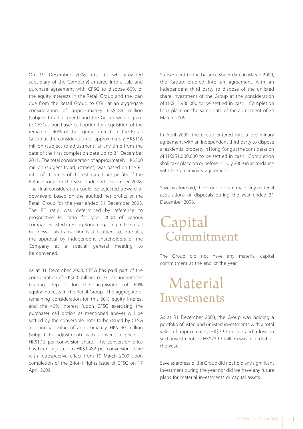On 19 December 2008, CGL (a wholly-owned subsidiary of the Company) entered into a sale and purchase agreement with CFSG to dispose 60% of the equity interests in the Retail Group and the loan due from the Retail Group to CGL, at an aggregate consideration of approximately HK\$184 million (subject to adjustment) and the Group would grant to CFSG a purchaser call option for acquisition of the remaining 40% of the equity interests in the Retail Group at the consideration of approximately HK\$116 million (subject to adjustment) at any time from the date of the first completion date up to 31 December 2011. The total consideration of approximately HK\$300 million (subject to adjustment) was based on the PE ratio of 10 times of the estimated net profits of the Retail Group for the year ended 31 December 2008. The final consideration could be adjusted upward or downward based on the audited net profits of the Retail Group for the year ended 31 December 2008. The PE ratio was determined by reference to prospective PE ratio for year 2008 of various companies listed in Hong Kong engaging in the retail business. This transaction is still subject to, inter alia, the approval by independent shareholders of the Company at a special general meeting to be convened.

As at 31 December 2008, CFSG has paid part of the consideration of HK\$60 million to CGL as non-interest bearing deposit for the acquisition of 60% equity interests in the Retail Group. The aggregate of remaining consideration for this 60% equity interest and the 40% interest (upon CFSG exercising the purchaser call option as mentioned above) will be settled by the convertible note to be issued by CFSG at principal value of approximately HK\$240 million (subject to adjustment) with conversion price of HK\$1.15 per conversion share. The conversion price has been adjusted to HK\$1.482 per conversion share with retrospective effect from 19 March 2009 upon completion of the 2-for-1 rights issue of CFSG on 17 April 2009.

Subsequent to the balance sheet date in March 2009, the Group entered into an agreement with an independent third party to dispose of the unlisted share investment of the Group at the consideration of HK\$13,980,000 to be settled in cash. Completion took place on the same date of the agreement of 24 March 2009.

In April 2009, the Group entered into a preliminary agreement with an independent third party to dispose a residential property in Hong Kong at the consideration of HK\$51,000,000 to be settled in cash. Completion shall take place on or before 15 July 2009 in accordance with the preliminary agreement.

Save as aforesaid, the Group did not make any material acquisitions or disposals during the year ended 31 December 2008.

# Capital **Commitment**

The Group did not have any material capital commitment at the end of the year.

# Material Investments

As at 31 December 2008, the Group was holding a portfolio of listed and unlisted investments with a total value of approximately HK\$79.2 million and a loss on such investments of HK\$239.7 million was recorded for the year.

Save as aforesaid, the Group did not hold any significant investment during the year nor did we have any future plans for material investments or capital assets.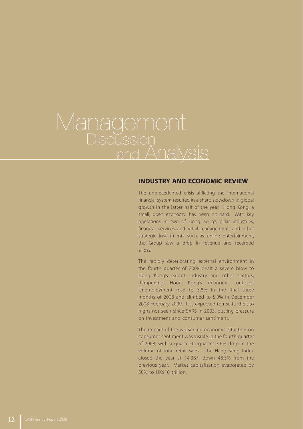# Management<br>Discussion and Analysis

#### **INDUSTRY AND ECONOMIC REVIEW**

The unprecedented crisis afflicting the international financial system resulted in a sharp slowdown in global growth in the latter half of the year. Hong Kong, a small, open economy, has been hit hard. With key operations in two of Hong Kong's pillar industries, financial services and retail management, and other strategic investments such as online entertainment, the Group saw a drop in revenue and recorded a loss.

The rapidly deteriorating external environment in the fourth quarter of 2008 dealt a severe blow to Hong Kong's export industry and other sectors, dampening Hong Kong's economic outlook. Unemployment rose to 3.8% in the final three months of 2008 and climbed to 5.0% in December 2008-February 2009. It is expected to rise further, to highs not seen since SARS in 2003, putting pressure on investment and consumer sentiment.

The impact of the worsening economic situation on consumer sentiment was visible in the fourth quarter of 2008, with a quarter-to-quarter 3.6% drop in the volume of total retail sales. The Hang Seng Index closed the year at 14,387, down 48.3% from the previous year. Market capitalisation evaporated by 50% to HK\$10 trillion.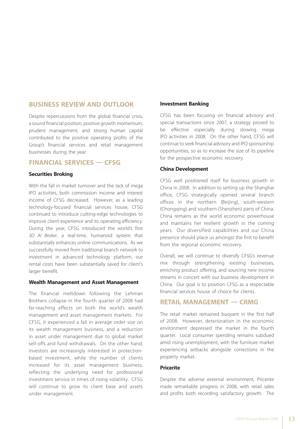#### **BUSINESS REVIEW AND OUTLOOK**

Despite repercussions from the global financial crisis, a sound financial position, positive growth momentum, prudent management, and strong human capital contributed to the positive operating profits of the Group's financial services and retail management businesses during the year.

#### **FINANCIAL SERVICES — CFSG**

#### **Securities Broking**

With the fall in market turnover and the lack of mega IPO activities, both commission income and interest income of CFSG decreased. However, as a leading technology-focused financial services house, CFSG continued to introduce cutting-edge technologies to improve client experience and its operating efficiency. During the year, CFSG introduced the world's first *3D AI Broker*, a real-time, humanoid system that substantially enhances online communications. As we successfully moved from traditional branch network to investment in advanced technology platform, our rental costs have been substantially saved for client's larger benefit.

#### **Wealth Management and Asset Management**

The financial meltdown following the Lehman Brothers collapse in the fourth quarter of 2008 had far-reaching effects on both the world's wealth management and asset management markets. For CFSG, it experienced a fall in average order size on its wealth management business, and a reduction in asset under management due to global market sell-offs and fund withdrawals. On the other hand, investors are increasingly interested in protectionbased investment, while the number of clients increased for its asset management business, reflecting the underlying need for professional investment service in times of rising volatility. CFSG will continue to grow its client base and assets under management.

#### **Investment Banking**

CFSG has been focusing on financial advisory and special transactions since 2007, a strategy proved to be effective especially during slowing mega IPO activities in 2008. On the other hand, CFSG will continue to seek financial advisory and IPO sponsorship opportunities, so as to increase the size of its pipeline for the prospective economic recovery.

#### **China Development**

CFSG well positioned itself for business growth in China in 2008. In addition to setting up the Shanghai office, CFSG strategically opened several branch offices in the northern (Beijing), south-western (Chongqing) and southern (Shenzhen) parts of China. China remains as the world economic powerhouse and maintains her resilient growth in the coming years. Our diversified capabilities and our China presence should place us amongst the first to benefit from the regional economic recovery.

Overall, we will continue to diversify CFSG's revenue mix through strengthening existing businesses, enriching product offering, and sourcing new income streams in concert with our business development in China. Our goal is to position CFSG as a respectable financial services house of choice for clients.

#### **RETAIL MANAGEMENT — CRMG**

The retail market remained buoyant in the first half of 2008. However, deterioration in the economic environment depressed the market in the fourth quarter. Local consumer spending remains subdued amid rising unemployment, with the furniture market experiencing setbacks alongside corrections in the property market.

#### **Pricerite**

Despite the adverse external environment, Pricerite made remarkable progress in 2008, with retail sales and profits both recording satisfactory growth. The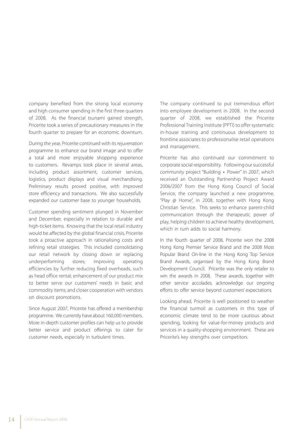company benefited from the strong local economy and high consumer spending in the first three quarters of 2008. As the financial tsunami gained strength, Pricerite took a series of precautionary measures in the fourth quarter to prepare for an economic downturn.

During the year, Pricerite continued with its rejuvenation programme to enhance our brand image and to offer a total and more enjoyable shopping experience to customers. Revamps took place in several areas, including product assortment, customer services, logistics, product displays and visual merchandising. Preliminary results proved positive, with improved store efficiency and transactions. We also successfully expanded our customer base to younger households.

Customer spending sentiment plunged in November and December, especially in relation to durable and high-ticket items. Knowing that the local retail industry would be affected by the global financial crisis, Pricerite took a proactive approach in rationalising costs and refining retail strategies. This included consolidating our retail network by closing down or replacing underperforming stores; improving operating efficiencies by further reducing fixed overheads, such as head office rental; enhancement of our product mix to better serve our customers' needs in basic and commodity items; and closer cooperation with vendors on discount promotions.

Since August 2007, Pricerite has offered a membership programme. We currently have about 160,000 members. More in-depth customer profiles can help us to provide better service and product offerings to cater for customer needs, especially in turbulent times.

The company continued to put tremendous effort into employee development in 2008. In the second quarter of 2008, we established the Pricerite Professional Training Institute (PPTI) to offer systematic in-house training and continuous development to frontline associates to professionalise retail operations and management.

Pricerite has also continued our commitment to corporate social responsibility. Following our successful community project "Building ‧ Power" in 2007, which received an Outstanding Partnership Project Award 2006/2007 from the Hong Kong Council of Social Service, the company launched a new programme, "Play @ Home", in 2008, together with Hong Kong Christian Service. This seeks to enhance parent-child communication through the therapeutic power of play, helping children to achieve healthy development, which in turn adds to social harmony.

In the fourth quarter of 2008, Pricerite won the 2008 Hong Kong Premier Service Brand and the 2008 Most Popular Brand On-line in the Hong Kong Top Service Brand Awards, organised by the Hong Kong Brand Development Council. Pricerite was the only retailer to win the awards in 2008. These awards, together with other service accolades, acknowledge our ongoing efforts to offer service beyond customers' expectations.

Looking ahead, Pricerite is well positioned to weather the financial turmoil as customers in this type of economic climate tend to be more cautious about spending, looking for value-for-money products and services in a quality-shopping environment. These are Pricerite's key strengths over competitors.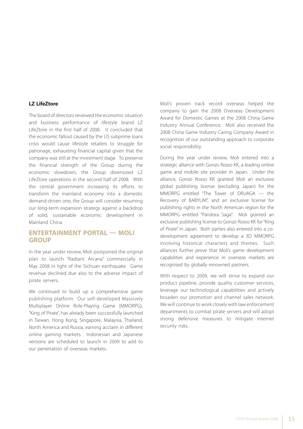#### **LZ LifeZtore**

The board of directors reviewed the economic situation and business performance of lifestyle brand LZ LifeZtore in the first half of 2008. It concluded that the economic fallout caused by the US subprime loans crisis would cause lifestyle retailers to struggle for patronage, exhausting financial capital given that the company was still at the investment stage. To preserve the financial strength of the Group during the economic slowdown, the Group downsized LZ LifeZtore operations in the second half of 2008. With the central government increasing its efforts to transform the mainland economy into a domestic demand-driven one, the Group will consider resuming our long-term expansion strategy against a backdrop of solid, sustainable economic development in Mainland China.

#### **ENTERTAINMENT PORTAL — MOLI GROUP**

In the year under review, Moli postponed the original plan to launch "Radiant Arcana" commercially in May 2008 in light of the Sichuan earthquake. Game revenue declined due also to the adverse impact of pirate servers.

We continued to build up a comprehensive game publishing platform. Our self-developed Massively Multiplayer Online Role-Playing Game (MMORPG), "King of Pirate", has already been successfully launched in Taiwan, Hong Kong, Singapore, Malaysia, Thailand, North America and Russia, earning acclaim in different online gaming markets. Indonesian and Japanese versions are scheduled to launch in 2009 to add to our penetration of overseas markets.

Moli's proven track record overseas helped the company to gain the 2008 Overseas Development Award for Domestic Games at the 2008 China Game Industry Annual Conference. Moli also received the 2008 China Game Industry Caring Company Award in recognition of our outstanding approach to corporate social responsibility.

During the year under review, Moli entered into a strategic alliance with Gonzo Rosso KK, a leading online game and mobile site provider in Japan. Under the alliance, Gonzo Rosso KK granted Moli an exclusive global publishing license (excluding Japan) for the MMORPG entitled "The Tower of DRUAGA — the Recovery of BABYLIM", and an exclusive license for publishing rights in the North American region for the MMORPG entitled "Pandora Saga". Moli granted an exclusive publishing license to Gonzo Rosso KK for "King of Pirate" in Japan. Both parties also entered into a codevelopment agreement to develop a 3D MMORPG involving historical characters and themes. Such alliances further prove that Moli's game development capabilities and experience in overseas markets are recognised by globally renowned partners.

With respect to 2009, we will strive to expand our product pipeline, provide quality customer services, leverage our technological capabilities and actively broaden our promotion and channel sales network. We will continue to work closely with law enforcement departments to combat pirate servers and will adopt strong defensive measures to mitigate internet security risks.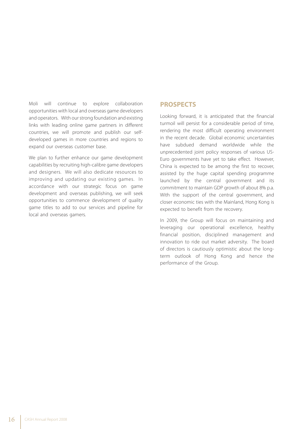Moli will continue to explore collaboration opportunities with local and overseas game developers and operators. With our strong foundation and existing links with leading online game partners in different countries, we will promote and publish our selfdeveloped games in more countries and regions to expand our overseas customer base.

We plan to further enhance our game development capabilities by recruiting high-calibre game developers and designers. We will also dedicate resources to improving and updating our existing games. In accordance with our strategic focus on game development and overseas publishing, we will seek opportunities to commence development of quality game titles to add to our services and pipeline for local and overseas gamers.

#### **PROSPECTS**

Looking forward, it is anticipated that the financial turmoil will persist for a considerable period of time, rendering the most difficult operating environment in the recent decade. Global economic uncertainties have subdued demand worldwide while the unprecedented joint policy responses of various US-Euro governments have yet to take effect. However, China is expected to be among the first to recover, assisted by the huge capital spending programme launched by the central government and its commitment to maintain GDP growth of about 8% p.a. With the support of the central government, and closer economic ties with the Mainland, Hong Kong is expected to benefit from the recovery.

In 2009, the Group will focus on maintaining and leveraging our operational excellence, healthy financial position, disciplined management and innovation to ride out market adversity. The board of directors is cautiously optimistic about the longterm outlook of Hong Kong and hence the performance of the Group.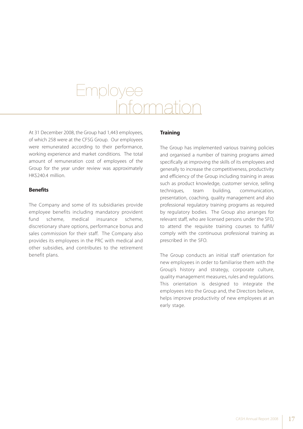# $Fmolo$ Information

At 31 December 2008, the Group had 1,443 employees, of which 258 were at the CFSG Group. Our employees were remunerated according to their performance, working experience and market conditions. The total amount of remuneration cost of employees of the Group for the year under review was approximately HK\$240.4 million.

#### **Benefits**

The Company and some of its subsidiaries provide employee benefits including mandatory provident fund scheme, medical insurance scheme, discretionary share options, performance bonus and sales commission for their staff. The Company also provides its employees in the PRC with medical and other subsidies, and contributes to the retirement benefit plans.

#### **Training**

The Group has implemented various training policies and organised a number of training programs aimed specifically at improving the skills of its employees and generally to increase the competitiveness, productivity and efficiency of the Group including training in areas such as product knowledge, customer service, selling techniques, team building, communication, presentation, coaching, quality management and also professional regulatory training programs as required by regulatory bodies. The Group also arranges for relevant staff, who are licensed persons under the SFO, to attend the requisite training courses to fulfill/ comply with the continuous professional training as prescribed in the SFO.

The Group conducts an initial staff orientation for new employees in order to familiarise them with the Group's history and strategy, corporate culture, quality management measures, rules and regulations. This orientation is designed to integrate the employees into the Group and, the Directors believe, helps improve productivity of new employees at an early stage.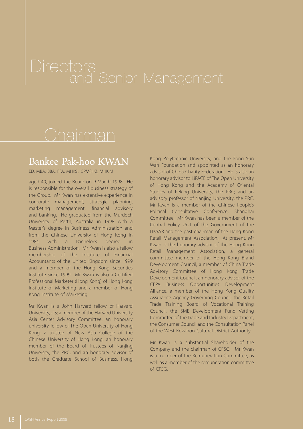### Bankee Pak-hoo KWAN

ED, MBA, BBA, FFA, MHKSI, CPM(HK), MHKIM

aged 49, joined the Board on 9 March 1998. He is responsible for the overall business strategy of the Group. Mr Kwan has extensive experience in corporate management, strategic planning, marketing management, financial advisory and banking. He graduated from the Murdoch University of Perth, Australia in 1998 with a Master's degree in Business Administration and from the Chinese University of Hong Kong in 1984 with a Bachelor's degree in Business Administration. Mr Kwan is also a fellow membership of the Institute of Financial Accountants of the United Kingdom since 1999 and a member of the Hong Kong Securities Institute since 1999. Mr Kwan is also a Certified Professional Marketer (Hong Kong) of Hong Kong Institute of Marketing and a member of Hong Kong Institute of Marketing.

Mr Kwan is a John Harvard fellow of Harvard University, US; a member of the Harvard University Asia Center Advisory Committee; an honorary university fellow of The Open University of Hong Kong, a trustee of New Asia College of the Chinese University of Hong Kong; an honorary member of the Board of Trustees of Nanjing University, the PRC, and an honorary advisor of both the Graduate School of Business, Hong

Kong Polytechnic University, and the Fong Yun Wah Foundation and appointed as an honorary advisor of China Charity Federation. He is also an honorary advisor to LiPACE of The Open University of Hong Kong and the Academy of Oriental Studies of Peking University, the PRC; and an advisory professor of Nanjing University, the PRC. Mr Kwan is a member of the Chinese People's Political Consultative Conference, Shanghai Committee. Mr Kwan has been a member of the Central Policy Unit of the Government of the HKSAR and the past chairman of the Hong Kong Retail Management Association. At present, Mr Kwan is the honorary advisor of the Hong Kong Retail Management Association, a general committee member of the Hong Kong Brand Development Council, a member of China Trade Advisory Committee of Hong Kong Trade Development Council, an honorary advisor of the CEPA Business Opportunities Development Alliance, a member of the Hong Kong Quality Assurance Agency Governing Council, the Retail Trade Training Board of Vocational Training Council, the SME Development Fund Vetting Committee of the Trade and Industry Department, the Consumer Council and the Consultation Panel of the West Kowloon Cultural District Authority.

Mr Kwan is a substantial Shareholder of the Company and the chairman of CFSG. Mr Kwan is a member of the Remuneration Committee, as well as a member of the remuneration committee of CFSG.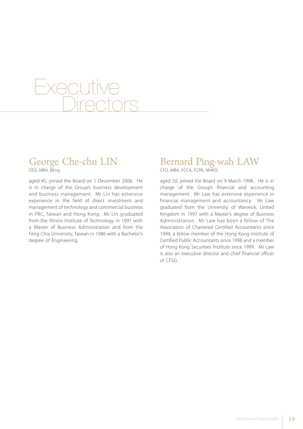# **Executive Directors**

### George Che-chu LIN

CEO, MBA, BEng

aged 45, joined the Board on 1 December 2006. He is in charge of the Group's business development and business management. Mr Lin has extensive experience in the field of direct investment and management of technology and commercial business in PRC, Taiwan and Hong Kong. Mr Lin graduated from the Illinois Institute of Technology in 1991 with a Master of Business Administration and from the Feng Chia University, Taiwan in 1986 with a Bachelor's degree of Engineering.

### Bernard Ping-wah LAW

CFO, MBA, FCCA, FCPA, MHKSI

aged 50, joined the Board on 9 March 1998. He is in charge of the Group's financial and accounting management. Mr Law has extensive experience in financial management and accountancy. Mr Law graduated from the University of Warwick, United Kingdom in 1997 with a Master's degree of Business Administration. Mr Law has been a fellow of The Association of Chartered Certified Accountants since 1994, a fellow member of the Hong Kong Institute of Certified Public Accountants since 1998 and a member of Hong Kong Securities Institute since 1999. Mr Law is also an executive director and chief financial officer of CFSG.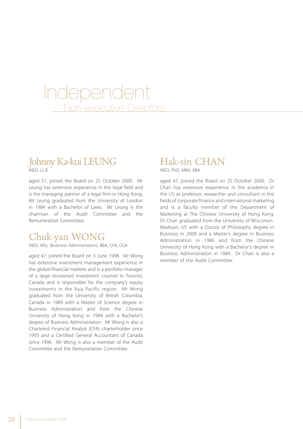# Independent Non-executive Directors

#### Johnny Ka-kui LEUNG INED, LL.B

aged 51, joined the Board on 25 October 2000. Mr Leung has extensive experience in the legal field and is the managing partner of a legal firm in Hong Kong. Mr Leung graduated from the University of London in 1984 with a Bachelor of Laws. Mr Leung is the chairman of the Audit Committee and the Remuneration Committee.

### Chuk-yan WONG

INED, MSc (Business Administration), BBA, CFA, CGA

aged 47, joined the Board on 3 June 1998. Mr Wong has extensive investment management experience in the global financial markets and is a portfolio manager of a large renowned investment counsel in Toronto, Canada and is responsible for the company's equity investments in the Asia Pacific region. Mr Wong graduated from the University of British Columbia, Canada in 1989 with a Master of Science degree in Business Administration and from the Chinese University of Hong Kong in 1984 with a Bachelor's degree of Business Administration. Mr Wong is also a Chartered Financial Analyst (CFA) charterholder since 1993 and a Certified General Accountant of Canada since 1996. Mr Wong is also a member of the Audit Committee and the Remuneration Committee.

### Hak-sin CHAN

INED, PhD, MBA, BBA

aged 47, joined the Board on 25 October 2000. Dr Chan has extensive experience in the academia in the US as professor, researcher and consultant in the fields of corporate finance and international marketing and is a faculty member of the Department of Marketing at The Chinese University of Hong Kong. Dr Chan graduated from the University of Wisconsin-Madison, US with a Doctor of Philosophy degree in Business in 2000 and a Master's degree in Business Administration in 1986 and from the Chinese University of Hong Kong with a Bachelor's degree in Business Administration in 1984. Dr Chan is also a member of the Audit Committee.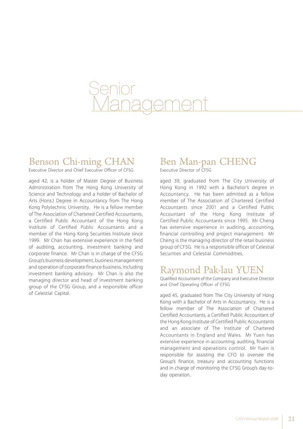

### Benson Chi-ming CHAN

Executive Director and Chief Executive Officer of CFSG

aged 42, is a holder of Master Degree of Business Administration from The Hong Kong University of Science and Technology and a holder of Bachelor of Arts (Hons.) Degree in Accountancy from The Hong Kong Polytechnic University. He is a fellow member of The Association of Chartered Certified Accountants, a Certified Public Accountant of the Hong Kong Institute of Certified Public Accountants and a member of the Hong Kong Securities Institute since 1999. Mr Chan has extensive experience in the field of auditing, accounting, investment banking and corporate finance. Mr Chan is in charge of the CFSG Group's business development, business management and operation of corporate finance business, including investment banking advisory. Mr Chan is also the managing director and head of investment banking group of the CFSG Group, and a responsible officer of Celestial Capital.

### Ben Man-pan CHENG

Executive Director of CFSG

aged 39, graduated from The City University of Hong Kong in 1992 with a Bachelor's degree in Accountancy. He has been admitted as a fellow member of The Association of Chartered Certified Accountants since 2001 and a Certified Public Accountant of the Hong Kong Institute of Certified Public Accountants since 1995. Mr Cheng has extensive experience in auditing, accounting, financial controlling and project management. Mr Cheng is the managing director of the retail business group of CFSG. He is a responsible officer of Celestial Securities and Celestial Commodities.

### Raymond Pak-lau YUEN

Qualified Accountant of the Company and Executive Director and Chief Operating Officer of CFSG

aged 45, graduated from The City University of Hong Kong with a Bachelor of Arts in Accountancy. He is a fellow member of The Association of Chartered Certified Accountants, a Certified Public Accountant of the Hong Kong Institute of Certified Public Accountants and an associate of The Institute of Chartered Accountants in England and Wales. Mr Yuen has extensive experience in accounting, auditing, financial management and operations control. Mr Yuen is responsible for assisting the CFO to oversee the Group's finance, treasury and accounting functions and in charge of monitoring the CFSG Group's day-today operation.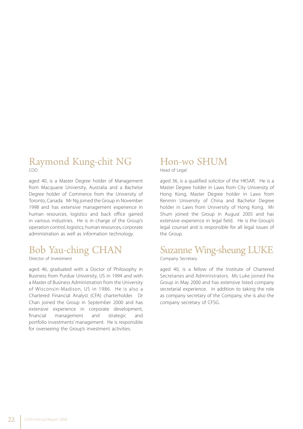#### Raymond Kung-chit NG COO

aged 40, is a Master Degree holder of Management from Macquarie University, Australia and a Bachelor Degree holder of Commerce from the University of Toronto, Canada. Mr Ng joined the Group in November 1998 and has extensive management experience in human resources, logistics and back office gained in various industries. He is in charge of the Group's operation control, logistics, human resources, corporate administration as well as information technology.

### Bob Yau-ching CHAN

Director of Investment

aged 46, graduated with a Doctor of Philosophy in Business from Purdue University, US in 1994 and with a Master of Business Administration from the University of Wisconsin-Madison, US in 1986. He is also a Chartered Financial Analyst (CFA) charterholder. Dr Chan joined the Group in September 2000 and has extensive experience in corporate development, financial management and strategic and portfolio investments' management. He is responsible for overseeing the Group's investment activities.

### Hon-wo SHUM

Head of Legal

aged 36, is a qualified solicitor of the HKSAR. He is a Master Degree holder in Laws from City University of Hong Kong, Master Degree holder in Laws from Renmin University of China and Bachelor Degree holder in Laws from University of Hong Kong. Mr Shum joined the Group in August 2005 and has extensive experience in legal field. He is the Group's legal counsel and is responsible for all legal issues of the Group.

### Suzanne Wing-sheung LUKE

Company Secretary

aged 40, is a fellow of the Institute of Chartered Secretaries and Administrators. Ms Luke joined the Group in May 2000 and has extensive listed company secretarial experience. In addition to taking the role as company secretary of the Company, she is also the company secretary of CFSG.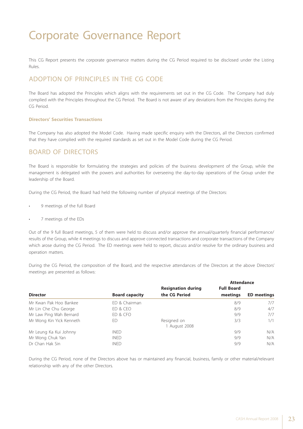This CG Report presents the corporate governance matters during the CG Period required to be disclosed under the Listing Rules.

#### ADOPTION OF PRINCIPLES IN THE CG CODE

The Board has adopted the Principles which aligns with the requirements set out in the CG Code. The Company had duly complied with the Principles throughout the CG Period. The Board is not aware of any deviations from the Principles during the CG Period.

#### **Directors' Securities Transactions**

The Company has also adopted the Model Code. Having made specific enquiry with the Directors, all the Directors confirmed that they have complied with the required standards as set out in the Model Code during the CG Period.

#### BOARD OF DIRECTORS

The Board is responsible for formulating the strategies and policies of the business development of the Group, while the management is delegated with the powers and authorities for overseeing the day-to-day operations of the Group under the leadership of the Board.

During the CG Period, the Board had held the following number of physical meetings of the Directors:

- 9 meetings of the full Board
- 7 meetings of the EDs

Out of the 9 full Board meetings, 5 of them were held to discuss and/or approve the annual/quarterly financial performance/ results of the Group, while 4 meetings to discuss and approve connected transactions and corporate transactions of the Company which arose during the CG Period. The ED meetings were held to report, discuss and/or resolve for the ordinary business and operation matters.

During the CG Period, the composition of the Board, and the respective attendances of the Directors at the above Directors' meetings are presented as follows:

|                          |                       |                           | <b>Attendance</b> |                    |  |
|--------------------------|-----------------------|---------------------------|-------------------|--------------------|--|
|                          |                       | <b>Resignation during</b> | <b>Full Board</b> |                    |  |
| <b>Director</b>          | <b>Board capacity</b> | the CG Period             | meetings          | <b>ED</b> meetings |  |
| Mr Kwan Pak Hoo Bankee   | ED & Chairman         |                           | 8/9               | 7/7                |  |
| Mr Lin Che Chu George    | ED & CEO              |                           | 8/9               | 4/7                |  |
| Mr Law Ping Wah Bernard  | FD & CFO              |                           | 9/9               | 7/7                |  |
| Mr Wong Kin Yick Kenneth | ED                    | Resigned on               | 3/3               | 1/1                |  |
|                          |                       | 1 August 2008             |                   |                    |  |
| Mr Leung Ka Kui Johnny   | <b>INFD</b>           |                           | 9/9               | N/A                |  |
| Mr Wong Chuk Yan         | <b>INED</b>           |                           | 9/9               | N/A                |  |
| Dr Chan Hak Sin          | <b>INFD</b>           |                           | 9/9               | N/A                |  |

During the CG Period, none of the Directors above has or maintained any financial, business, family or other material/relevant relationship with any of the other Directors.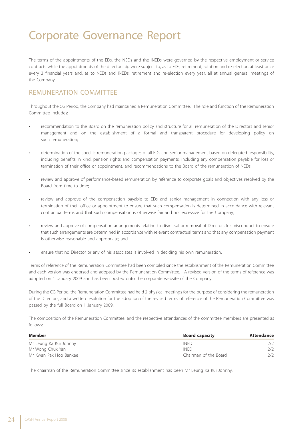The terms of the appointments of the EDs, the NEDs and the INEDs were governed by the respective employment or service contracts while the appointments of the directorship were subject to, as to EDs, retirement, rotation and re-election at least once every 3 financial years and, as to NEDs and INEDs, retirement and re-election every year, all at annual general meetings of the Company.

#### REMUNERATION COMMITTEE

Throughout the CG Period, the Company had maintained a Remuneration Committee. The role and function of the Remuneration Committee includes:

- recommendation to the Board on the remuneration policy and structure for all remuneration of the Directors and senior management and on the establishment of a formal and transparent procedure for developing policy on such remuneration;
- determination of the specific remuneration packages of all EDs and senior management based on delegated responsibility, including benefits in kind, pension rights and compensation payments, including any compensation payable for loss or termination of their office or appointment, and recommendations to the Board of the remuneration of NEDs;
- review and approve of performance-based remuneration by reference to corporate goals and objectives resolved by the Board from time to time;
- review and approve of the compensation payable to EDs and senior management in connection with any loss or termination of their office or appointment to ensure that such compensation is determined in accordance with relevant contractual terms and that such compensation is otherwise fair and not excessive for the Company;
- review and approve of compensation arrangements relating to dismissal or removal of Directors for misconduct to ensure that such arrangements are determined in accordance with relevant contractual terms and that any compensation payment is otherwise reasonable and appropriate; and
- ensure that no Director or any of his associates is involved in deciding his own remuneration.

Terms of reference of the Remuneration Committee had been compiled since the establishment of the Remuneration Committee and each version was endorsed and adopted by the Remuneration Committee. A revised version of the terms of reference was adopted on 1 January 2009 and has been posted onto the corporate website of the Company.

During the CG Period, the Remuneration Committee had held 2 physical meetings for the purpose of considering the remuneration of the Directors, and a written resolution for the adoption of the revised terms of reference of the Remuneration Committee was passed by the full Board on 1 January 2009.

The composition of the Remuneration Committee, and the respective attendances of the committee members are presented as follows:

| Member                 | <b>Board capacity</b> | <b>Attendance</b> |
|------------------------|-----------------------|-------------------|
| Mr Leung Ka Kui Johnny | <b>INFD</b>           | 272               |
| Mr Wong Chuk Yan       | <b>INFD</b>           | 2/2               |
| Mr Kwan Pak Hoo Bankee | Chairman of the Board | 2/2               |

The chairman of the Remuneration Committee since its establishment has been Mr Leung Ka Kui Johnny.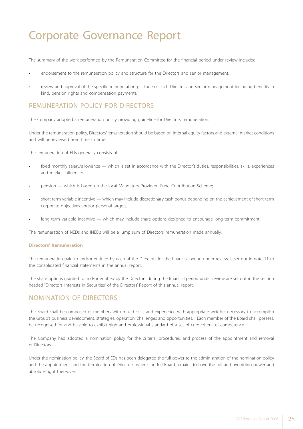The summary of the work performed by the Remuneration Committee for the financial period under review included:

- endorsement to the remuneration policy and structure for the Directors and senior management;
- review and approval of the specific remuneration package of each Director and senior management including benefits in kind, pension rights and compensation payments.

#### REMUNERATION POLICY FOR DIRECTORS

The Company adopted a remuneration policy providing guideline for Directors' remuneration.

Under the remuneration policy, Directors' remuneration should be based on internal equity factors and external market conditions and will be reviewed from time to time.

The remuneration of EDs generally consists of:

- fixed monthly salary/allowance which is set in accordance with the Director's duties, responsibilities, skills, experiences and market influences;
- pension which is based on the local Mandatory Provident Fund Contribution Scheme;
- short term variable incentive which may include discretionary cash bonus depending on the achievement of short-term corporate objectives and/or personal targets;
- long term variable incentive which may include share options designed to encourage long-term commitment.

The remuneration of NEDs and INEDs will be a lump sum of Directors' remuneration made annually.

#### **Directors' Remuneration**

The remuneration paid to and/or entitled by each of the Directors for the financial period under review is set out in note 11 to the consolidated financial statements in the annual report.

The share options granted to and/or entitled by the Directors during the financial period under review are set out in the section headed "Directors' Interests in Securities" of the Directors' Report of this annual report.

#### NOMINATION OF DIRECTORS

The Board shall be composed of members with mixed skills and experience with appropriate weights necessary to accomplish the Group's business development, strategies, operation, challenges and opportunities. Each member of the Board shall possess, be recognised for and be able to exhibit high and professional standard of a set of core criteria of competence.

The Company had adopted a nomination policy for the criteria, procedures, and process of the appointment and removal of Directors.

Under the nomination policy, the Board of EDs has been delegated the full power to the administration of the nomination policy and the appointment and the termination of Directors, where the full Board remains to have the full and overriding power and absolute right thereover.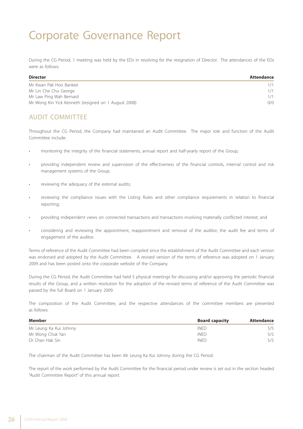During the CG Period, 1 meeting was held by the EDs in resolving for the resignation of Director. The attendances of the EDs were as follows:

| <b>Director</b>                                      | Attendance |
|------------------------------------------------------|------------|
| Mr Kwan Pak Hoo Bankee                               | 1/1        |
| Mr Lin Che Chu George                                | 1/1        |
| Mr Law Ping Wah Bernard                              | 1/1        |
| Mr Wong Kin Yick Kenneth (resigned on 1 August 2008) | 0/0        |

#### AUDIT COMMITTEE

Throughout the CG Period, the Company had maintained an Audit Committee. The major role and function of the Audit Committee include:

- monitoring the integrity of the financial statements, annual report and half-yearly report of the Group;
- providing independent review and supervision of the effectiveness of the financial controls, internal control and risk management systems of the Group;
- reviewing the adequacy of the external audits;
- reviewing the compliance issues with the Listing Rules and other compliance requirements in relation to financial reporting;
- providing independent views on connected transactions and transactions involving materially conflicted interest; and
- considering and reviewing the appointment, reappointment and removal of the auditor, the audit fee and terms of engagement of the auditor.

Terms of reference of the Audit Committee had been compiled since the establishment of the Audit Committee and each version was endorsed and adopted by the Audit Committee. A revised version of the terms of reference was adopted on 1 January 2009 and has been posted onto the corporate website of the Company.

During the CG Period, the Audit Committee had held 5 physical meetings for discussing and/or approving the periodic financial results of the Group, and a written resolution for the adoption of the revised terms of reference of the Audit Committee was passed by the full Board on 1 January 2009.

The composition of the Audit Committee, and the respective attendances of the committee members are presented as follows:

| Member                 | <b>Board capacity</b> | Attendance |
|------------------------|-----------------------|------------|
| Mr Leung Ka Kui Johnny | <b>INFD</b>           | 5/5        |
| Mr Wong Chuk Yan       | <b>INFD</b>           | 5/5        |
| Dr Chan Hak Sin        | <b>INFD</b>           | 5/5        |

The chairman of the Audit Committee has been Mr Leung Ka Kui Johnny during the CG Period.

The report of the work performed by the Audit Committee for the financial period under review is set out in the section headed "Audit Committee Report" of this annual report.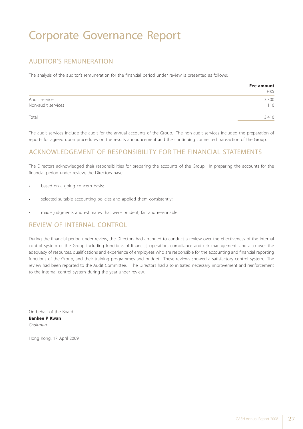#### AUDITOR'S REMUNERATION

The analysis of the auditor's remuneration for the financial period under review is presented as follows:

|                    | Fee amount |
|--------------------|------------|
|                    | HK\$       |
| Audit service      | 3,300      |
| Non-audit services | 110        |
| Total              | 3,410      |

The audit services include the audit for the annual accounts of the Group. The non-audit services included the preparation of reports for agreed upon procedures on the results announcement and the continuing connected transaction of the Group.

#### ACKNOWLEDGEMENT OF RESPONSIBILITY FOR THE FINANCIAL STATEMENTS

The Directors acknowledged their responsibilities for preparing the accounts of the Group. In preparing the accounts for the financial period under review, the Directors have:

- based on a going concern basis;
- selected suitable accounting policies and applied them consistently;
- made judgments and estimates that were prudent, fair and reasonable.

#### REVIEW OF INTERNAL CONTROL

During the financial period under review, the Directors had arranged to conduct a review over the effectiveness of the internal control system of the Group including functions of financial, operation, compliance and risk management, and also over the adequacy of resources, qualifications and experience of employees who are responsible for the accounting and financial reporting functions of the Group, and their training programmes and budget. These reviews showed a satisfactory control system. The review had been reported to the Audit Committee. The Directors had also initiated necessary improvement and reinforcement to the internal control system during the year under review.

On behalf of the Board **Bankee P Kwan** *Chairman*

Hong Kong, 17 April 2009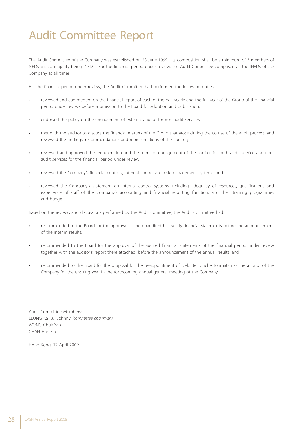# Audit Committee Report

The Audit Committee of the Company was established on 28 June 1999. Its composition shall be a minimum of 3 members of NEDs with a majority being INEDs. For the financial period under review, the Audit Committee comprised all the INEDs of the Company at all times.

For the financial period under review, the Audit Committee had performed the following duties:

- reviewed and commented on the financial report of each of the half-yearly and the full year of the Group of the financial period under review before submission to the Board for adoption and publication;
- endorsed the policy on the engagement of external auditor for non-audit services;
- met with the auditor to discuss the financial matters of the Group that arose during the course of the audit process, and reviewed the findings, recommendations and representations of the auditor;
- reviewed and approved the remuneration and the terms of engagement of the auditor for both audit service and nonaudit services for the financial period under review;
- reviewed the Company's financial controls, internal control and risk management systems; and
- reviewed the Company's statement on internal control systems including adequacy of resources, qualifications and experience of staff of the Company's accounting and financial reporting function, and their training programmes and budget.

Based on the reviews and discussions performed by the Audit Committee, the Audit Committee had:

- recommended to the Board for the approval of the unaudited half-yearly financial statements before the announcement of the interim results;
- recommended to the Board for the approval of the audited financial statements of the financial period under review together with the auditor's report there attached, before the announcement of the annual results; and
- recommended to the Board for the proposal for the re-appointment of Deloitte Touche Tohmatsu as the auditor of the Company for the ensuing year in the forthcoming annual general meeting of the Company.

Audit Committee Members: LEUNG Ka Kui Johnny *(committee chairman)* WONG Chuk Yan CHAN Hak Sin

Hong Kong, 17 April 2009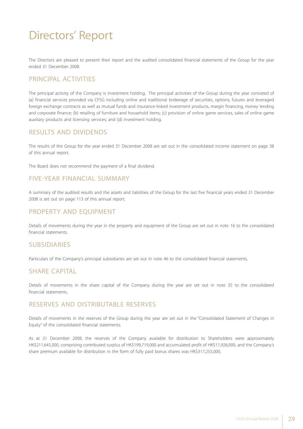The Directors are pleased to present their report and the audited consolidated financial statements of the Group for the year ended 31 December 2008.

#### PRINCIPAL ACTIVITIES

The principal activity of the Company is investment holding. The principal activities of the Group during the year consisted of (a) financial services provided via CFSG including online and traditional brokerage of securities, options, futures and leveraged foreign exchange contracts as well as mutual funds and insurance-linked investment products, margin financing, money lending and corporate finance; (b) retailing of furniture and household items; (c) provision of online game services, sales of online game auxiliary products and licensing services; and (d) investment holding.

#### RESULTS AND DIVIDENDS

The results of the Group for the year ended 31 December 2008 are set out in the consolidated income statement on page 38 of this annual report.

The Board does not recommend the payment of a final dividend.

#### FIVE-YEAR FINANCIAL SUMMARY

A summary of the audited results and the assets and liabilities of the Group for the last five financial years ended 31 December 2008 is set out on page 113 of this annual report.

#### PROPERTY AND EQUIPMENT

Details of movements during the year in the property and equipment of the Group are set out in note 16 to the consolidated financial statements.

#### SUBSIDIARIES

Particulars of the Company's principal subsidiaries are set out in note 46 to the consolidated financial statements.

#### SHARE CAPITAL

Details of movements in the share capital of the Company during the year are set out in note 35 to the consolidated financial statements.

#### RESERVES AND DISTRIBUTABLE RESERVES

Details of movements in the reserves of the Group during the year are set out in the "Consolidated Statement of Changes in Equity" of the consolidated financial statements.

As at 31 December 2008, the reserves of the Company available for distribution to Shareholders were approximately HK\$211,645,000, comprising contributed surplus of HK\$199,719,000 and accumulated profit of HK\$11,926,000, and the Company's share premium available for distribution in the form of fully paid bonus shares was HK\$317,255,000.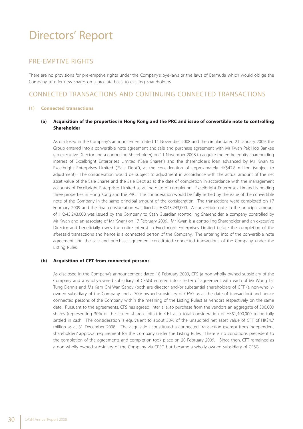#### PRE-EMPTIVE RIGHTS

There are no provisions for pre-emptive rights under the Company's bye-laws or the laws of Bermuda which would oblige the Company to offer new shares on a pro rata basis to existing Shareholders.

#### CONNECTED TRANSACTIONS AND CONTINUING CONNECTED TRANSACTIONS

#### **(1) Connected transactions**

#### **(a) Acquisition of the properties in Hong Kong and the PRC and issue of convertible note to controlling Shareholder**

As disclosed in the Company's announcement dated 11 November 2008 and the circular dated 21 January 2009, the Group entered into a convertible note agreement and sale and purchase agreement with Mr Kwan Pak Hoo Bankee (an executive Director and a controlling Shareholder) on 11 November 2008 to acquire the entire equity shareholding interest of Excelbright Enterprises Limited ("Sale Shares") and the shareholder's loan advanced by Mr Kwan to Excelbright Enterprises Limited ("Sale Debt"), at the consideration of approximately HK\$42.8 million (subject to adjustment). The consideration would be subject to adjustment in accordance with the actual amount of the net asset value of the Sale Shares and the Sale Debt as at the date of completion in accordance with the management accounts of Excelbright Enterprises Limited as at the date of completion. Excelbright Enterprises Limited is holding three properties in Hong Kong and the PRC. The consideration would be fully settled by the issue of the convertible note of the Company in the same principal amount of the consideration. The transactions were completed on 17 February 2009 and the final consideration was fixed at HK\$43,243,000. A convertible note in the principal amount of HK\$43,243,000 was issued by the Company to Cash Guardian (controlling Shareholder, a company controlled by Mr Kwan and an associate of Mr Kwan) on 17 February 2009. Mr Kwan is a controlling Shareholder and an executive Director and beneficially owns the entire interest in Excelbright Enterprises Limited before the completion of the aforesaid transactions and hence is a connected person of the Company. The entering into of the convertible note agreement and the sale and purchase agreement constituted connected transactions of the Company under the Listing Rules.

#### **(b) Acquisition of CFT from connected persons**

As disclosed in the Company's announcement dated 18 February 2009, CFS (a non-wholly-owned subsidiary of the Company and a wholly-owned subsidiary of CFSG) entered into a letter of agreement with each of Mr Wong Tat Tung Dennis and Ms Kam Chi Wan Sandy (both are director and/or substantial shareholders of CFT (a non-whollyowned subsidiary of the Company and a 70%-owned subsidiary of CFSG as at the date of transaction) and hence connected persons of the Company within the meaning of the Listing Rules) as vendors respectively on the same date. Pursuant to the agreements, CFS has agreed, inter alia, to purchase from the vendors an aggregate of 300,000 shares (representing 30% of the issued share capital) in CFT at a total consideration of HK\$1,400,000 to be fully settled in cash. The consideration is equivalent to about 30% of the unaudited net asset value of CFT of HK\$4.7 million as at 31 December 2008. The acquisition constituted a connected transaction exempt from independent shareholders' approval requirement for the Company under the Listing Rules. There is no conditions precedent to the completion of the agreements and completion took place on 20 February 2009. Since then, CFT remained as a non-wholly-owned subsidiary of the Company via CFSG but became a wholly-owned subsidiary of CFSG.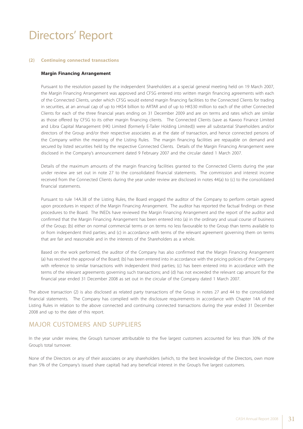#### **(2) Continuing connected transactions**

#### **Margin Financing Arrangement**

Pursuant to the resolution passed by the independent Shareholders at a special general meeting held on 19 March 2007, the Margin Financing Arrangement was approved and CFSG entered into written margin financing agreements with each of the Connected Clients, under which CFSG would extend margin financing facilities to the Connected Clients for trading in securities, at an annual cap of up to HK\$4 billion to ARTAR and of up to HK\$30 million to each of the other Connected Clients for each of the three financial years ending on 31 December 2009 and are on terms and rates which are similar as those offered by CFSG to its other margin financing clients. The Connected Clients (save as Kawoo Finance Limited and Libra Capital Management (HK) Limited (formerly E-Tailer Holding Limited)) were all substantial Shareholders and/or directors of the Group and/or their respective associates as at the date of transaction, and hence connected persons of the Company within the meaning of the Listing Rules. The margin financing facilities are repayable on demand and secured by listed securities held by the respective Connected Clients. Details of the Margin Financing Arrangement were disclosed in the Company's announcement dated 9 February 2007 and the circular dated 1 March 2007.

Details of the maximum amounts of the margin financing facilities granted to the Connected Clients during the year under review are set out in note 27 to the consolidated financial statements. The commission and interest income received from the Connected Clients during the year under review are disclosed in notes 44(a) to (c) to the consolidated financial statements.

Pursuant to rule 14A.38 of the Listing Rules, the Board engaged the auditor of the Company to perform certain agreed upon procedures in respect of the Margin Financing Arrangement. The auditor has reported the factual findings on these procedures to the Board. The INEDs have reviewed the Margin Financing Arrangement and the report of the auditor and confirmed that the Margin Financing Arrangement has been entered into (a) in the ordinary and usual course of business of the Group; (b) either on normal commercial terms or on terms no less favourable to the Group than terms available to or from independent third parties; and (c) in accordance with terms of the relevant agreement governing them on terms that are fair and reasonable and in the interests of the Shareholders as a whole.

Based on the work performed, the auditor of the Company has also confirmed that the Margin Financing Arrangement (a) has received the approval of the Board; (b) has been entered into in accordance with the pricing policies of the Company with reference to similar transactions with independent third parties; (c) has been entered into in accordance with the terms of the relevant agreements governing such transactions; and (d) has not exceeded the relevant cap amount for the financial year ended 31 December 2008 as set out in the circular of the Company dated 1 March 2007.

The above transaction (2) is also disclosed as related party transactions of the Group in notes 27 and 44 to the consolidated financial statements. The Company has complied with the disclosure requirements in accordance with Chapter 14A of the Listing Rules in relation to the above connected and continuing connected transactions during the year ended 31 December 2008 and up to the date of this report.

#### MAJOR CUSTOMERS AND SUPPLIERS

In the year under review, the Group's turnover attributable to the five largest customers accounted for less than 30% of the Group's total turnover.

None of the Directors or any of their associates or any shareholders (which, to the best knowledge of the Directors, own more than 5% of the Company's issued share capital) had any beneficial interest in the Group's five largest customers.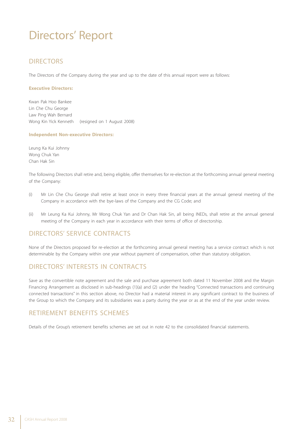#### **DIRECTORS**

The Directors of the Company during the year and up to the date of this annual report were as follows:

#### **Executive Directors:**

Kwan Pak Hoo Bankee Lin Che Chu George Law Ping Wah Bernard Wong Kin Yick Kenneth (resigned on 1 August 2008)

#### **Independent Non-executive Directors:**

Leung Ka Kui Johnny Wong Chuk Yan Chan Hak Sin

The following Directors shall retire and, being eligible, offer themselves for re-election at the forthcoming annual general meeting of the Company:

- (i) Mr Lin Che Chu George shall retire at least once in every three financial years at the annual general meeting of the Company in accordance with the bye-laws of the Company and the CG Code; and
- (ii) Mr Leung Ka Kui Johnny, Mr Wong Chuk Yan and Dr Chan Hak Sin, all being INEDs, shall retire at the annual general meeting of the Company in each year in accordance with their terms of office of directorship.

#### DIRECTORS' SERVICE CONTRACTS

None of the Directors proposed for re-election at the forthcoming annual general meeting has a service contract which is not determinable by the Company within one year without payment of compensation, other than statutory obligation.

#### DIRECTORS' INTERESTS IN CONTRACTS

Save as the convertible note agreement and the sale and purchase agreement both dated 11 November 2008 and the Margin Financing Arrangement as disclosed in sub-headings (1)(a) and (2) under the heading "Connected transactions and continuing connected transactions" in this section above, no Director had a material interest in any significant contract to the business of the Group to which the Company and its subsidiaries was a party during the year or as at the end of the year under review.

#### RETIREMENT BENEFITS SCHEMES

Details of the Group's retirement benefits schemes are set out in note 42 to the consolidated financial statements.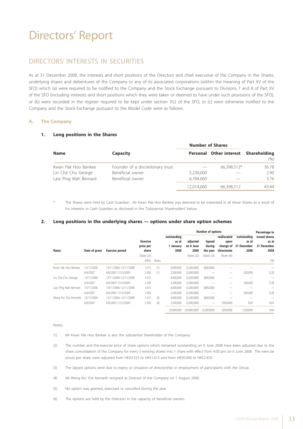#### DIRECTORS' INTERESTS IN SECURITIES

As at 31 December 2008, the interests and short positions of the Directors and chief executive of the Company in the Shares, underlying shares and debentures of the Company or any of its associated corporations (within the meaning of Part XV of the SFO) which (a) were required to be notified to the Company and the Stock Exchange pursuant to Divisions 7 and 8 of Part XV of the SFO (including interests and short positions which they were taken or deemed to have under such provisions of the SFO), or (b) were recorded in the register required to be kept under section 352 of the SFO, or (c) were otherwise notified to the Company and the Stock Exchange pursuant to the Model Code were as follows:

#### **A. The Company**

#### **1. Long positions in the Shares**

|                                                                   |                                                                          | <b>Number of Shares</b> |                                      |                       |
|-------------------------------------------------------------------|--------------------------------------------------------------------------|-------------------------|--------------------------------------|-----------------------|
| <b>Name</b>                                                       | <b>Capacity</b>                                                          |                         | Personal Other interest Shareholding | (% )                  |
| Kwan Pak Hoo Bankee<br>Lin Che Chu George<br>Law Ping Wah Bernard | Founder of a discretionary trust<br>Beneficial owner<br>Beneficial owner | 5,230,000<br>6.784.060  | 66,398,512*                          | 36.78<br>2.90<br>3.76 |
|                                                                   |                                                                          | 12.014.060              | 66,398,512                           | 43.44                 |

The Shares were held by Cash Guardian. Mr Kwan Pak Hoo Bankee was deemed to be interested in all these Shares as a result of his interests in Cash Guardian as disclosed in the "Substantial Shareholders" below.

#### **2. Long positions in the underlying shares — options under share option schemes**

|                       |               |                        |                                                                                                                                 |                                             | <b>Number of options</b>                   |                                                               |                                             | Percentage to                                         |           |      |
|-----------------------|---------------|------------------------|---------------------------------------------------------------------------------------------------------------------------------|---------------------------------------------|--------------------------------------------|---------------------------------------------------------------|---------------------------------------------|-------------------------------------------------------|-----------|------|
| Name                  | Date of grant | <b>Exercise period</b> | outstanding<br><b>Exercise</b><br>as at<br>price per<br>1 January<br>share<br>2008<br>(Note (2))<br>(HK <sub>5</sub> )<br>Notes | adjusted<br>on 6 June<br>2008<br>(Note (2)) | lapsed<br>during<br>the year<br>(Note (3)) | reallocated<br>upon<br>change of<br>directorate<br>(Note (4)) | outstanding<br>as at<br>31 December<br>2008 | issued shares<br>as at<br>31 December<br>2008<br>(96) |           |      |
| Kwan Pak Hoo Bankee   | 13/11/2006    | 13/11/2006-12/11/2008  | 1.615                                                                                                                           | (1)                                         | 4.000.000                                  | (3,200,000)                                                   | (800,000)                                   |                                                       |           |      |
|                       | 6/6/2007      | 6/6/2007-31/5/2009     | 2.450                                                                                                                           | (1)                                         | 2,500,000                                  | (2,000,000)                                                   |                                             |                                                       | 500,000   | 0.28 |
| Lin Che Chu George    | 13/11/2006    | 13/11/2006-12/11/2008  | 1.615                                                                                                                           |                                             | 4,000,000                                  | (3,200,000)                                                   | (800,000)                                   |                                                       |           |      |
|                       | 6/6/2007      | 6/6/2007-31/5/2009     | 2.450                                                                                                                           |                                             | 2,500,000                                  | (2,000,000)                                                   |                                             | $\qquad \qquad$                                       | 500.000   | 0.28 |
| Law Ping Wah Bernard  | 13/11/2006    | 13/11/2006-12/11/2008  | 1.615                                                                                                                           |                                             | 4,000,000                                  | (3,200,000)                                                   | (800,000)                                   |                                                       |           |      |
|                       | 6/6/2007      | 6/6/2007-31/5/2009     | 2.450                                                                                                                           |                                             | 2,500,000                                  | (2,000,000)                                                   |                                             |                                                       | 500,000   | 0.28 |
| Wong Kin Yick Kenneth | 13/11/2006    | 13/11/2006-12/11/2008  | 1.615                                                                                                                           | (4)                                         | 4.000.000                                  | (3,200,000)                                                   | (800,000)                                   |                                                       |           |      |
|                       | 6/6/2007      | 6/6/2007-31/5/2009     | 2.450                                                                                                                           | (4)                                         | 2,500,000                                  | (2,000,000)                                                   |                                             | (500,000)                                             | N/A       | N/A  |
|                       |               |                        |                                                                                                                                 |                                             | 26,000,000                                 | (20,800,000)                                                  | (3,200,000)                                 | (500,000)                                             | 1,500,000 | 0.84 |

#### Notes:

- (1) Mr Kwan Pak Hoo Bankee is also the substantial Shareholder of the Company.
- (2) The number and the exercise price of share options which remained outstanding on 6 June 2008 have been adjusted due to the share consolidation of the Company for every 5 existing shares into 1 share with effect from 4:00 pm on 6 June 2008. The exercise prices per share were adjusted from HK\$0.323 to HK\$1.615 and from HK\$0.490 to HK\$2.450.
- (3) The lapsed options were due to expiry or cessation of directorship or employment of participants with the Group.
- (4) Mr Wong Kin Yick Kenneth resigned as Director of the Company on 1 August 2008.
- (5) No option was granted, exercised or cancelled during the year.
- (6) The options are held by the Directors in the capacity of beneficial owners.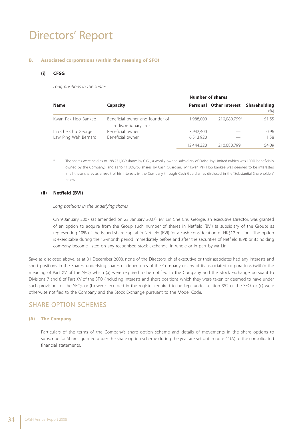#### **B. Associated corporations (within the meaning of SFO)**

#### **(i) CFSG**

 *Long positions in the shares*

|                      |                                                          | <b>Number of shares</b> |                         |                      |
|----------------------|----------------------------------------------------------|-------------------------|-------------------------|----------------------|
| <b>Name</b>          | <b>Capacity</b>                                          |                         | Personal Other interest | Shareholding<br>(% ) |
| Kwan Pak Hoo Bankee  | Beneficial owner and founder of<br>a discretionary trust | 1,988,000               | 210,080,799*            | 51.55                |
| Lin Che Chu George   | Beneficial owner                                         | 3.942.400               |                         | 0.96                 |
| Law Ping Wah Bernard | Beneficial owner                                         | 6,513,920               |                         | 1.58                 |
|                      |                                                          | 12.444.320              | 210.080.799             | 54.09                |

The shares were held as to 198,771,039 shares by CIGL, a wholly-owned subsidiary of Praise Joy Limited (which was 100% beneficially owned by the Company), and as to 11,309,760 shares by Cash Guardian. Mr Kwan Pak Hoo Bankee was deemed to be interested in all these shares as a result of his interests in the Company through Cash Guardian as disclosed in the "Substantial Shareholders" below.

#### **(ii) Netfield (BVI)**

#### *Long positions in the underlying shares*

On 9 January 2007 (as amended on 22 January 2007), Mr Lin Che Chu George, an executive Director, was granted of an option to acquire from the Group such number of shares in Netfield (BVI) (a subsidiary of the Group) as representing 10% of the issued share capital in Netfield (BVI) for a cash consideration of HK\$12 million. The option is exercisable during the 12-month period immediately before and after the securities of Netfield (BVI) or its holding company become listed on any recognised stock exchange, in whole or in part by Mr Lin.

Save as disclosed above, as at 31 December 2008, none of the Directors, chief executive or their associates had any interests and short positions in the Shares, underlying shares or debentures of the Company or any of its associated corporations (within the meaning of Part XV of the SFO) which (a) were required to be notified to the Company and the Stock Exchange pursuant to Divisions 7 and 8 of Part XV of the SFO (including interests and short positions which they were taken or deemed to have under such provisions of the SFO), or (b) were recorded in the register required to be kept under section 352 of the SFO, or (c) were otherwise notified to the Company and the Stock Exchange pursuant to the Model Code.

#### SHARE OPTION SCHEMES

#### **(A) The Company**

Particulars of the terms of the Company's share option scheme and details of movements in the share options to subscribe for Shares granted under the share option scheme during the year are set out in note 41(A) to the consolidated financial statements.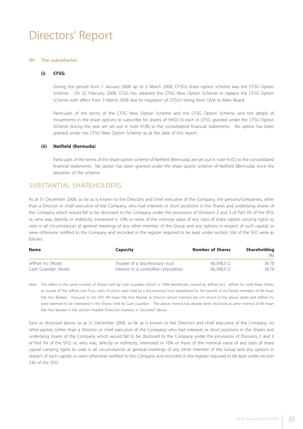#### **(B) The subsidiaries**

#### **(i) CFSG**

During the period from 1 January 2008 up to 2 March 2008, CFSG's share option scheme was the CFSG Option Scheme. On 22 February 2008, CFSG has adopted the CFSG New Option Scheme to replace the CFSG Option Scheme with effect from 3 March 2008 due to migration of CFSG's listing from GEM to Main Board.

Particulars of the terms of the CFSG New Option Scheme and the CFSG Option Scheme, and the details of movements in the share options to subscribe for shares of HK\$0.10 each in CFSG granted under the CFSG Option Scheme during the year are set out in note 41(B) to the consolidated financial statements. No option has been granted under the CFSG New Option Scheme as at the date of this report.

#### **(ii) Netfield (Bermuda)**

Particulars of the terms of the share option scheme of Netfield (Bermuda) are set out in note 41(C) to the consolidated financial statements. No option has been granted under the share option scheme of Netfield (Bermuda) since the adoption of the scheme.

#### SUBSTANTIAL SHAREHOLDERS

As at 31 December 2008, so far as is known to the Directors and chief executive of the Company, the persons/companies, other than a Director or chief executive of the Company, who had interests or short positions in the Shares and underlying shares of the Company which would fall to be disclosed to the Company under the provisions of Divisions 2 and 3 of Part XV of the SFO, or, who was, directly or indirectly, interested in 10% or more of the nominal value of any class of share capital carrying rights to vote in all circumstances at general meetings of any other member of the Group and any options in respect of such capital, or were otherwise notified to the Company and recorded in the register required to be kept under section 336 of the SFO were as follows:

| <b>Name</b>          | <b>Capacity</b>                      | <b>Number of Shares</b> | <b>Shareholding</b> |  |
|----------------------|--------------------------------------|-------------------------|---------------------|--|
|                      |                                      |                         | (% )                |  |
| Jeffnet Inc (Note)   | Trustee of a discretionary trust     | 66,398,512              | 36.78               |  |
| Cash Guardian (Note) | Interest in a controlled corporation | 66.398.512              | 36.78               |  |

Note: This refers to the same number of Shares held by Cash Guardian (which is 100% beneficially owned by Jeffnet Inc). Jeffnet Inc held these Shares as trustee of The Jeffnet Unit Trust, units of which were held by a discretionary trust established for the benefit of the family members of Mr Kwan Pak Hoo Bankee. Pursuant to the SFO, Mr Kwan Pak Hoo Bankee (a Director whose interests are not shown in the above table) and Jeffnet Inc were deemed to be interested in the Shares held by Cash Guardian. The above interest has already been disclosed as other interest of Mr Kwan Pak Hoo Bankee in the section headed "Directors' Interests in Securities" above.

Save as disclosed above, as at 31 December 2008, so far as is known to the Directors and chief executive of the Company, no other parties (other than a Director or chief executive of the Company) who had interests or short positions in the Shares and underlying shares of the Company which would fall to be disclosed to the Company under the provisions of Divisions 2 and 3 of Part XV of the SFO, or, who was, directly or indirectly, interested in 10% or more of the nominal value of any class of share capital carrying rights to vote in all circumstances at general meetings of any other member of the Group and any options in respect of such capital, or were otherwise notified to the Company and recorded in the register required to be kept under section 336 of the SFO.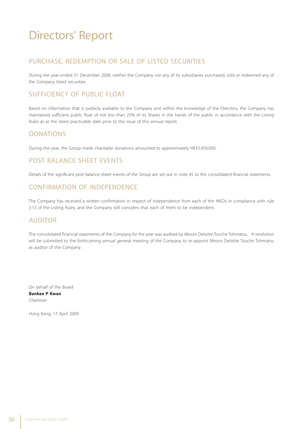## Directors' Report

### PURCHASE, REDEMPTION OR SALE OF LISTED SECURITIES

During the year ended 31 December 2008, neither the Company nor any of its subsidiaries purchased, sold or redeemed any of the Company listed securities.

### SUFFICIENCY OF PUBLIC FLOAT

Based on information that is publicly available to the Company and within the knowledge of the Directors, the Company has maintained sufficient public float of not less than 25% of its Shares in the hands of the public in accordance with the Listing Rules as at the latest practicable date prior to the issue of this annual report.

### DONATIONS

During the year, the Group made charitable donations amounted to approximately HK\$5,450,000.

### POST BALANCE SHEET EVENTS

Details of the significant post balance sheet events of the Group are set out in note 45 to the consolidated financial statements.

### CONFIRMATION OF INDEPENDENCE

The Company has received a written confirmation in respect of independence from each of the INEDs in compliance with rule 3.13 of the Listing Rules, and the Company still considers that each of them to be independent.

### AUDITOR

The consolidated financial statements of the Company for the year was audited by Messrs Deloitte Touche Tohmatsu. A resolution will be submitted to the forthcoming annual general meeting of the Company to re-appoint Messrs Deloitte Touche Tohmatsu as auditor of the Company.

On behalf of the Board **Bankee P Kwan** *Chairman*

Hong Kong, 17 April 2009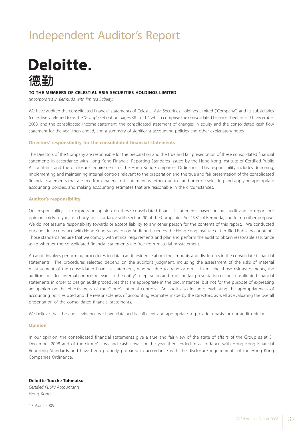## Independent Auditor's Report



#### **TO THE MEMBERS OF CELESTIAL ASIA SECURITIES HOLDINGS LIMITED**

*(incorporated in Bermuda with limited liability)*

We have audited the consolidated financial statements of Celestial Asia Securities Holdings Limited ("Company") and its subsidiaries (collectively referred to as the "Group") set out on pages 38 to 112, which comprise the consolidated balance sheet as at 31 December 2008, and the consolidated income statement, the consolidated statement of changes in equity and the consolidated cash flow statement for the year then ended, and a summary of significant accounting policies and other explanatory notes.

#### **Directors' responsibility for the consolidated financial statements**

The Directors of the Company are responsible for the preparation and the true and fair presentation of these consolidated financial statements in accordance with Hong Kong Financial Reporting Standards issued by the Hong Kong Institute of Certified Public Accountants and the disclosure requirements of the Hong Kong Companies Ordinance. This responsibility includes designing, implementing and maintaining internal controls relevant to the preparation and the true and fair presentation of the consolidated financial statements that are free from material misstatement, whether due to fraud or error; selecting and applying appropriate accounting policies; and making accounting estimates that are reasonable in the circumstances.

#### **Auditor's responsibility**

Our responsibility is to express an opinion on these consolidated financial statements based on our audit and to report our opinion solely to you, as a body, in accordance with section 90 of the Companies Act 1981 of Bermuda, and for no other purpose. We do not assume responsibility towards or accept liability to any other person for the contents of this report. We conducted our audit in accordance with Hong Kong Standards on Auditing issued by the Hong Kong Institute of Certified Public Accountants. Those standards require that we comply with ethical requirements and plan and perform the audit to obtain reasonable assurance as to whether the consolidated financial statements are free from material misstatement.

An audit involves performing procedures to obtain audit evidence about the amounts and disclosures in the consolidated financial statements. The procedures selected depend on the auditor's judgment, including the assessment of the risks of material misstatement of the consolidated financial statements, whether due to fraud or error. In making those risk assessments, the auditor considers internal controls relevant to the entity's preparation and true and fair presentation of the consolidated financial statements in order to design audit procedures that are appropriate in the circumstances, but not for the purpose of expressing an opinion on the effectiveness of the Group's internal controls. An audit also includes evaluating the appropriateness of accounting policies used and the reasonableness of accounting estimates made by the Directors, as well as evaluating the overall presentation of the consolidated financial statements.

We believe that the audit evidence we have obtained is sufficient and appropriate to provide a basis for our audit opinion.

#### **Opinion**

In our opinion, the consolidated financial statements give a true and fair view of the state of affairs of the Group as at 31 December 2008 and of the Group's loss and cash flows for the year then ended in accordance with Hong Kong Financial Reporting Standards and have been properly prepared in accordance with the disclosure requirements of the Hong Kong Companies Ordinance.

#### **Deloitte Touche Tohmatsu**

*Certified Public Accountants* Hong Kong

17 April 2009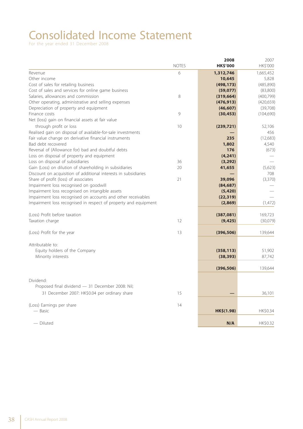# Consolidated Income Statement

|                                                                 |              | 2008            | 2007       |
|-----------------------------------------------------------------|--------------|-----------------|------------|
|                                                                 | <b>NOTES</b> | <b>HK\$'000</b> | HK\$'000   |
| Revenue                                                         | 6            | 1,312,746       | 1,665,452  |
| Other income                                                    |              | 10,645          | 5,828      |
| Cost of sales for retailing business                            |              | (498, 173)      | (485, 890) |
| Cost of sales and services for online game business             |              | (59, 077)       | (83, 800)  |
| Salaries, allowances and commission                             | 8            | (319, 664)      | (400, 799) |
| Other operating, administrative and selling expenses            |              | (476, 913)      | (420, 659) |
| Depreciation of property and equipment                          |              | (46, 607)       | (39,708)   |
| Finance costs                                                   | 9            | (30, 453)       | (104, 690) |
| Net (loss) gain on financial assets at fair value               |              |                 |            |
| through profit or loss                                          | 10           | (239, 721)      | 52,106     |
| Realised gain on disposal of available-for-sale investments     |              |                 | 456        |
| Fair value change on derivative financial instruments           |              | 235             | (12, 683)  |
| Bad debt recovered                                              |              | 1,802           | 4,540      |
| Reversal of (Allowance for) bad and doubtful debts              |              | 176             | (673)      |
| Loss on disposal of property and equipment                      |              | (4, 241)        |            |
| Loss on disposal of subsidiaries                                | 36           | (3, 292)        |            |
| Gain (Loss) on dilution of shareholding in subsidiaries         | 20           | 41,655          | (5,623)    |
| Discount on acquisition of additional interests in subsidiaries |              |                 | 708        |
| Share of profit (loss) of associates                            | 21           | 39,096          | (3, 370)   |
| Impairment loss recognised on goodwill                          |              | (84, 687)       |            |
| Impairment loss recognised on intangible assets                 |              | (5,420)         |            |
| Impairment loss recognised on accounts and other receivables    |              | (22, 319)       |            |
| Impairment loss recognised in respect of property and equipment |              | (2,869)         | (1, 472)   |
|                                                                 |              |                 |            |
| (Loss) Profit before taxation                                   |              | (387,081)       | 169,723    |
| Taxation charge                                                 | 12           | (9, 425)        | (30,079)   |
|                                                                 |              |                 |            |
| (Loss) Profit for the year                                      | 13           | (396, 506)      | 139,644    |
|                                                                 |              |                 |            |
| Attributable to:                                                |              |                 |            |
| Equity holders of the Company                                   |              | (358, 113)      | 51,902     |
| Minority interests                                              |              | (38, 393)       | 87,742     |
|                                                                 |              | (396, 506)      | 139,644    |
|                                                                 |              |                 |            |
| Dividend:                                                       |              |                 |            |
| Proposed final dividend - 31 December 2008: Nil;                |              |                 |            |
| 31 December 2007: HK\$0.04 per ordinary share                   | 15           |                 | 36,101     |
|                                                                 |              |                 |            |
| (Loss) Earnings per share                                       | 14           |                 |            |
| — Basic                                                         |              | HK\$(1.98)      | HK\$0.34   |
| - Diluted                                                       |              | N/A             | HK\$0.32   |
|                                                                 |              |                 |            |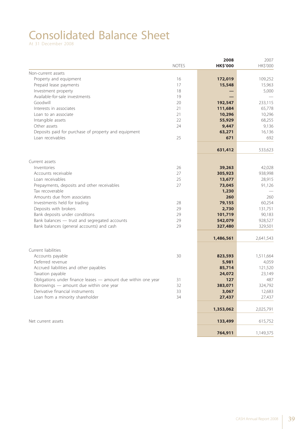# Consolidated Balance Sheet

|                                                               | <b>NOTES</b> | 2008<br><b>HK\$'000</b> | 2007<br>HK\$'000 |
|---------------------------------------------------------------|--------------|-------------------------|------------------|
| Non-current assets                                            |              |                         |                  |
| Property and equipment                                        | 16           | 172,019                 | 109,252          |
| Prepaid lease payments                                        | 17           | 15,548                  | 15,963           |
| Investment property                                           | 18           |                         | 5,000            |
| Available-for-sale investments                                | 19           |                         |                  |
| Goodwill                                                      | 20           | 192,547                 | 233,115          |
| Interests in associates                                       | 21           | 111,684                 | 65,778           |
| Loan to an associate                                          | 21           | 10,296                  | 10,296           |
| Intangible assets                                             | 22           | 55,929                  | 68,255           |
| Other assets                                                  | 24           | 9,447                   | 9,136            |
| Deposits paid for purchase of property and equipment          |              | 63,271                  | 16,136           |
| Loan receivables                                              | 25           | 671                     | 692              |
|                                                               |              | 631,412                 | 533,623          |
| Current assets                                                |              |                         |                  |
| Inventories                                                   | 26           | 39,263                  | 42,028           |
| Accounts receivable                                           | 27           | 305,923                 | 938,998          |
| Loan receivables                                              | 25           | 13,677                  | 28,915           |
| Prepayments, deposits and other receivables                   | 27           | 73,045                  | 91,126           |
| Tax recoverable                                               |              | 1,230                   |                  |
| Amounts due from associates                                   |              | 260                     | 260              |
| Investments held for trading                                  | 28           | 79,155                  | 60,254           |
| Deposits with brokers                                         | 29           | 2,730                   | 131,751          |
| Bank deposits under conditions                                | 29           | 101,719                 | 90,183           |
| Bank balances - trust and segregated accounts                 | 29           | 542,079                 | 928,527          |
| Bank balances (general accounts) and cash                     | 29           | 327,480                 | 329,501          |
|                                                               |              | 1,486,561               | 2,641,543        |
| Current liabilities                                           |              |                         |                  |
| Accounts payable                                              | 30           | 823,593                 | 1,511,664        |
| Deferred revenue                                              |              | 5,981                   | 4,059            |
| Accrued liabilities and other payables                        |              | 85,714                  | 121,520          |
| Taxation payable                                              |              | 24,072                  | 23,149           |
| Obligations under finance leases - amount due within one year | 31           | 127                     | 487              |
| Borrowings — amount due within one year                       | 32           | 383,071                 | 324,792          |
| Derivative financial instruments                              | 33           | 3,067                   | 12,683           |
| Loan from a minority shareholder                              | 34           | 27,437                  | 27,437           |
|                                                               |              | 1,353,062               | 2,025,791        |
| Net current assets                                            |              | 133,499                 | 615,752          |
|                                                               |              | 764,911                 | 1,149,375        |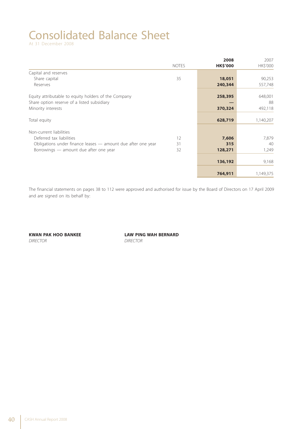# Consolidated Balance Sheet

|                                                              |              | 2008            | 2007      |
|--------------------------------------------------------------|--------------|-----------------|-----------|
|                                                              | <b>NOTES</b> | <b>HK\$'000</b> | HK\$'000  |
| Capital and reserves                                         |              |                 |           |
| Share capital                                                | 35           | 18,051          | 90,253    |
| Reserves                                                     |              | 240,344         | 557,748   |
| Equity attributable to equity holders of the Company         |              | 258,395         | 648,001   |
| Share option reserve of a listed subsidiary                  |              |                 | 88        |
| Minority interests                                           |              | 370,324         | 492,118   |
| Total equity                                                 |              | 628,719         | 1,140,207 |
|                                                              |              |                 |           |
| Non-current liabilities                                      |              |                 |           |
| Deferred tax liabilities                                     | 12           | 7,606           | 7,879     |
| Obligations under finance leases - amount due after one year | 31           | 315             | 40        |
| Borrowings — amount due after one year                       | 32           | 128,271         | 1,249     |
|                                                              |              |                 |           |
|                                                              |              | 136,192         | 9,168     |
|                                                              |              | 764,911         | 1,149,375 |

The financial statements on pages 38 to 112 were approved and authorised for issue by the Board of Directors on 17 April 2009 and are signed on its behalf by:

*DIRECTOR DIRECTOR*

**KWAN PAK HOO BANKEE LAW PING WAH BERNARD**<br>DIRECTOR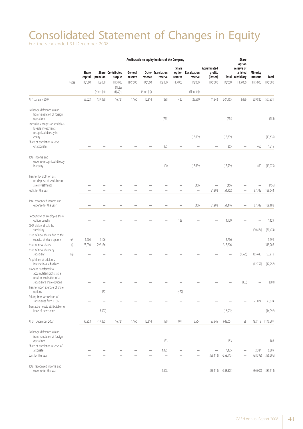# Consolidated Statement of Changes in Equity

|                                                                                                                                                                |       |                                     |                     |                                          |                                |                     | Attributable to equity holders of the Company |                                        |                                    |                                                |                 | Share                                                                   |                                          |                          |
|----------------------------------------------------------------------------------------------------------------------------------------------------------------|-------|-------------------------------------|---------------------|------------------------------------------|--------------------------------|---------------------|-----------------------------------------------|----------------------------------------|------------------------------------|------------------------------------------------|-----------------|-------------------------------------------------------------------------|------------------------------------------|--------------------------|
|                                                                                                                                                                | Notes | <b>Share</b><br>capital<br>HK\$'000 | premium<br>HK\$'000 | Share Contributed<br>surplus<br>HK\$'000 | General<br>reserve<br>HK\$'000 | reserve<br>HK\$'000 | Other Translation<br>reserve<br>HK\$'000      | Share<br>option<br>reserve<br>HK\$'000 | Revaluation<br>reserve<br>HK\$'000 | Accumulated<br>profits<br>(losses)<br>HK\$'000 | HK\$'000        | option<br>reserve of<br>a listed<br><b>Total subsidiary</b><br>HK\$'000 | <b>Minority</b><br>interests<br>HK\$'000 | <b>Total</b><br>HK\$'000 |
|                                                                                                                                                                |       |                                     | (Note (a))          | (Notes<br>$(b)$ & $(c)$                  |                                | (Note (d))          |                                               |                                        | (Note (k))                         |                                                |                 |                                                                         |                                          |                          |
| At 1 January 2007                                                                                                                                              |       | 65,623                              | 137,398             | 16,724                                   | 1,160                          | 12,314              | (288)                                         | 422                                    | 29,659                             | 41,943                                         | 304,955         | 2,496                                                                   | 259,880                                  | 567,331                  |
| Exchange difference arising<br>from translation of foreign<br>operations<br>Fair value changes on available-<br>for-sale investments<br>recognised directly in |       |                                     |                     |                                          |                                |                     | (755)                                         |                                        |                                    |                                                | (755)           |                                                                         |                                          | (755)                    |
| equity                                                                                                                                                         |       |                                     |                     |                                          |                                |                     |                                               |                                        | (13, 639)                          |                                                | (13,639)        |                                                                         |                                          | (13, 639)                |
| Share of translation reserve<br>of associates                                                                                                                  |       |                                     |                     |                                          |                                |                     | 855                                           |                                        |                                    |                                                | 855             |                                                                         | 460                                      | 1,315                    |
| Total income and<br>expense recognised directly<br>in equity                                                                                                   |       |                                     |                     |                                          |                                |                     | 100                                           |                                        | (13, 639)                          |                                                | (13,539)        |                                                                         | 460                                      | (13,079)                 |
| Transfer to profit or loss<br>on disposal of available-for-<br>sale investments<br>Profit for the year                                                         |       |                                     |                     |                                          |                                |                     |                                               |                                        | (456)<br>$\qquad \qquad -$         | 51,902                                         | (456)<br>51,902 |                                                                         | 87,742                                   | (456)<br>139,644         |
| Total recognised income and<br>expense for the year                                                                                                            |       |                                     |                     |                                          |                                |                     |                                               |                                        | (456)                              | 51,902                                         | 51,446          |                                                                         | 87,742                                   | 139,188                  |
| Recognition of employee share<br>option benefits                                                                                                               |       |                                     |                     |                                          |                                |                     |                                               | 1,129                                  |                                    |                                                | 1,129           |                                                                         |                                          | 1,129                    |
| 2007 dividend paid by<br>subsidiary                                                                                                                            |       |                                     |                     |                                          |                                |                     |                                               |                                        |                                    |                                                |                 |                                                                         | (30, 474)                                | (30, 474)                |
| Issue of new shares due to the<br>exercise of share options                                                                                                    | (e)   | 1,600                               | 4,196               |                                          |                                |                     |                                               |                                        |                                    |                                                | 5,796           |                                                                         |                                          | 5,796                    |
| Issue of new shares                                                                                                                                            | (f)   | 23,030                              | 292,176             |                                          |                                |                     |                                               |                                        |                                    |                                                | 315,206         |                                                                         |                                          | 315,206                  |
| Issue of new shares by<br>subsidiary                                                                                                                           | (g)   |                                     |                     |                                          |                                |                     |                                               |                                        |                                    |                                                |                 | (1,525)                                                                 | 165,443                                  | 163,918                  |
| Acquisition of additional<br>interest in a subsidiary                                                                                                          |       |                                     |                     |                                          |                                |                     |                                               |                                        |                                    |                                                |                 |                                                                         | (12,757)                                 | (12,757)                 |
| Amount transferred to<br>accumulated profits as a<br>result of expiration of a<br>subsidiary's share options                                                   |       |                                     |                     |                                          |                                |                     |                                               |                                        |                                    |                                                |                 | (883)                                                                   |                                          | (883)                    |
| Transfer upon exercise of share<br>options                                                                                                                     |       |                                     | 477                 |                                          |                                |                     |                                               | (477)                                  |                                    |                                                |                 |                                                                         |                                          |                          |
| Arising from acquisition of<br>subsidiaries from CFSG                                                                                                          |       |                                     |                     |                                          |                                |                     |                                               |                                        |                                    |                                                |                 |                                                                         | 21,824                                   | 21,824                   |
| Transaction costs attributable to<br>issue of new shares                                                                                                       |       | -                                   | (16,992)            |                                          |                                |                     |                                               | -                                      |                                    | -                                              | (16,992)        |                                                                         |                                          | (16,992)                 |
| At 31 December 2007                                                                                                                                            |       | 90,253                              | 417,255             | 16,724                                   | 1,160                          | 12,314              | (188)                                         | 1,074                                  | 15,564                             | 93,845                                         | 648,001         | 88                                                                      |                                          | 492,118 1,140,207        |
| Exchange difference arising<br>from translation of foreign                                                                                                     |       |                                     |                     |                                          |                                |                     |                                               |                                        |                                    |                                                |                 |                                                                         |                                          |                          |
| operations<br>Share of translation reserve of                                                                                                                  |       |                                     |                     |                                          |                                |                     | 183                                           |                                        |                                    |                                                | 183             |                                                                         |                                          | 183                      |
| associate                                                                                                                                                      |       |                                     |                     |                                          |                                |                     | 4,425                                         |                                        |                                    |                                                | 4,425           |                                                                         | 2,384                                    | 6,809                    |
| Loss for the year                                                                                                                                              |       |                                     |                     |                                          |                                |                     | $\qquad \qquad -$                             |                                        |                                    | (358, 113)                                     | (358, 113)      |                                                                         | (38, 393)                                | (396, 506)               |
| Total recognised income and<br>expense for the year                                                                                                            |       |                                     |                     |                                          |                                |                     | 4,608                                         |                                        |                                    | (358, 113)                                     | (353,505)       |                                                                         |                                          | $(36,009)$ $(389,514)$   |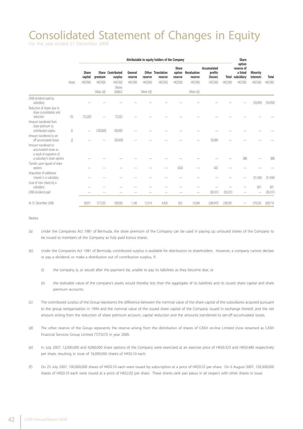## Consolidated Statement of Changes in Equity

For the year ended 31 December 2008

|                                                                                                             |       | Attributable to equity holders of the Company |                                         |                                                                            |                                |                                          |                                                       |                                    |                                                         |                                                |                 | Share                                                                          |                                          |                          |
|-------------------------------------------------------------------------------------------------------------|-------|-----------------------------------------------|-----------------------------------------|----------------------------------------------------------------------------|--------------------------------|------------------------------------------|-------------------------------------------------------|------------------------------------|---------------------------------------------------------|------------------------------------------------|-----------------|--------------------------------------------------------------------------------|------------------------------------------|--------------------------|
|                                                                                                             | Notes | Share<br>capital<br>HK\$'000                  | premium<br><b>HKS'000</b><br>(Note (a)) | Share Contributed<br>surplus<br><b>HK\$'000</b><br>(Notes<br>$(b)$ & $(c)$ | General<br>reserve<br>HK\$'000 | reserve<br><b>HK\$'000</b><br>(Note (d)) | <b>Other Translation</b><br>reserve<br><b>HKS'000</b> | Share<br>reserve<br><b>HKS'000</b> | option Revaluation<br>reserve<br>HK\$'000<br>(Note (k)) | Accumulated<br>profits<br>(losses)<br>HK\$'000 | <b>HK\$'000</b> | option<br>reserve of<br>a listed<br><b>Total subsidiary</b><br><b>HK\$'000</b> | <b>Minority</b><br>interests<br>HK\$'000 | <b>Total</b><br>HK\$'000 |
| 2008 dividend paid by                                                                                       |       |                                               |                                         |                                                                            |                                |                                          |                                                       |                                    |                                                         |                                                |                 |                                                                                |                                          |                          |
| subsidiary                                                                                                  |       |                                               |                                         |                                                                            |                                |                                          |                                                       |                                    |                                                         |                                                |                 |                                                                                | (54,950)                                 | (54,950)                 |
| Reduction of shares due to<br>share consolidation and<br>reduction                                          | (h)   | (72,202)                                      |                                         | 72,202                                                                     |                                |                                          |                                                       |                                    |                                                         |                                                |                 |                                                                                |                                          |                          |
| Amount transferred from<br>share premium to<br>contributed surplus                                          | (i)   | -                                             | (100,000)                               | 100,000                                                                    |                                |                                          |                                                       |                                    |                                                         |                                                |                 |                                                                                |                                          |                          |
| Amount transferred to set<br>off accumulated losses                                                         | (j)   |                                               |                                         | (50,000)                                                                   |                                |                                          |                                                       |                                    |                                                         | 50,000                                         |                 |                                                                                |                                          |                          |
| Amount transferred to<br>accumulated losses as<br>a result of expiration of<br>a subsidiary's share options |       |                                               |                                         |                                                                            |                                |                                          |                                                       |                                    |                                                         |                                                |                 | (88)                                                                           |                                          | (88)                     |
| Transfer upon lapsed of share<br>options                                                                    |       |                                               |                                         |                                                                            |                                |                                          |                                                       | (422)                              |                                                         | 422                                            |                 |                                                                                |                                          |                          |
| Acquisition of additional<br>interest in a subsidiary                                                       |       |                                               |                                         |                                                                            |                                |                                          |                                                       |                                    |                                                         |                                                |                 |                                                                                | (31, 436)                                | (31, 436)                |
| Issue of new shares by a<br>subsidiary                                                                      |       |                                               |                                         |                                                                            |                                |                                          |                                                       |                                    |                                                         |                                                |                 |                                                                                | 601                                      | 601                      |
| 2008 dividend paid                                                                                          |       |                                               |                                         |                                                                            |                                |                                          |                                                       |                                    |                                                         | (36, 101)                                      | (36, 101)       |                                                                                |                                          | (36, 101)                |
| At 31 December 2008                                                                                         |       | 18,051                                        | 317,255                                 | 138,926                                                                    | 1,160                          | 12,314                                   | 4,420                                                 | 652                                | 15,564                                                  | (249, 947)                                     | 258,395         |                                                                                | 370,324                                  | 628,719                  |

Notes:

- (a) Under the Companies Act 1981 of Bermuda, the share premium of the Company can be used in paying up unissued shares of the Company to be issued to members of the Company as fully paid bonus shares.
- (b) Under the Companies Act 1981 of Bermuda, contributed surplus is available for distribution to shareholders. However, a company cannot declare or pay a dividend, or make a distribution out of contribution surplus, if:
	- (i) the company is, or would after the payment be, unable to pay its liabilities as they become due; or
	- (ii) the realisable value of the company's assets would thereby less than the aggregate of its liabilities and its issued share capital and share premium accounts.
- (c) The contributed surplus of the Group represents the difference between the nominal value of the share capital of the subsidiaries acquired pursuant to the group reorganisation in 1994 and the nominal value of the issued share capital of the Company issued in exchange thereof, and the net amount arising from the reduction of share premium account, capital reduction and the amounts transferred to set-off accumulated losses.
- (d) The other reserve of the Group represents the reserve arising from the distribution of shares of CASH on-line Limited (now renamed as CASH Financial Services Group Limited ("CFSG")) in year 2000.
- (e) In July 2007, 12,000,000 and 4,000,000 share options of the Company were exercised at an exercise price of HK\$0.323 and HK\$0.480 respectively per share, resulting in issue of 16,000,000 shares of HK\$0.10 each.
- (f ) On 23 July 2007, 100,000,000 shares of HK\$0.10 each were issued by subscription at a price of HK\$0.52 per share. On 6 August 2007, 130,300,000 shares of HK\$0.10 each were issued at a price of HK\$2.02 per share. These shares rank pari passu in all respect with other shares in issue.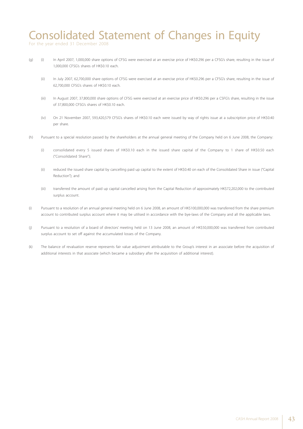## Consolidated Statement of Changes in Equity

For the year ended 31 December 2008

- (g) (i) In April 2007, 1,000,000 share options of CFSG were exercised at an exercise price of HK\$0.296 per a CFSG's share, resulting in the issue of 1,000,000 CFSG's shares of HK\$0.10 each.
	- (ii) In July 2007, 62,700,000 share options of CFSG were exercised at an exercise price of HK\$0.296 per a CFSG's share, resulting in the issue of 62,700,000 CFSG's shares of HK\$0.10 each.
	- (iii) In August 2007, 37,800,000 share options of CFSG were exercised at an exercise price of HK\$0.296 per a CSFG's share, resulting in the issue of 37,800,000 CFSG's shares of HK\$0.10 each.
	- (iv) On 21 November 2007, 593,420,579 CFSG's shares of HK\$0.10 each were issued by way of rights issue at a subscription price of HK\$0.40 per share.
- (h) Pursuant to a special resolution passed by the shareholders at the annual general meeting of the Company held on 6 June 2008, the Company:
	- (i) consolidated every 5 issued shares of HK\$0.10 each in the issued share capital of the Company to 1 share of HK\$0.50 each ("Consolidated Share");
	- (ii) reduced the issued share capital by cancelling paid up capital to the extent of HK\$0.40 on each of the Consolidated Share in issue ("Capital Reduction"); and
	- (iii) transferred the amount of paid up capital cancelled arising from the Capital Reduction of approximately HK\$72,202,000 to the contributed surplus account.
- (i) Pursuant to a resolution of an annual general meeting held on 6 June 2008, an amount of HK\$100,000,000 was transferred from the share premium account to contributed surplus account where it may be utilised in accordance with the bye-laws of the Company and all the applicable laws.
- (j) Pursuant to a resolution of a board of directors' meeting held on 13 June 2008, an amount of HK\$50,000,000 was transferred from contributed surplus account to set off against the accumulated losses of the Company.
- (k) The balance of revaluation reserve represents fair value adjustment attributable to the Group's interest in an associate before the acquisition of additional interests in that associate (which became a subsidiary after the acquisition of additional interest).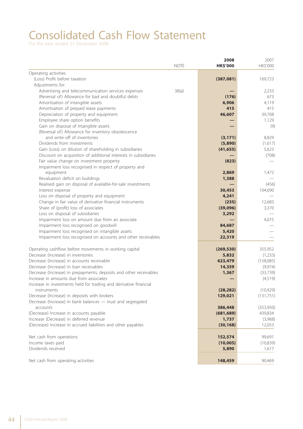# Consolidated Cash Flow Statement

|                                                                    |             | 2008            | 2007       |
|--------------------------------------------------------------------|-------------|-----------------|------------|
|                                                                    | <b>NOTE</b> | <b>HK\$'000</b> | HK\$'000   |
| Operating activities                                               |             |                 |            |
| (Loss) Profit before taxation                                      |             | (387,081)       | 169,723    |
| Adjustments for:                                                   |             |                 |            |
| Advertising and telecommunication services expenses                | 38(a)       |                 | 2,233      |
| (Reversal of) Allowance for bad and doubtful debts                 |             | (176)           | 673        |
| Amortisation of intangible assets                                  |             | 6,906           | 4,119      |
| Amortisation of prepaid lease payments                             |             | 415             | 415        |
| Depreciation of property and equipment                             |             | 46,607          | 39,708     |
|                                                                    |             |                 |            |
| Employee share option benefits                                     |             |                 | 1,129      |
| Gain on disposal of intangible assets                              |             |                 | (9)        |
| (Reversal of) Allowance for inventory obsolescence                 |             |                 |            |
| and write-off of inventories                                       |             | (3, 171)        | 8,829      |
| Dividends from investments                                         |             | (5,890)         | (1,617)    |
| Gain (Loss) on dilution of shareholding in subsidiaries            |             | (41, 655)       | 5,623      |
| Discount on acquisition of additional interests in subsidiaries    |             |                 | (708)      |
| Fair value change on investment property                           |             | (823)           |            |
| Impairment loss recognised in respect of property and              |             |                 |            |
| equipment                                                          |             | 2,869           | 1,472      |
| Revaluation deficit on buildings                                   |             | 1,388           |            |
| Realised gain on disposal of available-for-sale investments        |             |                 | (456)      |
| Interest expense                                                   |             | 30,453          | 104,690    |
| Loss on disposal of property and equipment                         |             | 4,241           |            |
| Change in fair value of derivative financial instruments           |             | (235)           | 12,683     |
| Share of (profit) loss of associates                               |             | (39,096)        | 3,370      |
| Loss on disposal of subsidiaries                                   |             | 3,292           |            |
| Impairment loss on amount due from an associate                    |             |                 | 4,075      |
| Impairment loss recognised on goodwill                             |             | 84,687          |            |
| Impairment loss recognised on intangible assets                    |             | 5,420           |            |
| Impairment loss recognised on accounts and other receivables       |             | 22,319          |            |
|                                                                    |             |                 |            |
| Operating cashflow before movements in working capital             |             | (269, 530)      | 355,952    |
| Decrease (Increase) in inventories                                 |             | 5,832           | (1,233)    |
| Decrease (Increase) in accounts receivable                         |             | 623,479         |            |
|                                                                    |             |                 | (158,085)  |
| Decrease (Increase) in loan receivables                            |             | 14,359          | (9, 974)   |
| Decrease (Increase) in prepayments, deposits and other receivables |             | 1,367           | (33, 739)  |
| Increase in amounts due from associates                            |             |                 | (4, 519)   |
| Increase in investments held for trading and derivative financial  |             |                 |            |
| instruments                                                        |             | (28, 282)       | (10, 929)  |
| Decrease (Increase) in deposits with brokers                       |             | 129,021         | (131, 751) |
| Decrease (Increase) in bank balances - trust and segregated        |             |                 |            |
| accounts                                                           |             | 386,448         | (353,950)  |
| (Decrease) Increase in accounts payable                            |             | (681, 689)      | 439,834    |
| Increase (Decrease) in deferred revenue                            |             | 1,737           | (3,968)    |
| (Decrease) Increase in accrued liabilities and other payables      |             | (30, 168)       | 12,053     |
|                                                                    |             |                 |            |
| Net cash from operations                                           |             | 152,574         | 99,691     |
| Income taxes paid                                                  |             | (10,005)        | (10, 839)  |
| Dividends received                                                 |             | 5,890           | 1,617      |
| Net cash from operating activities                                 |             | 148,459         | 90,469     |
|                                                                    |             |                 |            |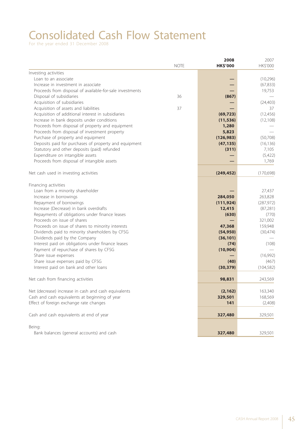# Consolidated Cash Flow Statement

|                                                          |             | 2008            | 2007       |
|----------------------------------------------------------|-------------|-----------------|------------|
|                                                          | <b>NOTE</b> | <b>HK\$'000</b> | HK\$'000   |
| Investing activities                                     |             |                 |            |
| Loan to an associate                                     |             |                 | (10, 296)  |
| Increase in investment in associate                      |             |                 | (67, 833)  |
| Proceeds from disposal of available-for-sale investments |             |                 | 19,753     |
| Disposal of subsidiaries                                 | 36          | (867)           |            |
| Acquisition of subsidiaries                              |             |                 | (24, 403)  |
| Acquisition of assets and liabilities                    | 37          |                 | 37         |
| Acquisition of additional interest in subsidiaries       |             | (69, 723)       | (12, 456)  |
| Increase in bank deposits under conditions               |             | (11, 536)       | (12, 108)  |
| Proceeds from disposal of property and equipment         |             | 1,280           |            |
| Proceeds from disposal of investment property            |             | 5,823           |            |
| Purchase of property and equipment                       |             | (126, 983)      | (50,708)   |
| Deposits paid for purchases of property and equipment    |             | (47, 135)       | (16, 136)  |
| Statutory and other deposits (paid) refunded             |             | (311)           | 7,105      |
| Expenditure on intangible assets                         |             |                 | (5,422)    |
| Proceeds from disposal of intangible assets              |             |                 | 1,769      |
|                                                          |             |                 |            |
| Net cash used in investing activities                    |             | (249, 452)      | (170, 698) |
|                                                          |             |                 |            |
| Financing activities                                     |             |                 |            |
| Loan from a minority shareholder                         |             |                 | 27,437     |
| Increase in borrowings                                   |             | 284,050         | 263,828    |
| Repayment of borrowings                                  |             | (111, 924)      | (287, 972) |
| Increase (Decrease) in bank overdrafts                   |             | 12,415          | (87, 281)  |
| Repayments of obligations under finance leases           |             | (630)           | (770)      |
| Proceeds on issue of shares                              |             |                 | 321,002    |
| Proceeds on issue of shares to minority interests        |             | 47,368          | 159,948    |
| Dividends paid to minority shareholders by CFSG          |             | (54, 950)       | (30, 474)  |
| Dividends paid by the Company                            |             | (36, 101)       |            |
| Interest paid on obligations under finance leases        |             | (74)            | (108)      |
| Payment of repurchase of shares by CFSG                  |             | (10, 904)       |            |
| Share issue expenses                                     |             |                 | (16,992)   |
| Share issue expenses paid by CFSG                        |             | (40)            | (467)      |
| Interest paid on bank and other loans                    |             | (30, 379)       | (104, 582) |
|                                                          |             |                 |            |
| Net cash from financing activities                       |             | 98,831          | 243,569    |
|                                                          |             |                 |            |
| Net (decrease) increase in cash and cash equivalents     |             | (2, 162)        | 163,340    |
| Cash and cash equivalents at beginning of year           |             | 329,501         | 168,569    |
| Effect of foreign exchange rate changes                  |             | 141             | (2,408)    |
| Cash and cash equivalents at end of year                 |             | 327,480         | 329,501    |
|                                                          |             |                 |            |
| Being:<br>Bank balances (general accounts) and cash      |             | 327,480         | 329,501    |
|                                                          |             |                 |            |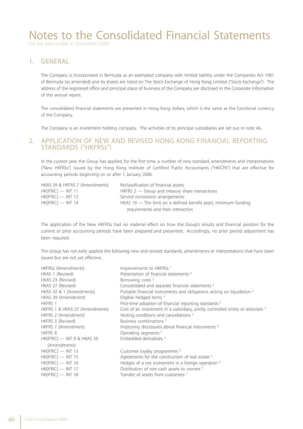For the year ended 31 December 2008

### 1. GENERAL

The Company is incorporated in Bermuda as an exempted company with limited liability under the Companies Act 1981 of Bermuda (as amended) and its shares are listed on The Stock Exchange of Hong Kong Limited ("Stock Exchange"). The address of the registered office and principal place of business of the Company are disclosed in the Corporate Information of this annual report.

The consolidated financial statements are presented in Hong Kong dollars, which is the same as the functional currency of the Company.

The Company is an investment holding company. The activities of its principal subsidiaries are set out in note 46.

### 2. APPLICATION OF NEW AND REVISED HONG KONG FINANCIAL REPORTING STANDARDS ("HKFRSs")

In the current year, the Group has applied, for the first time, a number of new standard, amendments and interpretations ("New HKFRSs") issued by the Hong Kong Institute of Certified Public Accountants ("HKICPA") that are effective for accounting periods beginning on or after 1 January 2008.

| HKAS 39 & HKFRS 7 (Amendments) | Reclassification of financial assets                              |
|--------------------------------|-------------------------------------------------------------------|
| $HK(IFRIC)$ — INT 11           | $HKFRS$ 2 $-$ Group and treasury share transactions               |
| $HK(IFRIC)$ — INT 12           | Service concession arrangements                                   |
| $HK(IFRIC)$ — INT 14           | HKAS 19 $-$ The limit on a defined benefit asset, minimum funding |
|                                | requirements and their interaction                                |

The application of the New HKFRSs had no material effect on how the Group's results and financial position for the current or prior accounting periods have been prepared and presented. Accordingly, no prior period adjustment has been required.

The Group has not early applied the following new and revised standards, amendments or interpretations that have been issued but are not yet effective.

| HKFRSs (Amendments)            | Improvements to HKFRSs <sup>1</sup>                                                        |
|--------------------------------|--------------------------------------------------------------------------------------------|
| HKAS 1 (Revised)               | Presentation of financial statements <sup>2</sup>                                          |
| HKAS 23 (Revised)              | Borrowing costs <sup>2</sup>                                                               |
| HKAS 27 (Revised)              | Consolidated and separate financial statements <sup>3</sup>                                |
| HKAS 32 & 1 (Amendments)       | Puttable financial instruments and obligations arising on liquidation <sup>2</sup>         |
| HKAS 39 (Amendment)            | Eligible hedged items <sup>3</sup>                                                         |
| HKFRS 1                        | First-time adoption of financial reporting standards 3                                     |
| HKFRS 1 & HKAS 27 (Amendments) | Cost of an investment in a subsidiary, jointly controlled entity or associate <sup>2</sup> |
| HKFRS 2 (Amendment)            | Vesting conditions and cancellations <sup>2</sup>                                          |
| HKFRS 3 (Revised)              | Business combinations <sup>3</sup>                                                         |
| HKFRS 7 (Amendment)            | Improving disclosures about financial instruments <sup>2</sup>                             |
| <b>HKFRS 8</b>                 | Operating segments <sup>2</sup>                                                            |
| HK(IFRIC) — INT 9 & HKAS 39    | Embedded derivatives <sup>4</sup>                                                          |
| (Amendments)                   |                                                                                            |
| HK(IFRIC) — INT 13             | Customer loyalty programmes <sup>5</sup>                                                   |
| HK(IFRIC) — INT 15             | Agreements for the construction of real estate $2$                                         |
| HK(IFRIC) — INT 16             | Hedges of a net investment in a foreign operation <sup>6</sup>                             |
| HK(IFRIC) — INT 17             | Distribution of non-cash assets to owners <sup>3</sup>                                     |
| HK(IFRIC) — INT 18             | Transfer of assets from customers <sup>7</sup>                                             |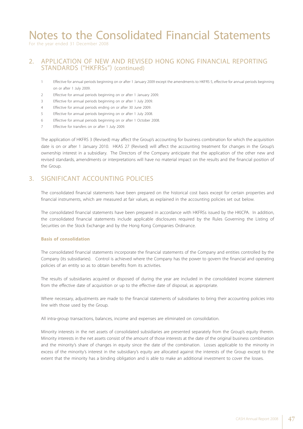For the year ended 31 December 2008

### 2. APPLICATION OF NEW AND REVISED HONG KONG FINANCIAL REPORTING STANDARDS ("HKFRSs") (continued)

- 1 Effective for annual periods beginning on or after 1 January 2009 except the amendments to HKFRS 5, effective for annual periods beginning on or after 1 July 2009.
- 2 Effective for annual periods beginning on or after 1 January 2009.
- 3 Effective for annual periods beginning on or after 1 July 2009.
- 4 Effective for annual periods ending on or after 30 June 2009.
- 5 Effective for annual periods beginning on or after 1 July 2008.
- 6 Effective for annual periods beginning on or after 1 October 2008.
- 7 Effective for transfers on or after 1 July 2009.

The application of HKFRS 3 (Revised) may affect the Group's accounting for business combination for which the acquisition date is on or after 1 January 2010. HKAS 27 (Revised) will affect the accounting treatment for changes in the Group's ownership interest in a subsidiary. The Directors of the Company anticipate that the application of the other new and revised standards, amendments or interpretations will have no material impact on the results and the financial position of the Group.

### 3. SIGNIFICANT ACCOUNTING POLICIES

The consolidated financial statements have been prepared on the historical cost basis except for certain properties and financial instruments, which are measured at fair values, as explained in the accounting policies set out below.

The consolidated financial statements have been prepared in accordance with HKFRSs issued by the HKICPA. In addition, the consolidated financial statements include applicable disclosures required by the Rules Governing the Listing of Securities on the Stock Exchange and by the Hong Kong Companies Ordinance.

#### **Basis of consolidation**

The consolidated financial statements incorporate the financial statements of the Company and entities controlled by the Company (its subsidiaries). Control is achieved where the Company has the power to govern the financial and operating policies of an entity so as to obtain benefits from its activities.

The results of subsidiaries acquired or disposed of during the year are included in the consolidated income statement from the effective date of acquisition or up to the effective date of disposal, as appropriate.

Where necessary, adjustments are made to the financial statements of subsidiaries to bring their accounting policies into line with those used by the Group.

All intra-group transactions, balances, income and expenses are eliminated on consolidation.

Minority interests in the net assets of consolidated subsidiaries are presented separately from the Group's equity therein. Minority interests in the net assets consist of the amount of those interests at the date of the original business combination and the minority's share of changes in equity since the date of the combination. Losses applicable to the minority in excess of the minority's interest in the subsidiary's equity are allocated against the interests of the Group except to the extent that the minority has a binding obligation and is able to make an additional investment to cover the losses.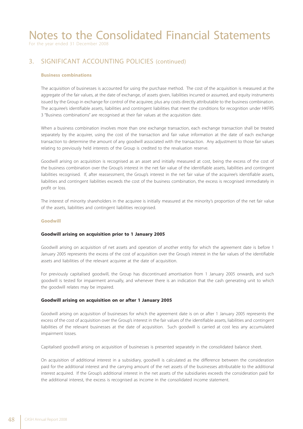For the year ended 31 December 2008

## 3. SIGNIFICANT ACCOUNTING POLICIES (continued)

#### **Business combinations**

The acquisition of businesses is accounted for using the purchase method. The cost of the acquisition is measured at the aggregate of the fair values, at the date of exchange, of assets given, liabilities incurred or assumed, and equity instruments issued by the Group in exchange for control of the acquiree, plus any costs directly attributable to the business combination. The acquiree's identifiable assets, liabilities and contingent liabilities that meet the conditions for recognition under HKFRS 3 "Business combinations" are recognised at their fair values at the acquisition date.

When a business combination involves more than one exchange transaction, each exchange transaction shall be treated separately by the acquirer, using the cost of the transaction and fair value information at the date of each exchange transaction to determine the amount of any goodwill associated with the transaction. Any adjustment to those fair values relating to previously held interests of the Group is credited to the revaluation reserve.

Goodwill arising on acquisition is recognised as an asset and initially measured at cost, being the excess of the cost of the business combination over the Group's interest in the net fair value of the identifiable assets, liabilities and contingent liabilities recognised. If, after reassessment, the Group's interest in the net fair value of the acquiree's identifiable assets, liabilities and contingent liabilities exceeds the cost of the business combination, the excess is recognised immediately in profit or loss.

The interest of minority shareholders in the acquiree is initially measured at the minority's proportion of the net fair value of the assets, liabilities and contingent liabilities recognised.

#### **Goodwill**

#### **Goodwill arising on acquisition prior to 1 January 2005**

Goodwill arising on acquisition of net assets and operation of another entity for which the agreement date is before 1 January 2005 represents the excess of the cost of acquisition over the Group's interest in the fair values of the identifiable assets and liabilities of the relevant acquiree at the date of acquisition.

For previously capitalised goodwill, the Group has discontinued amortisation from 1 January 2005 onwards, and such goodwill is tested for impairment annually, and whenever there is an indication that the cash generating unit to which the goodwill relates may be impaired.

#### **Goodwill arising on acquisition on or after 1 January 2005**

Goodwill arising on acquisition of businesses for which the agreement date is on or after 1 January 2005 represents the excess of the cost of acquisition over the Group's interest in the fair values of the identifiable assets, liabilities and contingent liabilities of the relevant businesses at the date of acquisition. Such goodwill is carried at cost less any accumulated impairment losses.

Capitalised goodwill arising on acquisition of businesses is presented separately in the consolidated balance sheet.

On acquisition of additional interest in a subsidiary, goodwill is calculated as the difference between the consideration paid for the additional interest and the carrying amount of the net assets of the businesses attributable to the additional interest acquired. If the Group's additional interest in the net assets of the subsidiaries exceeds the consideration paid for the additional interest, the excess is recognised as income in the consolidated income statement.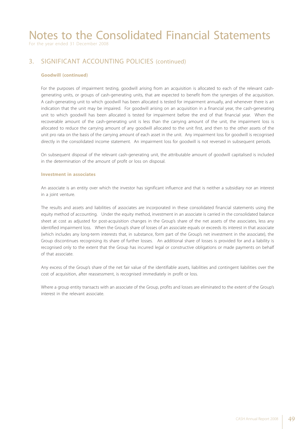For the year ended 31 December 2008

## 3. SIGNIFICANT ACCOUNTING POLICIES (continued)

#### **Goodwill (continued)**

For the purposes of impairment testing, goodwill arising from an acquisition is allocated to each of the relevant cashgenerating units, or groups of cash-generating units, that are expected to benefit from the synergies of the acquisition. A cash-generating unit to which goodwill has been allocated is tested for impairment annually, and whenever there is an indication that the unit may be impaired. For goodwill arising on an acquisition in a financial year, the cash-generating unit to which goodwill has been allocated is tested for impairment before the end of that financial year. When the recoverable amount of the cash-generating unit is less than the carrying amount of the unit, the impairment loss is allocated to reduce the carrying amount of any goodwill allocated to the unit first, and then to the other assets of the unit pro rata on the basis of the carrying amount of each asset in the unit. Any impairment loss for goodwill is recognised directly in the consolidated income statement. An impairment loss for goodwill is not reversed in subsequent periods.

On subsequent disposal of the relevant cash-generating unit, the attributable amount of goodwill capitalised is included in the determination of the amount of profit or loss on disposal.

#### **Investment in associates**

An associate is an entity over which the investor has significant influence and that is neither a subsidiary nor an interest in a joint venture.

The results and assets and liabilities of associates are incorporated in these consolidated financial statements using the equity method of accounting. Under the equity method, investment in an associate is carried in the consolidated balance sheet at cost as adjusted for post-acquisition changes in the Group's share of the net assets of the associates, less any identified impairment loss. When the Group's share of losses of an associate equals or exceeds its interest in that associate (which includes any long-term interests that, in substance, form part of the Group's net investment in the associate), the Group discontinues recognising its share of further losses. An additional share of losses is provided for and a liability is recognised only to the extent that the Group has incurred legal or constructive obligations or made payments on behalf of that associate.

Any excess of the Group's share of the net fair value of the identifiable assets, liabilities and contingent liabilities over the cost of acquisition, after reassessment, is recognised immediately in profit or loss.

Where a group entity transacts with an associate of the Group, profits and losses are eliminated to the extent of the Group's interest in the relevant associate.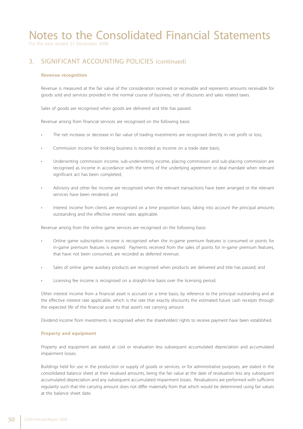For the year ended 31 December 2008

## 3. SIGNIFICANT ACCOUNTING POLICIES (continued)

#### **Revenue recognition**

Revenue is measured at the fair value of the consideration received or receivable and represents amounts receivable for goods sold and services provided in the normal course of business, net of discounts and sales related taxes.

Sales of goods are recognised when goods are delivered and title has passed.

Revenue arising from financial services are recognised on the following basis:

- The net increase or decrease in fair value of trading investments are recognised directly in net profit or loss;
- Commission income for broking business is recorded as income on a trade date basis;
- Underwriting commission income, sub-underwriting income, placing commission and sub-placing commission are recognised as income in accordance with the terms of the underlying agreement or deal mandate when relevant significant act has been completed;
- Advisory and other fee income are recognised when the relevant transactions have been arranged or the relevant services have been rendered; and
- Interest income from clients are recognised on a time proportion basis, taking into account the principal amounts outstanding and the effective interest rates applicable.

Revenue arising from the online game services are recognised on the following basis:

- Online game subscription income is recognised when the in-game premium features is consumed or points for in-game premium features is expired. Payments received from the sales of points for in-game premium features, that have not been consumed, are recorded as deferred revenue;
- Sales of online game auxiliary products are recognised when products are delivered and title has passed; and
- Licensing fee income is recognised on a straight-line basis over the licensing period.

Other interest income from a financial asset is accrued on a time basis, by reference to the principal outstanding and at the effective interest rate applicable, which is the rate that exactly discounts the estimated future cash receipts through the expected life of the financial asset to that asset's net carrying amount.

Dividend income from investments is recognised when the shareholders' rights to receive payment have been established.

#### **Property and equipment**

Property and equipment are stated at cost or revaluation less subsequent accumulated depreciation and accumulated impairment losses.

Buildings held for use in the production or supply of goods or services, or for administrative purposes, are stated in the consolidated balance sheet at their revalued amounts, being the fair value at the date of revaluation less any subsequent accumulated depreciation and any subsequent accumulated impairment losses. Revaluations are performed with sufficient regularity such that the carrying amount does not differ materially from that which would be determined using fair values at the balance sheet date.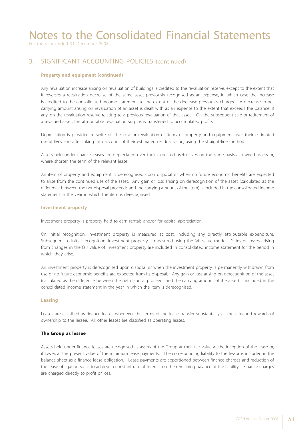For the year ended 31 December 2008

### 3. SIGNIFICANT ACCOUNTING POLICIES (continued)

#### **Property and equipment (continued)**

Any revaluation increase arising on revaluation of buildings is credited to the revaluation reserve, except to the extent that it reverses a revaluation decrease of the same asset previously recognised as an expense, in which case the increase is credited to the consolidated income statement to the extent of the decrease previously charged. A decrease in net carrying amount arising on revaluation of an asset is dealt with as an expense to the extent that exceeds the balance, if any, on the revaluation reserve relating to a previous revaluation of that asset. On the subsequent sale or retirement of a revalued asset, the attributable revaluation surplus is transferred to accumulated profits.

Depreciation is provided to write off the cost or revaluation of items of property and equipment over their estimated useful lives and after taking into account of their estimated residual value, using the straight-line method.

Assets held under finance leases are depreciated over their expected useful lives on the same basis as owned assets or, where shorter, the term of the relevant lease.

An item of property and equipment is derecognised upon disposal or when no future economic benefits are expected to arise from the continued use of the asset. Any gain or loss arising on derecognition of the asset (calculated as the difference between the net disposal proceeds and the carrying amount of the item) is included in the consolidated income statement in the year in which the item is derecognised.

#### **Investment property**

Investment property is property held to earn rentals and/or for capital appreciation.

On initial recognition, investment property is measured at cost, including any directly attributable expenditure. Subsequent to initial recognition, investment property is measured using the fair value model. Gains or losses arising from changes in the fair value of investment property are included in consolidated income statement for the period in which they arise.

An investment property is derecognised upon disposal or when the investment property is permanently withdrawn from use or no future economic benefits are expected from its disposal. Any gain or loss arising on derecognition of the asset (calculated as the difference between the net disposal proceeds and the carrying amount of the asset) is included in the consolidated income statement in the year in which the item is derecognised.

#### **Leasing**

Leases are classified as finance leases whenever the terms of the lease transfer substantially all the risks and rewards of ownership to the lessee. All other leases are classified as operating leases.

#### **The Group as lessee**

Assets held under finance leases are recognised as assets of the Group at their fair value at the inception of the lease or, if lower, at the present value of the minimum lease payments. The corresponding liability to the lessor is included in the balance sheet as a finance lease obligation. Lease payments are apportioned between finance charges and reduction of the lease obligation so as to achieve a constant rate of interest on the remaining balance of the liability. Finance charges are charged directly to profit or loss.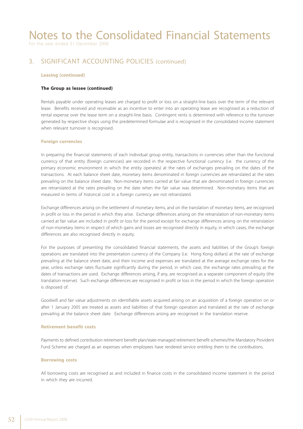For the year ended 31 December 2008

### 3. SIGNIFICANT ACCOUNTING POLICIES (continued)

#### **Leasing (continued)**

#### **The Group as lessee (continued)**

Rentals payable under operating leases are charged to profit or loss on a straight-line basis over the term of the relevant lease. Benefits received and receivable as an incentive to enter into an operating lease are recognised as a reduction of rental expense over the lease term on a straight-line basis. Contingent rents is determined with reference to the turnover generated by respective shops using the predetermined formulae and is recognised in the consolidated income statement when relevant turnover is recognised.

#### **Foreign currencies**

In preparing the financial statements of each individual group entity, transactions in currencies other than the functional currency of that entity (foreign currencies) are recorded in the respective functional currency (i.e. the currency of the primary economic environment in which the entity operates) at the rates of exchanges prevailing on the dates of the transactions. At each balance sheet date, monetary items denominated in foreign currencies are retranslated at the rates prevailing on the balance sheet date. Non-monetary items carried at fair value that are denominated in foreign currencies are retranslated at the rates prevailing on the date when the fair value was determined. Non-monetary items that are measured in terms of historical cost in a foreign currency are not retranslated.

Exchange differences arising on the settlement of monetary items, and on the translation of monetary items, are recognised in profit or loss in the period in which they arise. Exchange differences arising on the retranslation of non-monetary items carried at fair value are included in profit or loss for the period except for exchange differences arising on the retranslation of non-monetary items in respect of which gains and losses are recognised directly in equity, in which cases, the exchange differences are also recognised directly in equity.

For the purposes of presenting the consolidated financial statements, the assets and liabilities of the Group's foreign operations are translated into the presentation currency of the Company (i.e. Hong Kong dollars) at the rate of exchange prevailing at the balance sheet date, and their income and expenses are translated at the average exchange rates for the year, unless exchange rates fluctuate significantly during the period, in which case, the exchange rates prevailing at the dates of transactions are used. Exchange differences arising, if any, are recognised as a separate component of equity (the translation reserve). Such exchange differences are recognised in profit or loss in the period in which the foreign operation is disposed of.

Goodwill and fair value adjustments on identifiable assets acquired arising on an acquisition of a foreign operation on or after 1 January 2005 are treated as assets and liabilities of that foreign operation and translated at the rate of exchange prevailing at the balance sheet date. Exchange differences arising are recognised in the translation reserve.

#### **Retirement benefit costs**

Payments to defined contribution retirement benefit plan/state-managed retirement benefit schemes/the Mandatory Provident Fund Scheme are charged as an expenses when employees have rendered service entitling them to the contributions.

#### **Borrowing costs**

All borrowing costs are recognised as and included in finance costs in the consolidated income statement in the period in which they are incurred.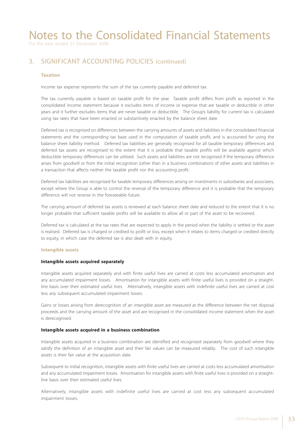For the year ended 31 December 2008

## 3. SIGNIFICANT ACCOUNTING POLICIES (continued)

#### **Taxation**

Income tax expense represents the sum of the tax currently payable and deferred tax.

The tax currently payable is based on taxable profit for the year. Taxable profit differs from profit as reported in the consolidated income statement because it excludes items of income or expense that are taxable or deductible in other years and it further excludes items that are never taxable or deductible. The Group's liability for current tax is calculated using tax rates that have been enacted or substantively enacted by the balance sheet date.

Deferred tax is recognised on differences between the carrying amounts of assets and liabilities in the consolidated financial statements and the corresponding tax base used in the computation of taxable profit, and is accounted for using the balance sheet liability method. Deferred tax liabilities are generally recognised for all taxable temporary differences and deferred tax assets are recognised to the extent that it is probable that taxable profits will be available against which deductible temporary differences can be utilised. Such assets and liabilities are not recognised if the temporary difference arises from goodwill or from the initial recognition (other than in a business combination) of other assets and liabilities in a transaction that affects neither the taxable profit nor the accounting profit.

Deferred tax liabilities are recognised for taxable temporary differences arising on investments in subsidiaries and associates, except where the Group is able to control the reversal of the temporary difference and it is probable that the temporary difference will not reverse in the foreseeable future.

The carrying amount of deferred tax assets is reviewed at each balance sheet date and reduced to the extent that it is no longer probable that sufficient taxable profits will be available to allow all or part of the asset to be recovered.

Deferred tax is calculated at the tax rates that are expected to apply in the period when the liability is settled or the asset is realised. Deferred tax is charged or credited to profit or loss, except when it relates to items charged or credited directly to equity, in which case the deferred tax is also dealt with in equity.

#### **Intangible assets**

#### **Intangible assets acquired separately**

Intangible assets acquired separately and with finite useful lives are carried at costs less accumulated amortisation and any accumulated impairment losses. Amortisation for intangible assets with finite useful lives is provided on a straightline basis over their estimated useful lives. Alternatively, intangible assets with indefinite useful lives are carried at cost less any subsequent accumulated impairment losses.

Gains or losses arising from derecognition of an intangible asset are measured at the difference between the net disposal proceeds and the carrying amount of the asset and are recognised in the consolidated income statement when the asset is derecognised.

#### **Intangible assets acquired in a business combination**

Intangible assets acquired in a business combination are identified and recognised separately from goodwill where they satisfy the definition of an intangible asset and their fair values can be measured reliably. The cost of such intangible assets is their fair value at the acquisition date.

Subsequent to initial recognition, intangible assets with finite useful lives are carried at costs less accumulated amortisation and any accumulated impairment losses. Amortisation for intangible assets with finite useful lives is provided on a straightline basis over their estimated useful lives.

Alternatively, intangible assets with indefinite useful lives are carried at cost less any subsequent accumulated impairment losses.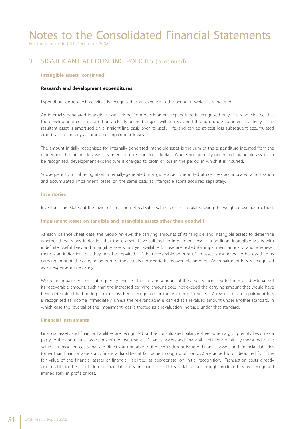For the year ended 31 December 2008

## 3. SIGNIFICANT ACCOUNTING POLICIES (continued)

#### **Intangible assets (continued)**

#### **Research and development expenditures**

Expenditure on research activities is recognised as an expense in the period in which it is incurred.

An internally-generated intangible asset arising from development expenditure is recognised only if it is anticipated that the development costs incurred on a clearly-defined project will be recovered through future commercial activity. The resultant asset is amortised on a straight-line basis over its useful life, and carried at cost less subsequent accumulated amortisation and any accumulated impairment losses.

The amount initially recognised for internally-generated intangible asset is the sum of the expenditure incurred from the date when the intangible asset first meets the recognition criteria. Where no internally-generated intangible asset can be recognised, development expenditure is charged to profit or loss in the period in which it is incurred.

Subsequent to initial recognition, internally-generated intangible asset is reported at cost less accumulated amortisation and accumulated impairment losses, on the same basis as intangible assets acquired separately.

#### **Inventories**

Inventories are stated at the lower of cost and net realisable value. Cost is calculated using the weighted average method.

#### **Impairment losses on tangible and intangible assets other than goodwill**

At each balance sheet date, the Group reviews the carrying amounts of its tangible and intangible assets to determine whether there is any indication that those assets have suffered an impairment loss. In addition, intangible assets with indefinite useful lives and intangible assets not yet available for use are tested for impairment annually, and whenever there is an indication that they may be impaired. If the recoverable amount of an asset is estimated to be less than its carrying amount, the carrying amount of the asset is reduced to its recoverable amount. An impairment loss is recognised as an expense immediately.

Where an impairment loss subsequently reverses, the carrying amount of the asset is increased to the revised estimate of its recoverable amount, such that the increased carrying amount does not exceed the carrying amount that would have been determined had no impairment loss been recognised for the asset in prior years. A reversal of an impairment loss is recognised as income immediately, unless the relevant asset is carried at a revalued amount under another standard, in which case the reversal of the impairment loss is treated as a revaluation increase under that standard.

#### **Financial instruments**

Financial assets and financial liabilities are recognised on the consolidated balance sheet when a group entity becomes a party to the contractual provisions of the instrument. Financial assets and financial liabilities are initially measured at fair value. Transaction costs that are directly attributable to the acquisition or issue of financial assets and financial liabilities (other than financial assets and financial liabilities at fair value through profit or loss) are added to or deducted from the fair value of the financial assets or financial liabilities, as appropriate, on initial recognition. Transaction costs directly attributable to the acquisition of financial assets or financial liabilities at fair value through profit or loss are recognised immediately in profit or loss.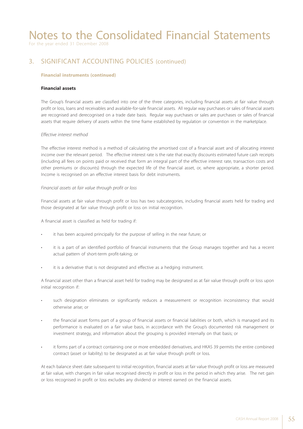For the year ended 31 December 2008

## 3. SIGNIFICANT ACCOUNTING POLICIES (continued)

#### **Financial instruments (continued)**

#### **Financial assets**

The Group's financial assets are classified into one of the three categories, including financial assets at fair value through profit or loss, loans and receivables and available-for-sale financial assets. All regular way purchases or sales of financial assets are recognised and derecognised on a trade date basis. Regular way purchases or sales are purchases or sales of financial assets that require delivery of assets within the time frame established by regulation or convention in the marketplace.

#### *Effective interest method*

The effective interest method is a method of calculating the amortised cost of a financial asset and of allocating interest income over the relevant period. The effective interest rate is the rate that exactly discounts estimated future cash receipts (including all fees on points paid or received that form an integral part of the effective interest rate, transaction costs and other premiums or discounts) through the expected life of the financial asset, or, where appropriate, a shorter period. Income is recognised on an effective interest basis for debt instruments.

#### *Financial assets at fair value through profit or loss*

Financial assets at fair value through profit or loss has two subcategories, including financial assets held for trading and those designated at fair value through profit or loss on initial recognition.

A financial asset is classified as held for trading if:

- it has been acquired principally for the purpose of selling in the near future; or
- it is a part of an identified portfolio of financial instruments that the Group manages together and has a recent actual pattern of short-term profit-taking; or
- it is a derivative that is not designated and effective as a hedging instrument.

A financial asset other than a financial asset held for trading may be designated as at fair value through profit or loss upon initial recognition if:

- such designation eliminates or significantly reduces a measurement or recognition inconsistency that would otherwise arise; or
- the financial asset forms part of a group of financial assets or financial liabilities or both, which is managed and its performance is evaluated on a fair value basis, in accordance with the Group's documented risk management or investment strategy, and information about the grouping is provided internally on that basis; or
- it forms part of a contract containing one or more embedded derivatives, and HKAS 39 permits the entire combined contract (asset or liability) to be designated as at fair value through profit or loss.

At each balance sheet date subsequent to initial recognition, financial assets at fair value through profit or loss are measured at fair value, with changes in fair value recognised directly in profit or loss in the period in which they arise. The net gain or loss recognised in profit or loss excludes any dividend or interest earned on the financial assets.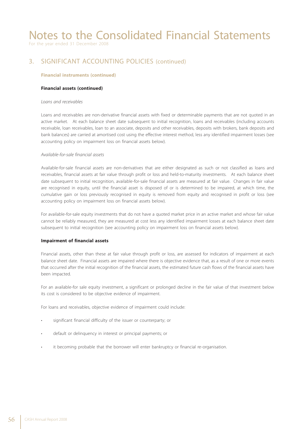For the year ended 31 December 2008

## 3. SIGNIFICANT ACCOUNTING POLICIES (continued)

#### **Financial instruments (continued)**

#### **Financial assets (continued)**

#### *Loans and receivables*

Loans and receivables are non-derivative financial assets with fixed or determinable payments that are not quoted in an active market. At each balance sheet date subsequent to initial recognition, loans and receivables (including accounts receivable, loan receivables, loan to an associate, deposits and other receivables, deposits with brokers, bank deposits and bank balances) are carried at amortised cost using the effective interest method, less any identified impairment losses (see accounting policy on impairment loss on financial assets below).

#### *Available-for-sale financial assets*

Available-for-sale financial assets are non-derivatives that are either designated as such or not classified as loans and receivables, financial assets at fair value through profit or loss and held-to-maturity investments. At each balance sheet date subsequent to initial recognition, available-for-sale financial assets are measured at fair value. Changes in fair value are recognised in equity, until the financial asset is disposed of or is determined to be impaired, at which time, the cumulative gain or loss previously recognised in equity is removed from equity and recognised in profit or loss (see accounting policy on impairment loss on financial assets below).

For available-for-sale equity investments that do not have a quoted market price in an active market and whose fair value cannot be reliably measured, they are measured at cost less any identified impairment losses at each balance sheet date subsequent to initial recognition (see accounting policy on impairment loss on financial assets below).

#### **Impairment of financial assets**

Financial assets, other than these at fair value through profit or loss, are assessed for indicators of impairment at each balance sheet date. Financial assets are impaired where there is objective evidence that, as a result of one or more events that occurred after the initial recognition of the financial assets, the estimated future cash flows of the financial assets have been impacted.

For an available-for sale equity investment, a significant or prolonged decline in the fair value of that investment below its cost is considered to be objective evidence of impairment.

For loans and receivables, objective evidence of impairment could include:

- significant financial difficulty of the issuer or counterparty; or
- default or delinquency in interest or principal payments; or
- it becoming probable that the borrower will enter bankruptcy or financial re-organisation.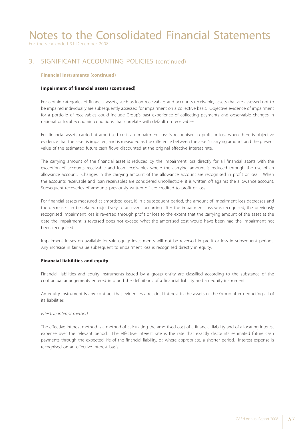For the year ended 31 December 2008

## 3. SIGNIFICANT ACCOUNTING POLICIES (continued)

#### **Financial instruments (continued)**

#### **Impairment of financial assets (continued)**

For certain categories of financial assets, such as loan receivables and accounts receivable, assets that are assessed not to be impaired individually are subsequently assessed for impairment on a collective basis. Objective evidence of impairment for a portfolio of receivables could include Group's past experience of collecting payments and observable changes in national or local economic conditions that correlate with default on receivables.

For financial assets carried at amortised cost, an impairment loss is recognised in profit or loss when there is objective evidence that the asset is impaired, and is measured as the difference between the asset's carrying amount and the present value of the estimated future cash flows discounted at the original effective interest rate.

The carrying amount of the financial asset is reduced by the impairment loss directly for all financial assets with the exception of accounts receivable and loan receivables where the carrying amount is reduced through the use of an allowance account. Changes in the carrying amount of the allowance account are recognised in profit or loss. When the accounts receivable and loan receivables are considered uncollectible, it is written off against the allowance account. Subsequent recoveries of amounts previously written off are credited to profit or loss.

For financial assets measured at amortised cost, if, in a subsequent period, the amount of impairment loss decreases and the decrease can be related objectively to an event occurring after the impairment loss was recognised, the previously recognised impairment loss is reversed through profit or loss to the extent that the carrying amount of the asset at the date the impairment is reversed does not exceed what the amortised cost would have been had the impairment not been recognised.

Impairment losses on available-for-sale equity investments will not be reversed in profit or loss in subsequent periods. Any increase in fair value subsequent to impairment loss is recognised directly in equity.

#### **Financial liabilities and equity**

Financial liabilities and equity instruments issued by a group entity are classified according to the substance of the contractual arrangements entered into and the definitions of a financial liability and an equity instrument.

An equity instrument is any contract that evidences a residual interest in the assets of the Group after deducting all of its liabilities.

#### *Effective interest method*

The effective interest method is a method of calculating the amortised cost of a financial liability and of allocating interest expense over the relevant period. The effective interest rate is the rate that exactly discounts estimated future cash payments through the expected life of the financial liability, or, where appropriate, a shorter period. Interest expense is recognised on an effective interest basis.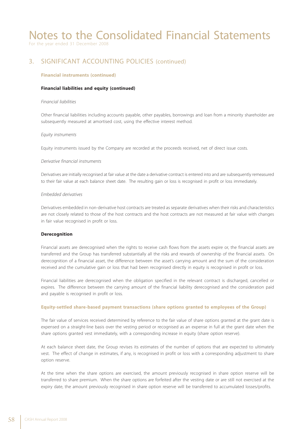For the year ended 31 December 2008

## 3. SIGNIFICANT ACCOUNTING POLICIES (continued)

#### **Financial instruments (continued)**

#### **Financial liabilities and equity (continued)**

#### *Financial liabilities*

Other financial liabilities including accounts payable, other payables, borrowings and loan from a minority shareholder are subsequently measured at amortised cost, using the effective interest method.

#### *Equity instruments*

Equity instruments issued by the Company are recorded at the proceeds received, net of direct issue costs.

#### *Derivative financial instruments*

Derivatives are initially recognised at fair value at the date a derivative contract is entered into and are subsequently remeasured to their fair value at each balance sheet date. The resulting gain or loss is recognised in profit or loss immediately.

#### *Embedded derivatives*

Derivatives embedded in non-derivative host contracts are treated as separate derivatives when their risks and characteristics are not closely related to those of the host contracts and the host contracts are not measured at fair value with changes in fair value recognised in profit or loss.

#### **Derecognition**

Financial assets are derecognised when the rights to receive cash flows from the assets expire or, the financial assets are transferred and the Group has transferred substantially all the risks and rewards of ownership of the financial assets. On derecognition of a financial asset, the difference between the asset's carrying amount and the sum of the consideration received and the cumulative gain or loss that had been recognised directly in equity is recognised in profit or loss.

Financial liabilities are derecognised when the obligation specified in the relevant contract is discharged, cancelled or expires. The difference between the carrying amount of the financial liability derecognised and the consideration paid and payable is recognised in profit or loss.

#### **Equity-settled share-based payment transactions (share options granted to employees of the Group)**

The fair value of services received determined by reference to the fair value of share options granted at the grant date is expensed on a straight-line basis over the vesting period or recognised as an expense in full at the grant date when the share options granted vest immediately, with a corresponding increase in equity (share option reserve).

At each balance sheet date, the Group revises its estimates of the number of options that are expected to ultimately vest. The effect of change in estimates, if any, is recognised in profit or loss with a corresponding adjustment to share option reserve.

At the time when the share options are exercised, the amount previously recognised in share option reserve will be transferred to share premium. When the share options are forfeited after the vesting date or are still not exercised at the expiry date, the amount previously recognised in share option reserve will be transferred to accumulated losses/profits.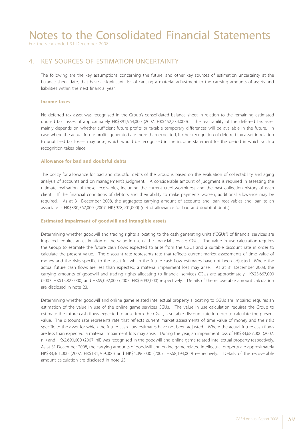For the year ended 31 December 2008

### 4. KEY SOURCES OF ESTIMATION UNCERTAINTY

The following are the key assumptions concerning the future, and other key sources of estimation uncertainty at the balance sheet date, that have a significant risk of causing a material adjustment to the carrying amounts of assets and liabilities within the next financial year.

#### **Income taxes**

No deferred tax asset was recognised in the Group's consolidated balance sheet in relation to the remaining estimated unused tax losses of approximately HK\$891,964,000 (2007: HK\$452,234,000). The realisability of the deferred tax asset mainly depends on whether sufficient future profits or taxable temporary differences will be available in the future. In case where the actual future profits generated are more than expected, further recognition of deferred tax asset in relation to unutilised tax losses may arise, which would be recognised in the income statement for the period in which such a recognition takes place.

#### **Allowance for bad and doubtful debts**

The policy for allowance for bad and doubtful debts of the Group is based on the evaluation of collectability and aging analysis of accounts and on management's judgment. A considerable amount of judgment is required in assessing the ultimate realisation of these receivables, including the current creditworthiness and the past collection history of each client. If the financial conditions of debtors and their ability to make payments worsen, additional allowance may be required. As at 31 December 2008, the aggregate carrying amount of accounts and loan receivables and loan to an associate is HK\$330,567,000 (2007: HK\$978,901,000) (net of allowance for bad and doubtful debts).

#### **Estimated impairment of goodwill and intangible assets**

Determining whether goodwill and trading rights allocating to the cash generating units ("CGUs") of financial services are impaired requires an estimation of the value in use of the financial services CGUs. The value in use calculation requires the Group to estimate the future cash flows expected to arise from the CGUs and a suitable discount rate in order to calculate the present value. The discount rate represents rate that reflects current market assessments of time value of money and the risks specific to the asset for which the future cash flow estimates have not been adjusted. Where the actual future cash flows are less than expected, a material impairment loss may arise. As at 31 December 2008, the carrying amounts of goodwill and trading rights allocating to financial services CGUs are approximately HK\$23,667,000 (2007: HK\$15,827,000) and HK\$9,092,000 (2007: HK\$9,092,000) respectively. Details of the recoverable amount calculation are disclosed in note 23.

Determining whether goodwill and online game related intellectual property allocating to CGUs are impaired requires an estimation of the value in use of the online game services CGUs. The value in use calculation requires the Group to estimate the future cash flows expected to arise from the CGUs, a suitable discount rate in order to calculate the present value. The discount rate represents rate that reflects current market assessments of time value of money and the risks specific to the asset for which the future cash flow estimates have not been adjusted. Where the actual future cash flows are less than expected, a material impairment loss may arise. During the year, an impairment loss of HK\$84,687,000 (2007: nil) and HK\$2,690,000 (2007: nil) was recognised in the goodwill and online game related intellectual property respectively. As at 31 December 2008, the carrying amounts of goodwill and online game related intellectual property are approximately HK\$83,361,000 (2007: HK\$131,769,000) and HK\$4,096,000 (2007: HK\$8,194,000) respectively. Details of the recoverable amount calculation are disclosed in note 23.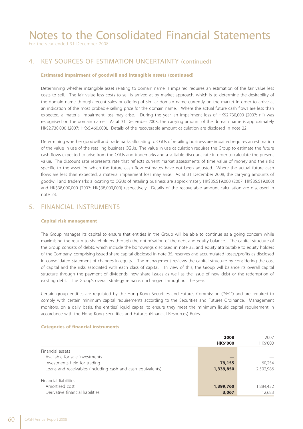For the year ended 31 December 2008

### 4. KEY SOURCES OF ESTIMATION UNCERTAINTY (continued)

#### **Estimated impairment of goodwill and intangible assets (continued)**

Determining whether intangible asset relating to domain name is impaired requires an estimation of the fair value less costs to sell. The fair value less costs to sell is arrived at by market approach, which is to determine the desirability of the domain name through recent sales or offering of similar domain name currently on the market in order to arrive at an indication of the most probable selling price for the domain name. Where the actual future cash flows are less than expected, a material impairment loss may arise. During the year, an impairment loss of HK\$2,730,000 (2007: nil) was recognised on the domain name. As at 31 December 2008, the carrying amount of the domain name is approximately HK\$2,730,000 (2007: HK\$5,460,000). Details of the recoverable amount calculation are disclosed in note 22.

Determining whether goodwill and trademarks allocating to CGUs of retailing business are impaired requires an estimation of the value in use of the retailing business CGUs. The value in use calculation requires the Group to estimate the future cash flows expected to arise from the CGUs and trademarks and a suitable discount rate in order to calculate the present value. The discount rate represents rate that reflects current market assessments of time value of money and the risks specific to the asset for which the future cash flow estimates have not been adjusted. Where the actual future cash flows are less than expected, a material impairment loss may arise. As at 31 December 2008, the carrying amounts of goodwill and trademarks allocating to CGUs of retailing business are approximately HK\$85,519,000 (2007: HK\$85,519,000) and HK\$38,000,000 (2007: HK\$38,000,000) respectively. Details of the recoverable amount calculation are disclosed in note 23.

### 5. FINANCIAL INSTRUMENTS

#### **Capital risk management**

The Group manages its capital to ensure that entities in the Group will be able to continue as a going concern while maximising the return to shareholders through the optimisation of the debt and equity balance. The capital structure of the Group consists of debts, which include the borrowings disclosed in note 32, and equity attributable to equity holders of the Company, comprising issued share capital disclosed in note 35, reserves and accumulated losses/profits as disclosed in consolidated statement of changes in equity. The management reviews the capital structure by considering the cost of capital and the risks associated with each class of capital. In view of this, the Group will balance its overall capital structure through the payment of dividends, new share issues as well as the issue of new debt or the redemption of existing debt. The Group's overall strategy remains unchanged throughout the year.

Certain group entities are regulated by the Hong Kong Securities and Futures Commission ("SFC") and are required to comply with certain minimum capital requirements according to the Securities and Futures Ordinance. Management monitors, on a daily basis, the entities' liquid capital to ensure they meet the minimum liquid capital requirement in accordance with the Hong Kong Securities and Futures (Financial Resources) Rules.

**2008** 2007

|                                                             | <b>HK\$'000</b> | <b>HKS'000</b> |
|-------------------------------------------------------------|-----------------|----------------|
| Financial assets                                            |                 |                |
| Available-for-sale investments                              |                 |                |
| Investments held for trading                                | 79,155          | 60.254         |
| Loans and receivables (including cash and cash equivalents) | 1,339,850       | 2,502,986      |
| Financial liabilities                                       |                 |                |
| Amortised cost                                              | 1,399,760       | 1,884,432      |
| Derivative financial liabilities                            | 3,067           | 12,683         |

#### **Categories of financial instruments**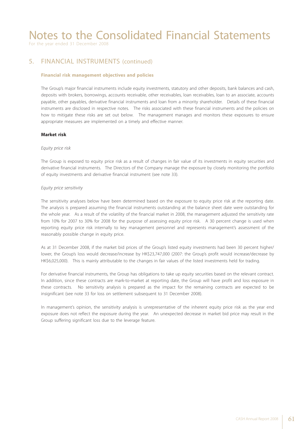For the year ended 31 December 2008

### 5. FINANCIAL INSTRUMENTS (continued)

#### **Financial risk management objectives and policies**

The Group's major financial instruments include equity investments, statutory and other deposits, bank balances and cash, deposits with brokers, borrowings, accounts receivable, other receivables, loan receivables, loan to an associate, accounts payable, other payables, derivative financial instruments and loan from a minority shareholder. Details of these financial instruments are disclosed in respective notes. The risks associated with these financial instruments and the policies on how to mitigate these risks are set out below. The management manages and monitors these exposures to ensure appropriate measures are implemented on a timely and effective manner.

#### **Market risk**

#### *Equity price risk*

The Group is exposed to equity price risk as a result of changes in fair value of its investments in equity securities and derivative financial instruments. The Directors of the Company manage the exposure by closely monitoring the portfolio of equity investments and derivative financial instrument (see note 33).

#### *Equity price sensitivity*

The sensitivity analyses below have been determined based on the exposure to equity price risk at the reporting date. The analysis is prepared assuming the financial instruments outstanding at the balance sheet date were outstanding for the whole year. As a result of the volatility of the financial market in 2008, the management adjusted the sensitivity rate from 10% for 2007 to 30% for 2008 for the purpose of assessing equity price risk. A 30 percent change is used when reporting equity price risk internally to key management personnel and represents management's assessment of the reasonably possible change in equity price.

As at 31 December 2008, if the market bid prices of the Group's listed equity investments had been 30 percent higher/ lower, the Group's loss would decrease/increase by HK\$23,747,000 (2007: the Group's profit would increase/decrease by HK\$6,025,000). This is mainly attributable to the changes in fair values of the listed investments held for trading.

For derivative financial instruments, the Group has obligations to take up equity securities based on the relevant contract. In addition, since these contracts are mark-to-market at reporting date, the Group will have profit and loss exposure in these contracts. No sensitivity analysis is prepared as the impact for the remaining contracts are expected to be insignificant (see note 33 for loss on settlement subsequent to 31 December 2008).

In management's opinion, the sensitivity analysis is unrepresentative of the inherent equity price risk as the year end exposure does not reflect the exposure during the year. An unexpected decrease in market bid price may result in the Group suffering significant loss due to the leverage feature.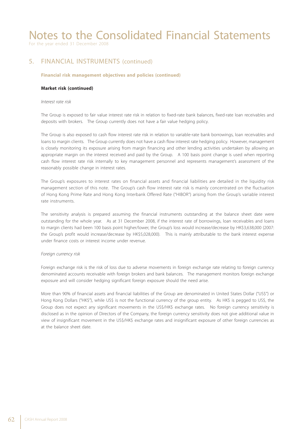For the year ended 31 December 2008

### 5. FINANCIAL INSTRUMENTS (continued)

#### **Financial risk management objectives and policies (continued)**

#### **Market risk (continued)**

#### *Interest rate risk*

The Group is exposed to fair value interest rate risk in relation to fixed-rate bank balances, fixed-rate loan receivables and deposits with brokers. The Group currently does not have a fair value hedging policy.

The Group is also exposed to cash flow interest rate risk in relation to variable-rate bank borrowings, loan receivables and loans to margin clients. The Group currently does not have a cash flow interest rate hedging policy. However, management is closely monitoring its exposure arising from margin financing and other lending activities undertaken by allowing an appropriate margin on the interest received and paid by the Group. A 100 basis point change is used when reporting cash flow interest rate risk internally to key management personnel and represents management's assessment of the reasonably possible change in interest rates.

The Group's exposures to interest rates on financial assets and financial liabilities are detailed in the liquidity risk management section of this note. The Group's cash flow interest rate risk is mainly concentrated on the fluctuation of Hong Kong Prime Rate and Hong Kong Interbank Offered Rate ("HIBOR") arising from the Group's variable interest rate instruments.

The sensitivity analysis is prepared assuming the financial instruments outstanding at the balance sheet date were outstanding for the whole year. As at 31 December 2008, if the interest rate of borrowings, loan receivables and loans to margin clients had been 100 basis point higher/lower, the Group's loss would increase/decrease by HK\$3,638,000 (2007: the Group's profit would increase/decrease by HK\$5,028,000). This is mainly attributable to the bank interest expense under finance costs or interest income under revenue.

#### *Foreign currency risk*

Foreign exchange risk is the risk of loss due to adverse movements in foreign exchange rate relating to foreign currency denominated accounts receivable with foreign brokers and bank balances. The management monitors foreign exchange exposure and will consider hedging significant foreign exposure should the need arise.

More than 90% of financial assets and financial liabilities of the Group are denominated in United States Dollar ("US\$") or Hong Kong Dollars ("HK\$"), while US\$ is not the functional currency of the group entity. As HK\$ is pegged to US\$, the Group does not expect any significant movements in the US\$/HK\$ exchange rates. No foreign currency sensitivity is disclosed as in the opinion of Directors of the Company, the foreign currency sensitivity does not give additional value in view of insignificant movement in the US\$/HK\$ exchange rates and insignificant exposure of other foreign currencies as at the balance sheet date.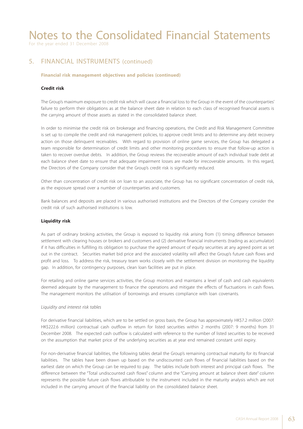For the year ended 31 December 2008

### 5. FINANCIAL INSTRUMENTS (continued)

#### **Financial risk management objectives and policies (continued)**

#### **Credit risk**

The Group's maximum exposure to credit risk which will cause a financial loss to the Group in the event of the counterparties' failure to perform their obligations as at the balance sheet date in relation to each class of recognised financial assets is the carrying amount of those assets as stated in the consolidated balance sheet.

In order to minimise the credit risk on brokerage and financing operations, the Credit and Risk Management Committee is set up to compile the credit and risk management policies, to approve credit limits and to determine any debt recovery action on those delinquent receivables. With regard to provision of online game services, the Group has delegated a team responsible for determination of credit limits and other monitoring procedures to ensure that follow-up action is taken to recover overdue debts. In addition, the Group reviews the recoverable amount of each individual trade debt at each balance sheet date to ensure that adequate impairment losses are made for irrecoverable amounts. In this regard, the Directors of the Company consider that the Group's credit risk is significantly reduced.

Other than concentration of credit risk on loan to an associate, the Group has no significant concentration of credit risk, as the exposure spread over a number of counterparties and customers.

Bank balances and deposits are placed in various authorised institutions and the Directors of the Company consider the credit risk of such authorised institutions is low.

#### **Liquidity risk**

As part of ordinary broking activities, the Group is exposed to liquidity risk arising from (1) timing difference between settlement with clearing houses or brokers and customers and (2) derivative financial instruments (trading as accumulator) if it has difficulties in fulfilling its obligation to purchase the agreed amount of equity securities at any agreed point as set out in the contract. Securities market bid price and the associated volatility will affect the Group's future cash flows and profit and loss. To address the risk, treasury team works closely with the settlement division on monitoring the liquidity gap. In addition, for contingency purposes, clean loan facilities are put in place.

For retailing and online game services activities, the Group monitors and maintains a level of cash and cash equivalents deemed adequate by the management to finance the operations and mitigate the effects of fluctuations in cash flows. The management monitors the utilisation of borrowings and ensures compliance with loan covenants.

#### *Liquidity and interest risk tables*

For derivative financial liabilities, which are to be settled on gross basis, the Group has approximately HK\$7.2 million (2007: HK\$222.6 million) contractual cash outflow in return for listed securities within 2 months (2007: 9 months) from 31 December 2008. The expected cash outflow is calculated with reference to the number of listed securities to be received on the assumption that market price of the underlying securities as at year end remained constant until expiry.

For non-derivative financial liabilities, the following tables detail the Group's remaining contractual maturity for its financial liabilities. The tables have been drawn up based on the undiscounted cash flows of financial liabilities based on the earliest date on which the Group can be required to pay. The tables include both interest and principal cash flows. The difference between the "Total undiscounted cash flows" column and the "Carrying amount at balance sheet date" column represents the possible future cash flows attributable to the instrument included in the maturity analysis which are not included in the carrying amount of the financial liability on the consolidated balance sheet.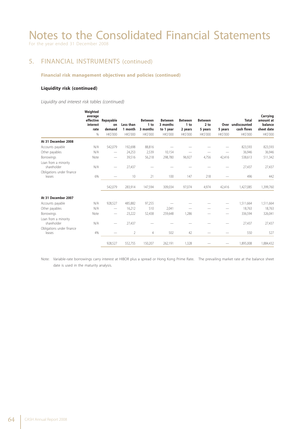### 5. FINANCIAL INSTRUMENTS (continued)

#### **Financial risk management objectives and policies (continued)**

#### **Liquidity risk (continued)**

 *Liquidity and interest risk tables (continued)*

|                                     | Weighted<br>average<br>interest<br>rate<br>% | effective Repayable<br>on<br>demand<br>HK\$'000 | Less than<br>1 month<br><b>HK\$'000</b> | <b>Between</b><br>1 to<br>3 months<br><b>HK\$'000</b> | <b>Between</b><br>3 months<br>to 1 year<br><b>HK\$'000</b> | <b>Between</b><br>1 to<br>2 years<br><b>HK\$'000</b> | <b>Between</b><br>2 <sub>to</sub><br>5 years<br><b>HK\$'000</b> | 5 years<br><b>HK\$'000</b> | <b>Total</b><br>Over undiscounted<br>cash flows<br><b>HK\$'000</b> | Carrying<br>amount at<br>balance<br>sheet date<br>HK\$'000 |
|-------------------------------------|----------------------------------------------|-------------------------------------------------|-----------------------------------------|-------------------------------------------------------|------------------------------------------------------------|------------------------------------------------------|-----------------------------------------------------------------|----------------------------|--------------------------------------------------------------------|------------------------------------------------------------|
| At 31 December 2008                 |                                              |                                                 |                                         |                                                       |                                                            |                                                      |                                                                 |                            |                                                                    |                                                            |
| Accounts payable                    | N/A                                          | 542,079                                         | 192,698                                 | 88,816                                                |                                                            |                                                      |                                                                 |                            | 823,593                                                            | 823,593                                                    |
| Other payables                      | N/A                                          |                                                 | 24,253                                  | 2,539                                                 | 10,154                                                     |                                                      |                                                                 |                            | 36,946                                                             | 36,946                                                     |
| <b>Borrowings</b>                   | Note                                         | $\hspace{0.1mm}-\hspace{0.1mm}$                 | 39,516                                  | 56,218                                                | 298,780                                                    | 96,927                                               | 4,756                                                           | 42,416                     | 538,613                                                            | 511,342                                                    |
| Loan from a minority<br>shareholder | N/A                                          |                                                 | 27,437                                  |                                                       |                                                            |                                                      |                                                                 |                            | 27,437                                                             | 27,437                                                     |
| Obligations under finance<br>leases | 6%                                           |                                                 | 10                                      | 21                                                    | 100                                                        | 147                                                  | 218                                                             |                            | 496                                                                | 442                                                        |
|                                     |                                              | 542,079                                         | 283,914                                 | 147,594                                               | 309,034                                                    | 97,074                                               | 4,974                                                           | 42,416                     | 1,427,085                                                          | 1,399,760                                                  |
| At 31 December 2007                 |                                              |                                                 |                                         |                                                       |                                                            |                                                      |                                                                 |                            |                                                                    |                                                            |
| Accounts payable                    | N/A                                          | 928,527                                         | 485,882                                 | 97,255                                                |                                                            |                                                      |                                                                 | -                          | 1,511,664                                                          | 1,511,664                                                  |
| Other payables                      | N/A                                          | -                                               | 16,212                                  | 510                                                   | 2,041                                                      |                                                      |                                                                 | -                          | 18,763                                                             | 18,763                                                     |
| <b>Borrowings</b>                   | Note                                         | $\hspace{0.1mm}-\hspace{0.1mm}$                 | 23,222                                  | 52,438                                                | 259,648                                                    | 1,286                                                |                                                                 |                            | 336,594                                                            | 326,041                                                    |
| Loan from a minority<br>shareholder | N/A                                          |                                                 | 27,437                                  |                                                       |                                                            |                                                      |                                                                 |                            | 27,437                                                             | 27,437                                                     |
| Obligations under finance           |                                              |                                                 |                                         |                                                       |                                                            |                                                      |                                                                 |                            |                                                                    |                                                            |
| leases                              | 4%                                           |                                                 | $\overline{2}$                          | $\overline{4}$                                        | 502                                                        | 42                                                   |                                                                 |                            | 550                                                                | 527                                                        |
|                                     |                                              | 928,527                                         | 552,755                                 | 150,207                                               | 262,191                                                    | 1,328                                                |                                                                 |                            | 1,895,008                                                          | 1,884,432                                                  |

Note: Variable-rate borrowings carry interest at HIBOR plus a spread or Hong Kong Prime Rate. The prevailing market rate at the balance sheet date is used in the maturity analysis.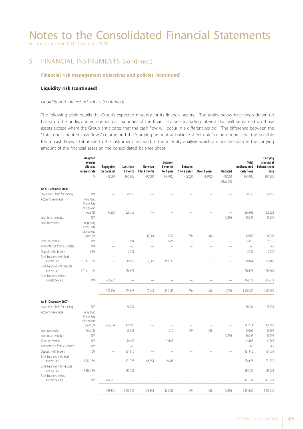For the year ended 31 December 2008

### 5. FINANCIAL INSTRUMENTS (continued)

#### **Financial risk management objectives and policies (continued)**

#### **Liquidity risk (continued)**

#### *Liquidity and interest risk tables (continued)*

The following table details the Group's expected maturity for its financial assets. The tables below have been drawn up based on the undiscounted contractual maturities of the financial assets including interest that will be earned on those assets except where the Group anticipates that the cash flow will occur in a different period. The difference between the "Total undiscounted cash flows" column and the "Carrying amount at balance sheet date" column represents the possible future cash flows attributable to the instrument included in the maturity analysis which are not included in the carrying amount of the financial asset on the consolidated balance sheet.

|                                              | Weighted<br>average<br>effective<br>interest rate<br>% | Repayable<br>on demand<br>HK\$'000 | Less than<br>1 month<br>HK\$'000 | <b>Between</b><br>1 to 3 month<br>HK\$'000 | <b>Between</b><br>3 months<br>to 1 year<br>HK\$'000 | <b>Between</b><br>1 to 2 years<br>HK\$'000 | Over 2 years<br>HK\$'000 | <b>Undated</b><br>HK\$'000<br>(Note (1)) | Total<br>undiscounted<br>cash flows<br>HK\$'000 | Carrying<br>amount at<br>balance sheet<br>date<br>HK\$'000 |
|----------------------------------------------|--------------------------------------------------------|------------------------------------|----------------------------------|--------------------------------------------|-----------------------------------------------------|--------------------------------------------|--------------------------|------------------------------------------|-------------------------------------------------|------------------------------------------------------------|
| At 31 December 2008                          |                                                        |                                    |                                  |                                            |                                                     |                                            |                          |                                          |                                                 |                                                            |
| Investments held for trading                 | N/A                                                    |                                    | 79,155                           |                                            |                                                     |                                            |                          |                                          | 79,155                                          | 79.155                                                     |
| Accounts receivable                          | Hong Kong<br>Prime Rate<br>plus spread                 |                                    |                                  |                                            |                                                     |                                            |                          |                                          |                                                 |                                                            |
|                                              | (Note (2))                                             | 97,858                             | 208,750                          |                                            |                                                     |                                            |                          | $\overline{\phantom{0}}$                 | 306,608                                         | 305,923                                                    |
| Loan to an associate<br>Loan receivables     | N/A<br>Hong Kong<br>Prime Rate<br>plus spread          |                                    |                                  |                                            |                                                     |                                            |                          | 10,296                                   | 10,296                                          | 10,296                                                     |
|                                              | (Note (2))                                             |                                    | $\overline{\phantom{0}}$         | 10,083                                     | 3,792                                               | 250                                        | 440                      |                                          | 14,565                                          | 14,348                                                     |
| Other receivables                            | N/A                                                    |                                    | 2,594                            | L.                                         | 32,421                                              | L,                                         |                          |                                          | 35,015                                          | 35,015                                                     |
| Amounts due from associates                  | N/A                                                    | $\overline{\phantom{a}}$           | 260                              | $\overline{\phantom{a}}$                   |                                                     | -                                          |                          | $\overline{\phantom{0}}$                 | 260                                             | 260                                                        |
| Deposits with brokers                        | 0.5%                                                   |                                    | 2,731                            |                                            |                                                     |                                            |                          |                                          | 2,731                                           | 2,730                                                      |
| Bank balances with fixed<br>interest rate    | $0.01\% - 1\%$                                         |                                    | 49,472                           | 82,062                                     | 159,130                                             |                                            |                          |                                          | 290,664                                         | 290,402                                                    |
| Bank balances with variable<br>interest rate | $0.01\% - 1\%$                                         |                                    | 216,674                          |                                            |                                                     |                                            |                          |                                          | 216,674                                         | 216,604                                                    |
| Bank balances without<br>interest-bearing    | N/A                                                    | 464.272                            |                                  |                                            |                                                     |                                            |                          |                                          | 464,272                                         | 464,272                                                    |
|                                              |                                                        | 562,130                            | 559,636                          | 92,145                                     | 195,343                                             | 250                                        | 440                      | 10,296                                   | 1,420,240                                       | 1,419,005                                                  |
| At 31 December 2007                          |                                                        |                                    |                                  |                                            |                                                     |                                            |                          |                                          |                                                 |                                                            |
| Investments held for trading                 | N/A                                                    |                                    | 60,254                           |                                            |                                                     |                                            |                          |                                          | 60,254                                          | 60,254                                                     |
| Accounts receivable                          | Hong Kong<br>Prime Rate<br>plus spread                 |                                    |                                  |                                            |                                                     |                                            |                          |                                          |                                                 |                                                            |
|                                              | (Note (2))                                             | 452,624                            | 489,890                          |                                            |                                                     |                                            | $\overline{\phantom{0}}$ |                                          | 942,514                                         | 938,998                                                    |
| Loan receivables                             | (Note (3))                                             | $\overline{\phantom{0}}$           | 28,931                           |                                            | 210                                                 | 179                                        | 546                      | $\overline{\phantom{0}}$                 | 29,866                                          | 29,607                                                     |
| Loan to an associate                         | N/A                                                    | $\overline{\phantom{0}}$           | $\equiv$                         | $\overline{\phantom{0}}$                   | $\frac{1}{2}$                                       | ÷                                          | $\overline{\phantom{0}}$ | 10,296                                   | 10,296                                          | 10,296                                                     |
| Other receivables                            | N/A                                                    | $\overline{\phantom{0}}$           | 10,168                           |                                            | 33,695                                              | -                                          |                          | ÷.                                       | 43,863                                          | 43,863                                                     |
| Amounts due from associates                  | N/A                                                    | $\overline{\phantom{0}}$           | 260                              |                                            |                                                     |                                            |                          | -                                        | 260                                             | 260                                                        |
| Deposits with brokers                        | 1.5%                                                   | $\overline{\phantom{0}}$           | 131,916                          |                                            | $\overline{\phantom{a}}$                            | -                                          |                          | -                                        | 131,916                                         | 131,751                                                    |
| Bank balances with fixed<br>interest rate    | 1.5%-3.5%                                              | $\overline{\phantom{0}}$           | 301,376                          | 346,854                                    | 90,446                                              |                                            |                          | ÷                                        | 738,676                                         | 731,872                                                    |
| Bank balances with variable<br>interest rate | 1.5%-3.5%                                              |                                    | 135,754                          |                                            |                                                     |                                            |                          |                                          | 135,754                                         | 135,088                                                    |
| Bank balances without<br>interest-bearing    | N/A                                                    | 481,251                            |                                  |                                            |                                                     |                                            |                          |                                          | 481,251                                         | 481,251                                                    |
|                                              |                                                        |                                    |                                  |                                            |                                                     |                                            |                          |                                          |                                                 |                                                            |
|                                              |                                                        | 933,875                            | 1,158,549                        | 346,854                                    | 124,351                                             | 179                                        | 546                      | 10,296                                   | 2,574,650                                       | 2,563,240                                                  |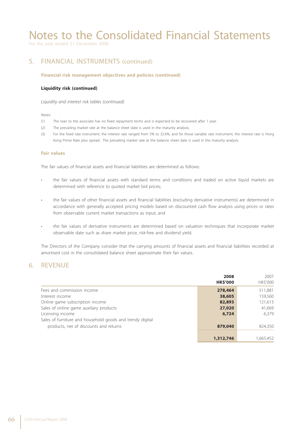For the year ended 31 December 2008

### 5. FINANCIAL INSTRUMENTS (continued)

#### **Financial risk management objectives and policies (continued)**

#### **Liquidity risk (continued)**

 *Liquidity and interest risk tables (continued)*

Notes:

- (1) The loan to the associate has no fixed repayment terms and is expected to be recovered after 1 year.
- (2) The prevailing market rate at the balance sheet date is used in the maturity analysis.
- (3) For the fixed rate instrument, the interest rate ranged from 5% to 32.6%, and for those variable rate instrument, the interest rate is Hong Kong Prime Rate plus spread. The prevailing market rate at the balance sheet date is used in the maturity analysis.

#### **Fair values**

The fair values of financial assets and financial liabilities are determined as follows:

- the fair values of financial assets with standard terms and conditions and traded on active liquid markets are determined with reference to quoted market bid prices;
- the fair values of other financial assets and financial liabilities (excluding derivative instruments) are determined in accordance with generally accepted pricing models based on discounted cash flow analysis using prices or rates from observable current market transactions as input; and
- the fair values of derivative instruments are determined based on valuation techniques that incorporate market observable date such as share market price, risk-free and dividend yield.

The Directors of the Company consider that the carrying amounts of financial assets and financial liabilities recorded at amortised cost in the consolidated balance sheet approximate their fair values.

### 6. REVENUE

|                                                           | 2008<br><b>HK\$'000</b> | 2007<br>HK\$'000 |
|-----------------------------------------------------------|-------------------------|------------------|
| Fees and commission income                                | 278,464                 | 511,881          |
| Interest income                                           | 38,605                  | 159,560          |
| Online game subscription income                           | 82,893                  | 121,613          |
| Sales of online game auxiliary products                   | 27,020                  | 41,669           |
| Licensing income                                          | 6,724                   | 6.379            |
| Sales of furniture and household goods and trendy digital |                         |                  |
| products, net of discounts and returns                    | 879,040                 | 824,350          |
|                                                           | 1,312,746               | 1.665.452        |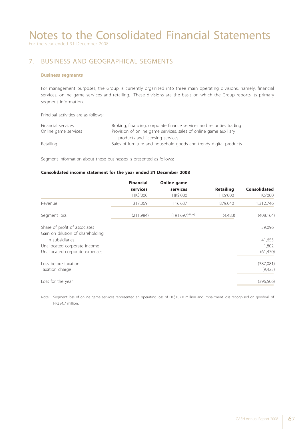For the year ended 31 December 2008

### 7. BUSINESS AND GEOGRAPHICAL SEGMENTS

#### **Business segments**

For management purposes, the Group is currently organised into three main operating divisions, namely, financial services, online game services and retailing. These divisions are the basis on which the Group reports its primary segment information.

Principal activities are as follows:

| Financial services   | Broking, financing, corporate finance services and securities trading |
|----------------------|-----------------------------------------------------------------------|
| Online game services | Provision of online game services, sales of online game auxiliary     |
|                      | products and licensing services                                       |
| Retailing            | Sales of furniture and household goods and trendy digital products    |

Segment information about these businesses is presented as follows:

#### **Consolidated income statement for the year ended 31 December 2008**

|                                  | <b>Financial</b> | <b>Online game</b>   |                  |                     |
|----------------------------------|------------------|----------------------|------------------|---------------------|
|                                  | services         | services             | <b>Retailing</b> | <b>Consolidated</b> |
|                                  | HK\$'000         | HK\$'000             | HK\$'000         | HK\$'000            |
| Revenue                          | 317,069          | 116,637              | 879,040          | 1,312,746           |
| Segment loss                     | (211,984)        | $(191,697)^{(Note)}$ | (4,483)          | (408, 164)          |
| Share of profit of associates    |                  |                      |                  | 39,096              |
| Gain on dilution of shareholding |                  |                      |                  |                     |
| in subsidiaries                  |                  |                      |                  | 41,655              |
| Unallocated corporate income     |                  |                      |                  | 1,802               |
| Unallocated corporate expenses   |                  |                      |                  | (61, 470)           |
| Loss before taxation             |                  |                      |                  | (387,081)           |
| Taxation charge                  |                  |                      |                  | (9,425)             |
| Loss for the year                |                  |                      |                  | (396, 506)          |

Note: Segment loss of online game services represented an operating loss of HK\$107.0 million and impairment loss recognised on goodwill of HK\$84.7 million.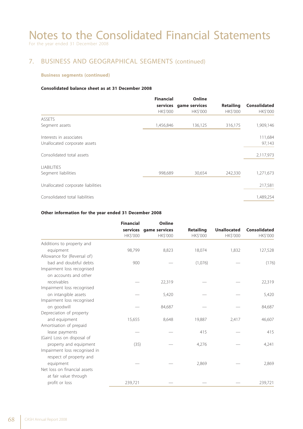## 7. BUSINESS AND GEOGRAPHICAL SEGMENTS (continued)

#### **Business segments (continued)**

#### **Consolidated balance sheet as at 31 December 2008**

|                                   | <b>Financial</b> |          |                        | Online           |                     |  |
|-----------------------------------|------------------|----------|------------------------|------------------|---------------------|--|
|                                   |                  |          | services game services | <b>Retailing</b> | <b>Consolidated</b> |  |
|                                   | HK\$'000         | HK\$'000 | HK\$'000               | HK\$'000         |                     |  |
| <b>ASSETS</b>                     |                  |          |                        |                  |                     |  |
| Segment assets                    | 1,456,846        | 136,125  | 316,175                | 1,909,146        |                     |  |
| Interests in associates           |                  |          |                        | 111,684          |                     |  |
| Unallocated corporate assets      |                  |          |                        | 97,143           |                     |  |
| Consolidated total assets         |                  |          |                        | 2,117,973        |                     |  |
| <b>LIABILITIES</b>                |                  |          |                        |                  |                     |  |
| Segment liabilities               | 998,689          | 30,654   | 242,330                | 1,271,673        |                     |  |
| Unallocated corporate liabilities |                  |          |                        | 217,581          |                     |  |
| Consolidated total liabilities    |                  |          |                        | 1,489,254        |                     |  |

#### **Other information for the year ended 31 December 2008**

|                               | <b>Financial</b><br>services | Online        |                  |                    |                     |
|-------------------------------|------------------------------|---------------|------------------|--------------------|---------------------|
|                               |                              | game services | <b>Retailing</b> | <b>Unallocated</b> | <b>Consolidated</b> |
|                               | HK\$'000                     | HK\$'000      | HK\$'000         | HK\$'000           | HK\$'000            |
| Additions to property and     |                              |               |                  |                    |                     |
| equipment                     | 98,799                       | 8,823         | 18,074           | 1,832              | 127,528             |
| Allowance for (Reversal of)   |                              |               |                  |                    |                     |
| bad and doubtful debts        | 900                          |               | (1,076)          |                    | (176)               |
| Impairment loss recognised    |                              |               |                  |                    |                     |
| on accounts and other         |                              |               |                  |                    |                     |
| receivables                   |                              | 22,319        |                  |                    | 22,319              |
| Impairment loss recognised    |                              |               |                  |                    |                     |
| on intangible assets          |                              | 5,420         |                  |                    | 5,420               |
| Impairment loss recognised    |                              |               |                  |                    |                     |
| on goodwill                   |                              | 84,687        |                  |                    | 84,687              |
| Depreciation of property      |                              |               |                  |                    |                     |
| and equipment                 | 15,655                       | 8,648         | 19,887           | 2,417              | 46,607              |
| Amortisation of prepaid       |                              |               |                  |                    |                     |
| lease payments                |                              |               | 415              |                    | 415                 |
| (Gain) Loss on disposal of    |                              |               |                  |                    |                     |
| property and equipment        | (35)                         |               | 4,276            |                    | 4,241               |
| Impairment loss recognised in |                              |               |                  |                    |                     |
| respect of property and       |                              |               |                  |                    |                     |
| equipment                     |                              |               | 2,869            |                    | 2,869               |
| Net loss on financial assets  |                              |               |                  |                    |                     |
| at fair value through         |                              |               |                  |                    |                     |
| profit or loss                | 239,721                      |               |                  |                    | 239,721             |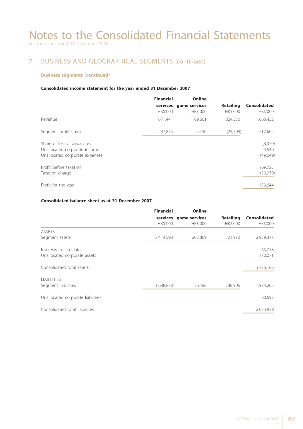## 7. BUSINESS AND GEOGRAPHICAL SEGMENTS (continued)

#### **Business segments (continued)**

#### **Consolidated income statement for the year ended 31 December 2007**

|                                                                                               | <b>Financial</b><br><b>HKS'000</b> | Online<br>services game services<br><b>HKS'000</b> | <b>Retailing</b><br><b>HKS'000</b> | <b>Consolidated</b><br>HK\$'000 |
|-----------------------------------------------------------------------------------------------|------------------------------------|----------------------------------------------------|------------------------------------|---------------------------------|
| Revenue                                                                                       | 671,441                            | 169,661                                            | 824,350                            | 1,665,452                       |
| Segment profit (loss)                                                                         | 237,875                            | 5,436                                              | (25,709)                           | 217,602                         |
| Share of loss of associates<br>Unallocated corporate income<br>Unallocated corporate expenses |                                    |                                                    |                                    | (3,370)<br>4,540<br>(49,049)    |
| Profit before taxation<br>Taxation charge                                                     |                                    |                                                    |                                    | 169,723<br>(30,079)             |
| Profit for the year                                                                           |                                    |                                                    |                                    | 139,644                         |

#### **Consolidated balance sheet as at 31 December 2007**

|                                   | <b>Financial</b> |          |                        | <b>Online</b>    |                     |  |
|-----------------------------------|------------------|----------|------------------------|------------------|---------------------|--|
|                                   |                  |          | services game services | <b>Retailing</b> | <b>Consolidated</b> |  |
|                                   | HK\$'000         | HK\$'000 | HK\$'000               | HK\$'000         |                     |  |
| <b>ASSETS</b>                     |                  |          |                        |                  |                     |  |
| Segment assets                    | 2,414,598        | 202,809  | 321,910                | 2,939,317        |                     |  |
| Interests in associates           |                  |          |                        | 65,778           |                     |  |
| Unallocated corporate assets      |                  |          |                        | 170,071          |                     |  |
| Consolidated total assets         |                  |          |                        | 3,175,166        |                     |  |
| <b>LIABILITIES</b>                |                  |          |                        |                  |                     |  |
| Segment liabilities               | 1,688,870        | 36,486   | 248,906                | 1,974,262        |                     |  |
| Unallocated corporate liabilities |                  |          |                        | 60,697           |                     |  |
| Consolidated total liabilities    |                  |          |                        | 2,034,959        |                     |  |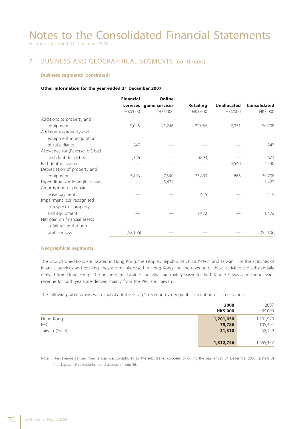For the year ended 31 December 2008

### 7. BUSINESS AND GEOGRAPHICAL SEGMENTS (continued)

#### **Business segments (continued)**

#### **Other information for the year ended 31 December 2007**

|                                  | <b>Financial</b> |                        | Online           |                    |                     |  |
|----------------------------------|------------------|------------------------|------------------|--------------------|---------------------|--|
|                                  |                  | services game services | <b>Retailing</b> | <b>Unallocated</b> | <b>Consolidated</b> |  |
|                                  | HK\$'000         | HK\$'000               | HK\$'000         | HK\$'000           | HK\$'000            |  |
| Additions to property and        |                  |                        |                  |                    |                     |  |
| equipment                        | 5,045            | 21,246                 | 22,086           | 2,331              | 50,708              |  |
| Addition to property and         |                  |                        |                  |                    |                     |  |
| equipment in acquisition         |                  |                        |                  |                    |                     |  |
| of subsidiaries                  | 247              |                        |                  |                    | 247                 |  |
| Allowance for (Reversal of) bad  |                  |                        |                  |                    |                     |  |
| and doubtful debts               | 1,566            |                        | (893)            |                    | 673                 |  |
| Bad debt recovered               |                  |                        |                  | 4,540              | 4,540               |  |
| Depreciation of property and     |                  |                        |                  |                    |                     |  |
| equipment                        | 7,403            | 7,540                  | 23,899           | 866                | 39,708              |  |
| Expenditure on intangible assets |                  | 5,422                  |                  |                    | 5,422               |  |
| Amortisation of prepaid          |                  |                        |                  |                    |                     |  |
| lease payments                   |                  |                        | 415              |                    | 415                 |  |
| Impairment loss recognised       |                  |                        |                  |                    |                     |  |
| in respect of property           |                  |                        |                  |                    |                     |  |
| and equipment                    |                  |                        | 1,472            |                    | 1,472               |  |
| Net gain on financial assets     |                  |                        |                  |                    |                     |  |
| at fair value through            |                  |                        |                  |                    |                     |  |
| profit or loss                   | (52, 106)        |                        |                  |                    | (52, 106)           |  |

#### **Geographical segments**

The Group's operations are located in Hong Kong, the People's Republic of China ("PRC") and Taiwan. For the activities of financial services and retailing, they are mainly based in Hong Kong and the revenue of these activities are substantially derived from Hong Kong. The online game business activities are mainly based in the PRC and Taiwan and the relevant revenue for both years are derived mainly from the PRC and Taiwan.

The following table provides an analysis of the Group's revenue by geographical location of its customers:

|               | 2008            | 2007      |
|---------------|-----------------|-----------|
|               | <b>HK\$'000</b> | HK\$'000  |
| Hong Kong     | 1,201,650       | 1,501,929 |
| <b>PRC</b>    | 79,786          | 105,394   |
| Taiwan (Note) | 31,310          | 58,129    |
|               | 1,312,746       | 1,665,452 |

Note: The revenue derived from Taiwan was contributed by the subsidiaries disposed of during the year ended 31 December 2008. Details of the disposal of subsidiaries are disclosed in note 36.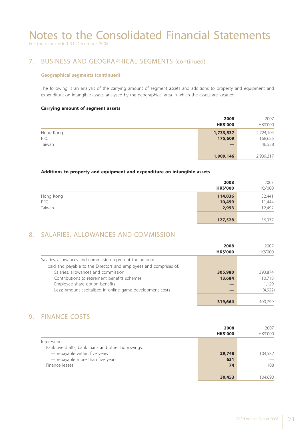For the year ended 31 December 2008

### 7. BUSINESS AND GEOGRAPHICAL SEGMENTS (continued)

#### **Geographical segments (continued)**

The following is an analysis of the carrying amount of segment assets and additions to property and equipment and expenditure on intangible assets, analysed by the geographical area in which the assets are located:

#### **Carrying amount of segment assets**

|                            | 2008<br><b>HK\$'000</b> | 2007<br>HK\$'000               |
|----------------------------|-------------------------|--------------------------------|
| Hong Kong<br>PRC<br>Taiwan | 1,733,537<br>175,609    | 2,724,104<br>168,685<br>46,528 |
|                            | 1,909,146               | 2,939,317                      |

#### **Additions to property and equipment and expenditure on intangible assets**

|                            | 2008<br><b>HK\$'000</b>    | 2007<br>HK\$'000           |
|----------------------------|----------------------------|----------------------------|
| Hong Kong<br>PRC<br>Taiwan | 114,036<br>10,499<br>2,993 | 32,441<br>11,444<br>12,492 |
|                            | 127,528                    | 56,377                     |

### 8. SALARIES, ALLOWANCES AND COMMISSION

|                                                                   | 2008<br><b>HK\$'000</b> | 2007<br>HK\$'000 |
|-------------------------------------------------------------------|-------------------------|------------------|
| Salaries, allowances and commission represent the amounts         |                         |                  |
| paid and payable to the Directors and employees and comprises of: |                         |                  |
| Salaries, allowances and commission                               | 305,980                 | 393,874          |
| Contributions to retirement benefits schemes                      | 13,684                  | 10.718           |
| Employee share option benefits                                    |                         | 1.129            |
| Less: Amount capitalised in online game development costs         |                         | (4,922)          |
|                                                                   |                         |                  |
|                                                                   | 319,664                 | 400.799          |

### 9. FINANCE COSTS

|                                                   | 2008<br><b>HK\$'000</b> | 2007<br>HK\$'000 |
|---------------------------------------------------|-------------------------|------------------|
| Interest on:                                      |                         |                  |
| Bank overdrafts, bank loans and other borrowings: |                         |                  |
| - repayable within five years                     | 29,748                  | 104,582          |
| - repayable more than five years                  | 631                     |                  |
| Finance leases                                    | 74                      | 108              |
|                                                   |                         |                  |
|                                                   | 30,453                  | 104.690          |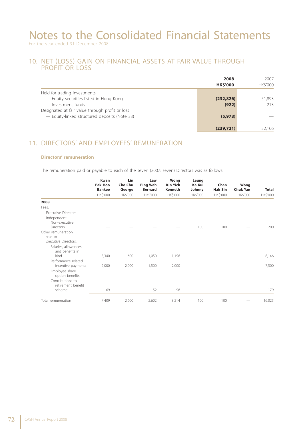#### 10. NET (LOSS) GAIN ON FINANCIAL ASSETS AT FAIR VALUE THROUGH PROFIT OR LOSS

|                                                 | 2008<br><b>HK\$'000</b> | 2007<br>HK\$'000 |
|-------------------------------------------------|-------------------------|------------------|
| Held-for-trading investments                    |                         |                  |
| - Equity securities listed in Hong Kong         | (232, 826)              | 51,893           |
| - Investment funds                              | (922)                   | 213              |
| Designated at fair value through profit or loss |                         |                  |
| - Equity-linked structured deposits (Note 33)   | (5, 973)                |                  |
|                                                 |                         |                  |
|                                                 | (239,721)               | 52,106           |

### 11. DIRECTORS' AND EMPLOYEES' REMUNERATION

#### **Directors' remuneration**

The remuneration paid or payable to each of the seven (2007: seven) Directors was as follows:

|                                                              | <b>Kwan</b><br><b>Pak Hoo</b><br><b>Bankee</b> | Lin<br><b>Che Chu</b><br>George | Law<br><b>Ping Wah</b><br><b>Bernard</b> | Wong<br><b>Kin Yick</b><br>Kenneth | Leung<br>Ka Kui<br>Johnny | Chan<br><b>Hak Sin</b> | Wong<br><b>Chuk Yan</b> | <b>Total</b> |
|--------------------------------------------------------------|------------------------------------------------|---------------------------------|------------------------------------------|------------------------------------|---------------------------|------------------------|-------------------------|--------------|
|                                                              | HK\$'000                                       | HK\$'000                        | HK\$'000                                 | HK\$'000                           | <b>HK\$'000</b>           | HK\$'000               | HK\$'000                | HK\$'000     |
| 2008                                                         |                                                |                                 |                                          |                                    |                           |                        |                         |              |
| Fees:                                                        |                                                |                                 |                                          |                                    |                           |                        |                         |              |
| <b>Executive Directors</b>                                   |                                                |                                 |                                          |                                    |                           |                        |                         |              |
| Independent<br>Non-executive                                 |                                                |                                 |                                          |                                    |                           |                        |                         |              |
| <b>Directors</b>                                             |                                                |                                 |                                          |                                    | 100                       | 100                    |                         | 200          |
| Other remuneration<br>paid to<br><b>Executive Directors:</b> |                                                |                                 |                                          |                                    |                           |                        |                         |              |
| Salaries, allowances<br>and benefits in                      |                                                |                                 |                                          |                                    |                           |                        |                         |              |
| kind                                                         | 5,340                                          | 600                             | 1,050                                    | 1,156                              |                           |                        |                         | 8,146        |
| Performance related<br>incentive payments                    | 2,000                                          | 2,000                           | 1,500                                    | 2,000                              |                           |                        |                         | 7,500        |
| Employee share<br>option benefits                            |                                                |                                 |                                          |                                    |                           |                        |                         |              |
| Contributions to<br>retirement benefit                       |                                                |                                 |                                          |                                    |                           |                        |                         |              |
| scheme                                                       | 69                                             |                                 | 52                                       | 58                                 |                           |                        |                         | 179          |
| Total remuneration                                           | 7,409                                          | 2,600                           | 2,602                                    | 3,214                              | 100                       | 100                    |                         | 16,025       |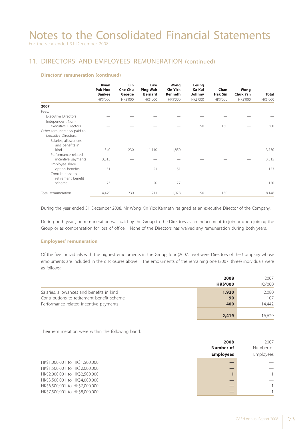### 11. DIRECTORS' AND EMPLOYEES' REMUNERATION (continued)

#### **Directors' remuneration (continued)**

|                                                           | <b>Kwan</b><br>Pak Hoo<br><b>Bankee</b><br>HK\$'000 | Lin<br><b>Che Chu</b><br>George<br>HK\$'000 | Law<br><b>Ping Wah</b><br><b>Bernard</b><br><b>HK\$'000</b> | Wong<br><b>Kin Yick</b><br>Kenneth<br><b>HK\$'000</b> | Leung<br>Ka Kui<br>Johnny<br>HK\$'000 | Chan<br><b>Hak Sin</b><br>HK\$'000 | Wong<br><b>Chuk Yan</b><br><b>HK\$'000</b> | <b>Total</b><br>HK\$'000 |
|-----------------------------------------------------------|-----------------------------------------------------|---------------------------------------------|-------------------------------------------------------------|-------------------------------------------------------|---------------------------------------|------------------------------------|--------------------------------------------|--------------------------|
| 2007                                                      |                                                     |                                             |                                                             |                                                       |                                       |                                    |                                            |                          |
| Fees:                                                     |                                                     |                                             |                                                             |                                                       |                                       |                                    |                                            |                          |
| <b>Executive Directors</b>                                |                                                     |                                             |                                                             |                                                       |                                       |                                    |                                            |                          |
| Independent Non-                                          |                                                     |                                             |                                                             |                                                       |                                       |                                    |                                            |                          |
| executive Directors                                       |                                                     |                                             |                                                             |                                                       | 150                                   | 150                                |                                            | 300                      |
| Other remuneration paid to<br><b>Executive Directors:</b> |                                                     |                                             |                                                             |                                                       |                                       |                                    |                                            |                          |
| Salaries, allowances<br>and benefits in                   |                                                     |                                             |                                                             |                                                       |                                       |                                    |                                            |                          |
| kind<br>Performance related                               | 540                                                 | 230                                         | 1,110                                                       | 1,850                                                 |                                       |                                    |                                            | 3,730                    |
| incentive payments<br>Employee share                      | 3,815                                               |                                             |                                                             |                                                       |                                       |                                    |                                            | 3,815                    |
| option benefits<br>Contributions to<br>retirement benefit | 51                                                  |                                             | 51                                                          | 51                                                    |                                       |                                    |                                            | 153                      |
| scheme                                                    | 23                                                  |                                             | 50                                                          | 77                                                    |                                       |                                    |                                            | 150                      |
| Total remuneration                                        | 4,429                                               | 230                                         | 1,211                                                       | 1,978                                                 | 150                                   | 150                                |                                            | 8,148                    |

During the year ended 31 December 2008, Mr Wong Kin Yick Kenneth resigned as an executive Director of the Company.

During both years, no remuneration was paid by the Group to the Directors as an inducement to join or upon joining the Group or as compensation for loss of office. None of the Directors has waived any remuneration during both years.

#### **Employees' remuneration**

Of the five individuals with the highest emoluments in the Group, four (2007: two) were Directors of the Company whose emoluments are included in the disclosures above. The emoluments of the remaining one (2007: three) individuals were as follows:

|                                                                                                                                   | 2008<br><b>HK\$'000</b> | 2007<br>HK\$'000       |
|-----------------------------------------------------------------------------------------------------------------------------------|-------------------------|------------------------|
| Salaries, allowances and benefits in kind<br>Contributions to retirement benefit scheme<br>Performance related incentive payments | 1,920<br>99<br>400      | 2,080<br>107<br>14.442 |
|                                                                                                                                   | 2,419                   | 16.629                 |

Their remuneration were within the following band:

|                                | 2008<br>Number of<br><b>Employees</b> | 2007<br>Number of<br>Employees |
|--------------------------------|---------------------------------------|--------------------------------|
| HK\$1,000,001 to HK\$1,500,000 |                                       |                                |
| HK\$1,500,001 to HK\$2,000,000 |                                       |                                |
| HK\$2,000,001 to HK\$2,500,000 |                                       |                                |
| HK\$3,500,001 to HK\$4,000,000 |                                       |                                |
| HK\$6,500,001 to HK\$7,000,000 |                                       |                                |
| HK\$7,500,001 to HK\$8,000,000 |                                       |                                |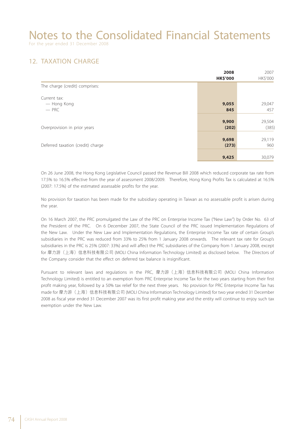For the year ended 31 December 2008

### 12. TAXATION CHARGE

|                                   | 2008            | 2007     |
|-----------------------------------|-----------------|----------|
|                                   | <b>HK\$'000</b> | HK\$'000 |
| The charge (credit) comprises:    |                 |          |
| Current tax:                      |                 |          |
| — Hong Kong                       | 9,055           | 29,047   |
| $-$ PRC                           | 845             | 457      |
|                                   | 9,900           | 29,504   |
| Overprovision in prior years      | (202)           | (385)    |
|                                   | 9,698           | 29,119   |
|                                   |                 |          |
| Deferred taxation (credit) charge | (273)           | 960      |
|                                   | 9,425           | 30,079   |

On 26 June 2008, the Hong Kong Legislative Council passed the Revenue Bill 2008 which reduced corporate tax rate from 17.5% to 16.5% effective from the year of assessment 2008/2009. Therefore, Hong Kong Profits Tax is calculated at 16.5% (2007: 17.5%) of the estimated assessable profits for the year.

No provision for taxation has been made for the subsidiary operating in Taiwan as no assessable profit is arisen during the year.

On 16 March 2007, the PRC promulgated the Law of the PRC on Enterprise Income Tax ("New Law") by Order No. 63 of the President of the PRC. On 6 December 2007, the State Council of the PRC issued Implementation Regulations of the New Law. Under the New Law and Implementation Regulations, the Enterprise Income Tax rate of certain Group's subsidiaries in the PRC was reduced from 33% to 25% from 1 January 2008 onwards. The relevant tax rate for Group's subsidiaries in the PRC is 25% (2007: 33%) and will affect the PRC subsidiaries of the Company from 1 January 2008, except for 摩力游(上海)信息科技有限公司 (MOLI China Information Technology Limited) as disclosed below. The Directors of the Company consider that the effect on deferred tax balance is insignificant.

Pursuant to relevant laws and regulations in the PRC, 摩力游(上海)信息科技有限公司 (MOLI China Information Technology Limited) is entitled to an exemption from PRC Enterprise Income Tax for the two years starting from their first profit making year, followed by a 50% tax relief for the next three years. No provision for PRC Enterprise Income Tax has made for 摩力游(上海)信息科技有限公司 (MOLI China Information Technology Limited) for two year ended 31 December 2008 as fiscal year ended 31 December 2007 was its first profit making year and the entity will continue to enjoy such tax exemption under the New Law.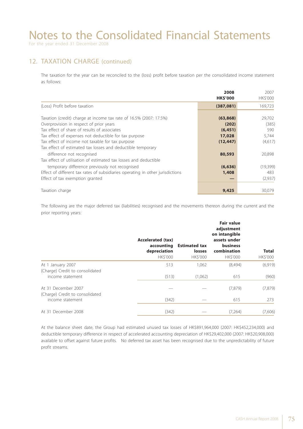### 12. TAXATION CHARGE (continued)

The taxation for the year can be reconciled to the (loss) profit before taxation per the consolidated income statement as follows:

|                                                                                | 2008            | 2007     |
|--------------------------------------------------------------------------------|-----------------|----------|
|                                                                                | <b>HK\$'000</b> | HK\$'000 |
| (Loss) Profit before taxation                                                  | (387,081)       | 169,723  |
|                                                                                |                 |          |
| Taxation (credit) charge at income tax rate of 16.5% (2007: 17.5%)             | (63,868)        | 29,702   |
| Overprovision in respect of prior years                                        | (202)           | (385)    |
| Tax effect of share of results of associates                                   | (6, 451)        | 590      |
| Tax effect of expenses not deductible for tax purpose                          | 17,028          | 5,744    |
| Tax effect of income not taxable for tax purpose                               | (12, 447)       | (4,617)  |
| Tax effect of estimated tax losses and deductible temporary                    |                 |          |
| difference not recognised                                                      | 80,593          | 20,898   |
| Tax effect of utilisation of estimated tax losses and deductible               |                 |          |
| temporary difference previously not recognised                                 | (6, 636)        | (19,399) |
| Effect of different tax rates of subsidiaries operating in other jurisdictions | 1,408           | 483      |
| Effect of tax exemption granted                                                |                 | (2,937)  |
|                                                                                |                 |          |
| Taxation charge                                                                | 9,425           | 30,079   |

The following are the major deferred tax (liabilities) recognised and the movements thereon during the current and the prior reporting years:

|                                                        | <b>Accelerated (tax)</b><br>accounting<br>depreciation<br>HK\$'000 | <b>Estimated tax</b><br>losses<br>HK\$'000 | <b>Fair value</b><br>adjustment<br>on intangible<br>assets under<br><b>business</b><br>combination<br>HK\$'000 | <b>Total</b><br>HK\$'000 |
|--------------------------------------------------------|--------------------------------------------------------------------|--------------------------------------------|----------------------------------------------------------------------------------------------------------------|--------------------------|
| At 1 January 2007                                      | 513                                                                | 1,062                                      | (8,494)                                                                                                        | (6,919)                  |
| (Charge) Credit to consolidated<br>income statement    | (513)                                                              | (1,062)                                    | 615                                                                                                            | (960)                    |
| At 31 December 2007<br>(Charge) Credit to consolidated |                                                                    |                                            | (7,879)                                                                                                        | (7,879)                  |
| income statement                                       | (342)                                                              |                                            | 615                                                                                                            | 273                      |
| At 31 December 2008                                    | (342)                                                              |                                            | (7,264)                                                                                                        | (7,606)                  |

At the balance sheet date, the Group had estimated unused tax losses of HK\$891,964,000 (2007: HK\$452,234,000) and deductible temporary difference in respect of accelerated accounting depreciation of HK\$29,402,000 (2007: HK\$20,908,000) available to offset against future profits. No deferred tax asset has been recognised due to the unpredictability of future profit streams.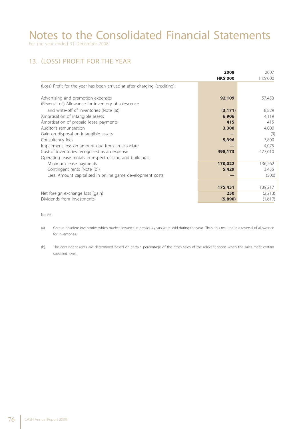### 13. (LOSS) PROFIT FOR THE YEAR

|                                                                            | 2008            | 2007     |
|----------------------------------------------------------------------------|-----------------|----------|
|                                                                            | <b>HK\$'000</b> | HK\$'000 |
| (Loss) Profit for the year has been arrived at after charging (crediting): |                 |          |
| Advertising and promotion expenses                                         | 92,109          | 57,453   |
| (Reversal of) Allowance for inventory obsolescence                         |                 |          |
| and write-off of inventories (Note (a))                                    | (3, 171)        | 8,829    |
| Amortisation of intangible assets                                          | 6,906           | 4,119    |
| Amortisation of prepaid lease payments                                     | 415             | 415      |
| Auditor's remuneration                                                     | 3,300           | 4,000    |
| Gain on disposal on intangible assets                                      |                 | (9)      |
| Consultancy fees                                                           | 5,396           | 7,800    |
| Impairment loss on amount due from an associate                            |                 | 4,075    |
| Cost of inventories recognised as an expense                               | 498,173         | 477,610  |
| Operating lease rentals in respect of land and buildings:                  |                 |          |
| Minimum lease payments                                                     | 170,022         | 136,262  |
| Contingent rents (Note (b))                                                | 5,429           | 3,455    |
| Less: Amount capitalised in online game development costs                  |                 | (500)    |
|                                                                            |                 |          |
|                                                                            | 175,451         | 139,217  |
| Net foreign exchange loss (gain)                                           | 250             | (2,213)  |
| Dividends from investments                                                 | (5,890)         | (1,617)  |

Notes:

(a) Certain obsolete inventories which made allowance in previous years were sold during the year. Thus, this resulted in a reversal of allowance for inventories.

(b) The contingent rents are determined based on certain percentage of the gross sales of the relevant shops when the sales meet certain specified level.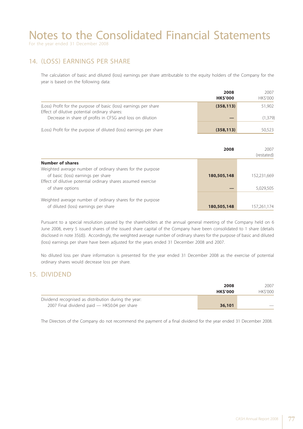For the year ended 31 December 2008

#### 14. (LOSS) EARNINGS PER SHARE

The calculation of basic and diluted (loss) earnings per share attributable to the equity holders of the Company for the year is based on the following data:

|                                                                                                                                                                                | 2008            | 2007               |
|--------------------------------------------------------------------------------------------------------------------------------------------------------------------------------|-----------------|--------------------|
|                                                                                                                                                                                | <b>HK\$'000</b> | <b>HKS'000</b>     |
| (Loss) Profit for the purpose of basic (loss) earnings per share<br>Effect of dilutive potential ordinary shares:<br>Decrease in share of profits in CFSG and loss on dilution | (358, 113)      | 51,902<br>(1, 379) |
| (Loss) Profit for the purpose of diluted (loss) earnings per share                                                                                                             | (358, 113)      | 50.523             |

|                                                                                                                                                                                                           | 2008        | 2007<br>(restated)       |
|-----------------------------------------------------------------------------------------------------------------------------------------------------------------------------------------------------------|-------------|--------------------------|
| Number of shares<br>Weighted average number of ordinary shares for the purpose<br>of basic (loss) earnings per share<br>Effect of dilutive potential ordinary shares assumed exercise<br>of share options | 180,505,148 | 152,231,669<br>5,029,505 |
| Weighted average number of ordinary shares for the purpose<br>of diluted (loss) earnings per share                                                                                                        | 180,505,148 | 157,261,174              |

Pursuant to a special resolution passed by the shareholders at the annual general meeting of the Company held on 6 June 2008, every 5 issued shares of the issued share capital of the Company have been consolidated to 1 share (details disclosed in note 35(d)). Accordingly, the weighted average number of ordinary shares for the purpose of basic and diluted (loss) earnings per share have been adjusted for the years ended 31 December 2008 and 2007.

No diluted loss per share information is presented for the year ended 31 December 2008 as the exercise of potential ordinary shares would decrease loss per share.

#### 15. DIVIDEND

|                                                      | 2008           | 2007           |
|------------------------------------------------------|----------------|----------------|
|                                                      | <b>HKS'000</b> | <b>HKS'000</b> |
| Dividend recognised as distribution during the year: |                |                |
| 2007 Final dividend paid - HK\$0.04 per share        | 36,101         | $-$            |

The Directors of the Company do not recommend the payment of a final dividend for the year ended 31 December 2008.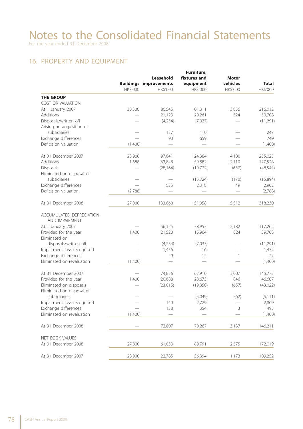### 16. PROPERTY AND EQUIPMENT

|                            |          |                               | Furniture,   |              |              |
|----------------------------|----------|-------------------------------|--------------|--------------|--------------|
|                            |          | Leasehold                     | fixtures and | <b>Motor</b> |              |
|                            |          | <b>Buildings improvements</b> | equipment    | vehicles     | <b>Total</b> |
|                            | HK\$'000 | HK\$'000                      | HK\$'000     | HK\$'000     | HK\$'000     |
| <b>THE GROUP</b>           |          |                               |              |              |              |
| COST OR VALUATION          |          |                               |              |              |              |
| At 1 January 2007          | 30,300   | 80,545                        | 101,311      | 3,856        | 216,012      |
| Additions                  |          | 21,123                        | 29,261       | 324          | 50,708       |
| Disposals/written off      |          | (4,254)                       | (7,037)      |              | (11,291)     |
| Arising on acquisition of  |          |                               |              |              |              |
| subsidiaries               |          | 137                           | 110          |              | 247          |
| Exchange differences       |          | 90                            | 659          |              | 749          |
| Deficit on valuation       | (1,400)  |                               |              |              | (1,400)      |
| At 31 December 2007        | 28,900   | 97,641                        | 124,304      | 4,180        | 255,025      |
| Additions                  | 1,688    | 63,848                        | 59,882       | 2,110        | 127,528      |
| Disposals                  |          | (28, 164)                     | (19, 722)    | (657)        | (48, 543)    |
| Eliminated on disposal of  |          |                               |              |              |              |
| subsidiaries               |          |                               | (15, 724)    | (170)        | (15,894)     |
| Exchange differences       |          | 535                           | 2,318        | 49           | 2,902        |
| Deficit on valuation       | (2,788)  |                               |              |              | (2,788)      |
| At 31 December 2008        | 27,800   | 133,860                       | 151,058      | 5,512        | 318,230      |
| ACCUMULATED DEPRECIATION   |          |                               |              |              |              |
| AND IMPAIRMENT             |          |                               |              |              |              |
| At 1 January 2007          |          | 56,125                        | 58,955       | 2,182        | 117,262      |
| Provided for the year      | 1,400    | 21,520                        | 15,964       | 824          | 39,708       |
| Eliminated on              |          |                               |              |              |              |
| disposals/written off      |          | (4,254)                       | (7,037)      |              | (11, 291)    |
| Impairment loss recognised |          | 1,456                         | 16           |              | 1,472        |
| Exchange differences       |          | 9                             | 12           | $\mathbf{1}$ | 22           |
| Eliminated on revaluation  | (1,400)  |                               |              |              | (1,400)      |
| At 31 December 2007        |          | 74,856                        | 67,910       | 3,007        | 145,773      |
| Provided for the year      | 1,400    | 20,688                        | 23,673       | 846          | 46,607       |
| Eliminated on disposals    |          | (23, 015)                     | (19,350)     | (657)        | (43, 022)    |
| Eliminated on disposal of  |          |                               |              |              |              |
| subsidiaries               |          |                               | (5,049)      | (62)         | (5, 111)     |
| Impairment loss recognised |          | 140                           | 2,729        |              | 2,869        |
| Exchange differences       |          | 138                           | 354          | 3            | 495          |
| Eliminated on revaluation  | (1,400)  |                               |              |              | (1,400)      |
| At 31 December 2008        |          | 72,807                        | 70,267       | 3,137        | 146,211      |
| NET BOOK VALUES            |          |                               |              |              |              |
| At 31 December 2008        | 27,800   | 61,053                        | 80,791       | 2,375        | 172,019      |
| At 31 December 2007        | 28,900   | 22,785                        | 56,394       | 1,173        | 109,252      |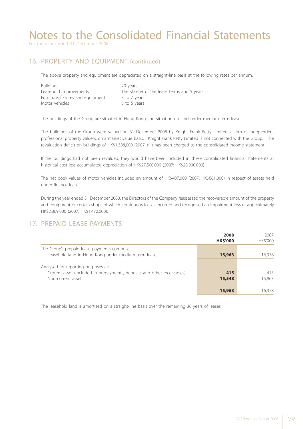For the year ended 31 December 2008

### 16. PROPERTY AND EQUIPMENT (continued)

The above property and equipment are depreciated on a straight-line basis at the following rates per annum:

| 20 years                                   |
|--------------------------------------------|
| The shorter of the lease terms and 5 years |
| 3 to 7 years                               |
| 3 to 5 years                               |
|                                            |

The buildings of the Group are situated in Hong Kong and situation on land under medium-term lease.

The buildings of the Group were valued on 31 December 2008 by Knight Frank Petty Limited, a firm of independent professional property valuers, on a market value basis. Knight Frank Petty Limited is not connected with the Group. The revaluation deficit on buildings of HK\$1,388,000 (2007: nil) has been charged to the consolidated income statement.

If the buildings had not been revalued, they would have been included in these consolidated financial statements at historical cost less accumulated depreciation of HK\$27,500,000 (2007: HK\$28,900,000).

The net book values of motor vehicles included an amount of HK\$407,000 (2007: HK\$661,000) in respect of assets held under finance leases.

During the year ended 31 December 2008, the Directors of the Company reassessed the recoverable amount of the property and equipment of certain shops of which continuous losses incurred and recognised an impairment loss of approximately HK\$2,869,000 (2007: HK\$1,472,000).

### 17. PREPAID LEASE PAYMENTS

|                                                                                                                                     | 2008<br><b>HK\$'000</b> | 2007<br><b>HKS'000</b> |
|-------------------------------------------------------------------------------------------------------------------------------------|-------------------------|------------------------|
| The Group's prepaid lease payments comprise:<br>Leasehold land in Hong Kong under medium-term lease                                 | 15,963                  | 16,378                 |
| Analysed for reporting purposes as:<br>Current asset (included in prepayments, deposits and other receivables)<br>Non-current asset | 415<br>15,548           | 415<br>15,963          |
|                                                                                                                                     | 15,963                  | 16,378                 |

The leasehold land is amortised on a straight-line basis over the remaining 30 years of leases.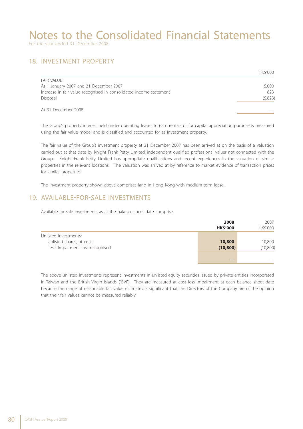For the year ended 31 December 2008

#### 18. INVESTMENT PROPERTY

|                                                                    | <b>HKS'000</b> |
|--------------------------------------------------------------------|----------------|
| <b>FAIR VALUE</b>                                                  |                |
| At 1 January 2007 and 31 December 2007                             | 5,000          |
| Increase in fair value recognised in consolidated income statement | 823            |
| Disposal                                                           | (5,823)        |
|                                                                    |                |
| At 31 December 2008                                                |                |

The Group's property interest held under operating leases to earn rentals or for capital appreciation purpose is measured using the fair value model and is classified and accounted for as investment property.

The fair value of the Group's investment property at 31 December 2007 has been arrived at on the basis of a valuation carried out at that date by Knight Frank Petty Limited, independent qualified professional valuer not connected with the Group. Knight Frank Petty Limited has appropriate qualifications and recent experiences in the valuation of similar properties in the relevant locations. The valuation was arrived at by reference to market evidence of transaction prices for similar properties.

The investment property shown above comprises land in Hong Kong with medium-term lease.

#### 19. AVAILABLE-FOR-SALE INVESTMENTS

Available-for-sale investments as at the balance sheet date comprise:

|                                  | 2008            | 2007      |  |
|----------------------------------|-----------------|-----------|--|
|                                  | <b>HK\$'000</b> | HK\$'000  |  |
| Unlisted investments:            |                 |           |  |
| Unlisted shares, at cost         | 10,800          | 10,800    |  |
| Less: Impairment loss recognised | (10, 800)       | (10, 800) |  |
|                                  |                 |           |  |
|                                  |                 |           |  |

The above unlisted investments represent investments in unlisted equity securities issued by private entities incorporated in Taiwan and the British Virgin Islands ("BVI"). They are measured at cost less impairment at each balance sheet date because the range of reasonable fair value estimates is significant that the Directors of the Company are of the opinion that their fair values cannot be measured reliably.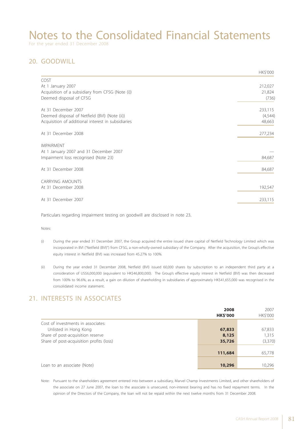For the year ended 31 December 2008

### 20. GOODWILL

|                                                    | HK\$'000 |
|----------------------------------------------------|----------|
| COST                                               |          |
| At 1 January 2007                                  | 212,027  |
| Acquisition of a subsidiary from CFSG (Note (i))   | 21,824   |
| Deemed disposal of CFSG                            | (736)    |
| At 31 December 2007                                | 233,115  |
| Deemed disposal of Netfield (BVI) (Note (ii))      | (4,544)  |
| Acquisition of additional interest in subsidiaries | 48,663   |
| At 31 December 2008                                | 277,234  |
| <b>IMPAIRMENT</b>                                  |          |
| At 1 January 2007 and 31 December 2007             |          |
| Impairment loss recognised (Note 23)               | 84,687   |
| At 31 December 2008                                | 84,687   |
| <b>CARRYING AMOUNTS</b>                            |          |
| At 31 December 2008                                | 192,547  |
| At 31 December 2007                                | 233,115  |
|                                                    |          |

Particulars regarding impairment testing on goodwill are disclosed in note 23.

Notes:

- (i) During the year ended 31 December 2007, the Group acquired the entire issued share capital of Netfield Technology Limited which was incorporated in BVI ("Netfield (BVI)") from CFSG, a non-wholly-owned subsidiary of the Company. After the acquisition, the Group's effective equity interest in Netfield (BVI) was increased from 45.27% to 100%.
- (ii) During the year ended 31 December 2008, Netfield (BVI) issued 60,000 shares by subscription to an independent third party at a consideration of US\$6,000,000 (equivalent to HK\$46,800,000). The Group's effective equity interest in Netfield (BVI) was then decreased from 100% to 96.6%, as a result, a gain on dilution of shareholding in subsidiaries of approximately HK\$41,655,000 was recognised in the consolidated income statement.

#### 21. INTERESTS IN ASSOCIATES

|                                          | 2008<br><b>HK\$'000</b> | 2007<br>HK\$'000 |
|------------------------------------------|-------------------------|------------------|
| Cost of investments in associates:       |                         |                  |
| Unlisted in Hong Kong                    | 67,833                  | 67,833           |
| Share of post-acquisition reserve        | 8,125                   | 1,315            |
| Share of post-acquisition profits (loss) | 35,726                  | (3,370)          |
|                                          | 111,684                 | 65,778           |
| Loan to an associate (Note)              | 10,296                  | 10,296           |

Note: Pursuant to the shareholders agreement entered into between a subsidiary, Marvel Champ Investments Limited, and other shareholders of the associate on 27 June 2007, the loan to the associate is unsecured, non-interest bearing and has no fixed repayment terms. In the opinion of the Directors of the Company, the loan will not be repaid within the next twelve months from 31 December 2008.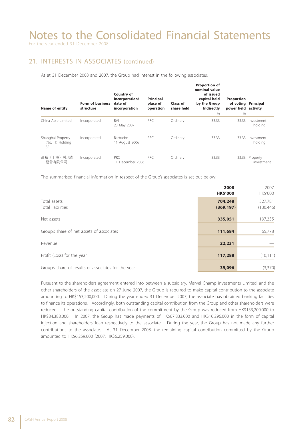For the year ended 31 December 2008

#### 21. INTERESTS IN ASSOCIATES (continued)

As at 31 December 2008 and 2007, the Group had interest in the following associates:

| <b>Name of entity</b>                       | <b>Form of business</b><br>structure | <b>Country of</b><br>incorporation/<br>date of<br>incorporation | Principal<br>place of<br>operation | Class of<br>share held | <b>Proportion of</b><br>nominal value<br>of issued<br>capital held<br>by the Group<br>Indirectly<br>$\%$ | <b>Proportion</b><br>of voting Principal<br>power held activity<br>$\%$ |                        |
|---------------------------------------------|--------------------------------------|-----------------------------------------------------------------|------------------------------------|------------------------|----------------------------------------------------------------------------------------------------------|-------------------------------------------------------------------------|------------------------|
| China Able Limited                          | Incorporated                         | <b>BVI</b><br>23 May 2007                                       | PRC                                | Ordinary               | 33.33                                                                                                    | 33.33                                                                   | Investment<br>holding  |
| Shanghai Property<br>(No. 1) Holding<br>SRL | Incorporated                         | <b>Barbados</b><br>11 August 2006                               | PRC.                               | Ordinary               | 33.33                                                                                                    | 33.33                                                                   | Investment<br>holding  |
| 昌裕(上海)房地產<br>經營有限公司                         | Incorporated                         | PRC.<br>11 December 2006                                        | PRC.                               | Ordinary               | 33.33                                                                                                    | 33.33                                                                   | Property<br>investment |

The summarised financial information in respect of the Group's associates is set out below:

|                                                     | 2008<br><b>HK\$'000</b> | 2007<br>HK\$'000      |
|-----------------------------------------------------|-------------------------|-----------------------|
| Total assets<br>Total liabilities                   | 704,248<br>(369, 197)   | 327,781<br>(130, 446) |
| Net assets                                          | 335,051                 | 197,335               |
| Group's share of net assets of associates           | 111,684                 | 65,778                |
| Revenue                                             | 22,231                  |                       |
| Profit (Loss) for the year                          | 117,288                 | (10, 111)             |
| Group's share of results of associates for the year | 39,096                  | (3,370)               |

Pursuant to the shareholders agreement entered into between a subsidiary, Marvel Champ investments Limited, and the other shareholders of the associate on 27 June 2007, the Group is required to make capital contribution to the associate amounting to HK\$153,200,000. During the year ended 31 December 2007, the associate has obtained banking facilities to finance its operations. Accordingly, both outstanding capital contribution from the Group and other shareholders were reduced. The outstanding capital contribution of the commitment by the Group was reduced from HK\$153,200,000 to HK\$84,388,000. In 2007, the Group has made payments of HK\$67,833,000 and HK\$10,296,000 in the form of capital injection and shareholders' loan respectively to the associate. During the year, the Group has not made any further contributions to the associate. At 31 December 2008, the remaining capital contribution committed by the Group amounted to HK\$6,259,000 (2007: HK\$6,259,000).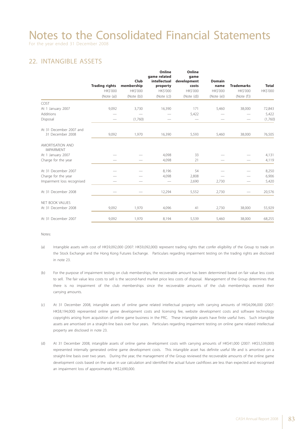For the year ended 31 December 2008

### 22. INTANGIBLE ASSETS

|                                       | <b>Trading rights</b> | Club<br>membership | Online<br>game related<br>intellectual<br>property | Online<br>game<br>development<br>costs | <b>Domain</b><br>name | <b>Trademarks</b> | <b>Total</b> |
|---------------------------------------|-----------------------|--------------------|----------------------------------------------------|----------------------------------------|-----------------------|-------------------|--------------|
|                                       | <b>HK\$'000</b>       | <b>HK\$'000</b>    | HK\$'000                                           | HK\$'000                               | HK\$'000              | HK\$'000          | HK\$'000     |
|                                       | (Note (a))            | (Note (b))         | (Note (c))                                         | (Note (d))                             | (Note (e))            | (Note (f))        |              |
| COST                                  |                       |                    |                                                    |                                        |                       |                   |              |
| At 1 January 2007                     | 9,092                 | 3,730              | 16,390                                             | 171                                    | 5,460                 | 38,000            | 72,843       |
| Additions                             |                       |                    |                                                    | 5,422                                  |                       |                   | 5,422        |
| Disposal                              |                       | (1,760)            |                                                    |                                        |                       |                   | (1,760)      |
| At 31 December 2007 and               |                       |                    |                                                    |                                        |                       |                   |              |
| 31 December 2008                      | 9,092                 | 1,970              | 16,390                                             | 5,593                                  | 5,460                 | 38,000            | 76,505       |
| AMORTISATION AND<br><b>IMPAIRMENT</b> |                       |                    |                                                    |                                        |                       |                   |              |
| At 1 January 2007                     |                       |                    | 4,098                                              | 33                                     |                       |                   | 4,131        |
| Charge for the year                   |                       |                    | 4,098                                              | 21                                     |                       |                   | 4,119        |
| At 31 December 2007                   |                       |                    | 8,196                                              | 54                                     |                       |                   | 8,250        |
| Charge for the year                   |                       |                    | 4,098                                              | 2,808                                  |                       |                   | 6,906        |
| Impairment loss recognised            |                       |                    |                                                    | 2,690                                  | 2,730                 | -                 | 5,420        |
| At 31 December 2008                   |                       |                    | 12,294                                             | 5,552                                  | 2,730                 |                   | 20,576       |
| NET BOOK VALUES                       |                       |                    |                                                    |                                        |                       |                   |              |
| At 31 December 2008                   | 9,092                 | 1,970              | 4,096                                              | 41                                     | 2,730                 | 38,000            | 55,929       |
| At 31 December 2007                   | 9,092                 | 1,970              | 8,194                                              | 5,539                                  | 5,460                 | 38,000            | 68,255       |

Notes:

- (a) Intangible assets with cost of HK\$9,092,000 (2007: HK\$9,092,000) represent trading rights that confer eligibility of the Group to trade on the Stock Exchange and the Hong Kong Futures Exchange. Particulars regarding impairment testing on the trading rights are disclosed in note 23.
- (b) For the purpose of impairment testing on club memberships, the recoverable amount has been determined based on fair value less costs to sell. The fair value less costs to sell is the second-hand market price less costs of disposal. Management of the Group determines that there is no impairment of the club memberships since the recoverable amounts of the club memberships exceed their carrying amounts.
- (c) At 31 December 2008, intangible assets of online game related intellectual property with carrying amounts of HK\$4,096,000 (2007: HK\$8,194,000) represented online game development costs and licensing fee, website development costs and software technology copyrights arising from acquisition of online game business in the PRC. These intangible assets have finite useful lives. Such intangible assets are amortised on a straight-line basis over four years. Particulars regarding impairment testing on online game related intellectual property are disclosed in note 23.
- (d) At 31 December 2008, intangible assets of online game development costs with carrying amounts of HK\$41,000 (2007: HK\$5,539,000) represented internally generated online game development costs. This intangible asset has definite useful life and is amortised on a straight-line basis over two years. During the year, the management of the Group reviewed the recoverable amounts of the online game development costs based on the value in use calculation and identified the actual future cashflows are less than expected and recognised an impairment loss of approximately HK\$2,690,000.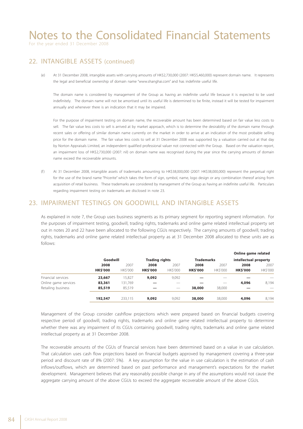For the year ended 31 December 2008

#### 22. INTANGIBLE ASSETS (continued)

(e) At 31 December 2008, intangible assets with carrying amounts of HK\$2,730,000 (2007: HK\$5,460,000) represent domain name. It represents the legal and beneficial ownership of domain name "www.shanghai.com" and has indefinite useful life.

The domain name is considered by management of the Group as having an indefinite useful life because it is expected to be used indefinitely. The domain name will not be amortised until its useful life is determined to be finite, instead it will be tested for impairment annually and whenever there is an indication that it may be impaired.

For the purpose of impairment testing on domain name, the recoverable amount has been determined based on fair value less costs to sell. The fair value less costs to sell is arrived at by market approach, which is to determine the desirability of the domain name through recent sales or offering of similar domain name currently on the market in order to arrive at an indication of the most probable selling price for the domain name. The fair value less costs to sell at 31 December 2008 was supported by a valuation carried out at that day by Norton Appraisals Limited, an independent qualified professional valuer not connected with the Group. Based on the valuation report, an impairment loss of HK\$2,730,000 (2007: nil) on domain name was recognised during the year since the carrying amounts of domain name exceed the recoverable amounts.

(f ) At 31 December 2008, intangible assets of trademarks amounting to HK\$38,000,000 (2007: HK\$38,000,000) represent the perpetual right for the use of the brand name "Pricerite" which takes the form of sign, symbol, name, logo design or any combination thereof arising from acquisition of retail business. These trademarks are considered by management of the Group as having an indefinite useful life. Particulars regarding impairment testing on trademarks are disclosed in note 23.

#### 23. IMPAIRMENT TESTINGS ON GOODWILL AND INTANGIBLE ASSETS

As explained in note 7, the Group uses business segments as its primary segment for reporting segment information. For the purposes of impairment testing, goodwill, trading rights, trademarks and online game related intellectual property set out in notes 20 and 22 have been allocated to the following CGUs respectively. The carrying amounts of goodwill, trading rights, trademarks and online game related intellectual property as at 31 December 2008 allocated to these units are as follows:

|                      |                 |                |                       |                          |                   |                | Online game related   |                 |
|----------------------|-----------------|----------------|-----------------------|--------------------------|-------------------|----------------|-----------------------|-----------------|
|                      | Goodwill        |                | <b>Trading rights</b> |                          | <b>Trademarks</b> |                | intellectual property |                 |
|                      | 2008            | 2007           | 2008                  | 2007                     | 2008              | 2007           | 2008                  | 2007            |
|                      | <b>HK\$'000</b> | <b>HKS'000</b> | <b>HK\$'000</b>       | <b>HKS'000</b>           | <b>HK\$'000</b>   | <b>HKS'000</b> | <b>HK\$'000</b>       | <b>HK\$'000</b> |
| Financial services   | 23,667          | 15.827         | 9,092                 | 9,092                    |                   |                |                       |                 |
| Online game services | 83,361          | 131,769        |                       |                          |                   |                | 4,096                 | 8.194           |
| Retailing business   | 85,519          | 85,519         |                       | $\overline{\phantom{a}}$ | 38,000            | 38,000         |                       |                 |
|                      | 192,547         | 233.115        | 9,092                 | 9,092                    | 38,000            | 38,000         | 4,096                 | 8,194           |

Management of the Group consider cashflow projections which were prepared based on financial budgets covering respective period of goodwill, trading rights, trademarks and online game related intellectual property to determine whether there was any impairment of its CGUs containing goodwill, trading rights, trademarks and online game related intellectual property as at 31 December 2008.

The recoverable amounts of the CGUs of financial services have been determined based on a value in use calculation. That calculation uses cash flow projections based on financial budgets approved by management covering a three-year period and discount rate of 8% (2007: 5%). A key assumption for the value in use calculation is the estimation of cash inflows/outflows, which are determined based on past performance and management's expectations for the market development. Management believes that any reasonably possible change in any of the assumptions would not cause the aggregate carrying amount of the above CGUs to exceed the aggregate recoverable amount of the above CGUs.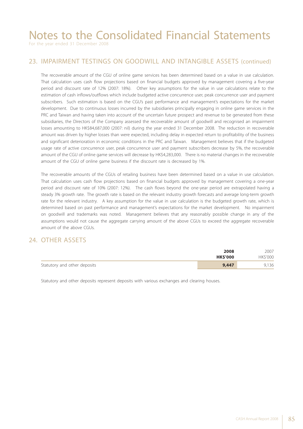For the year ended 31 December 2008

#### 23. IMPAIRMENT TESTINGS ON GOODWILL AND INTANGIBLE ASSETS (continued)

The recoverable amount of the CGU of online game services has been determined based on a value in use calculation. That calculation uses cash flow projections based on financial budgets approved by management covering a five-year period and discount rate of 12% (2007: 18%). Other key assumptions for the value in use calculations relate to the estimation of cash inflows/outflows which include budgeted active concurrence user, peak concurrence user and payment subscribers. Such estimation is based on the CGU's past performance and management's expectations for the market development. Due to continuous losses incurred by the subsidiaries principally engaging in online game services in the PRC and Taiwan and having taken into account of the uncertain future prospect and revenue to be generated from these subsidiaries, the Directors of the Company assessed the recoverable amount of goodwill and recognised an impairment losses amounting to HK\$84,687,000 (2007: nil) during the year ended 31 December 2008. The reduction in recoverable amount was driven by higher losses than were expected, including delay in expected return to profitability of the business and significant deterioration in economic conditions in the PRC and Taiwan. Management believes that if the budgeted usage rate of active concurrence user, peak concurrence user and payment subscribers decrease by 5%, the recoverable amount of the CGU of online game services will decrease by HK\$4,283,000. There is no material changes in the recoverable amount of the CGU of online game business if the discount rate is decreased by 1%.

The recoverable amounts of the CGUs of retailing business have been determined based on a value in use calculation. That calculation uses cash flow projections based on financial budgets approved by management covering a one-year period and discount rate of 10% (2007: 12%). The cash flows beyond the one-year period are extrapolated having a steady 3% growth rate. The growth rate is based on the relevant industry growth forecasts and average long-term growth rate for the relevant industry. A key assumption for the value in use calculation is the budgeted growth rate, which is determined based on past performance and management's expectations for the market development. No impairment on goodwill and trademarks was noted. Management believes that any reasonably possible change in any of the assumptions would not cause the aggregate carrying amount of the above CGUs to exceed the aggregate recoverable amount of the above CGUs.

#### 24. OTHER ASSETS

|                              | 2008           | 2007           |
|------------------------------|----------------|----------------|
|                              | <b>HKS'000</b> | <b>HKS'000</b> |
| Statutory and other deposits | 9,447          | 9,136          |

Statutory and other deposits represent deposits with various exchanges and clearing houses.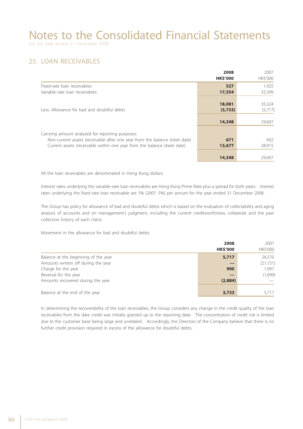### 25. LOAN RECEIVABLES

|                                                                            | 2008<br><b>HK\$'000</b> | 2007<br>HK\$'000  |
|----------------------------------------------------------------------------|-------------------------|-------------------|
| Fixed-rate loan receivables                                                | 527                     | 1.925             |
| Variable-rate loan receivables                                             | 17,554                  | 33,399            |
| Less: Allowance for bad and doubtful debts                                 | 18,081                  | 35,324<br>(5,717) |
|                                                                            | (3,733)                 |                   |
|                                                                            | 14,348                  | 29,607            |
| Carrying amount analysed for reporting purposes:                           |                         |                   |
| Non-current assets (receivable after one year from the balance sheet date) | 671                     | 692               |
| Current assets (receivable within one year from the balance sheet date)    | 13,677                  | 28,915            |
|                                                                            | 14,348                  | 29,607            |

All the loan receivables are denominated in Hong Kong dollars.

Interest rates underlying the variable-rate loan receivables are Hong Kong Prime Rate plus a spread for both years. Interest rates underlying the fixed-rate loan receivable are 5% (2007: 5%) per annum for the year ended 31 December 2008.

The Group has policy for allowance of bad and doubtful debts which is based on the evaluation of collectability and aging analysis of accounts and on management's judgment, including the current creditworthiness, collaterals and the past collection history of each client.

Movement in the allowance for bad and doubtful debts:

|                                      | 2008<br><b>HK\$'000</b> | 2007<br>HK\$'000 |
|--------------------------------------|-------------------------|------------------|
| Balance at the beginning of the year | 5,717                   | 26,570           |
| Amounts written off during the year  |                         | (21, 151)        |
| Charge for the year                  | 900                     | 1.997            |
| Reversal for the year                |                         | (1,699)          |
| Amounts recovered during the year    | (2,884)                 |                  |
|                                      |                         |                  |
| Balance at the end of the year       | 3,733                   | 5,717            |

In determining the recoverability of the loan receivables, the Group considers any change in the credit quality of the loan receivables from the date credit was initially granted up to the reporting date. The concentration of credit risk is limited due to the customer base being large and unrelated. Accordingly, the Directors of the Company believe that there is no further credit provision required in excess of the allowance for doubtful debts.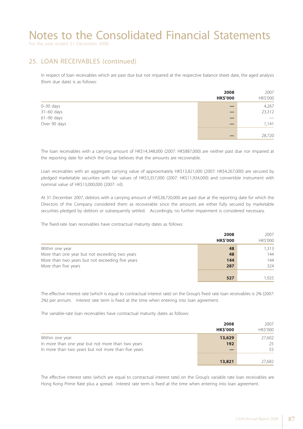For the year ended 31 December 2008

#### 25. LOAN RECEIVABLES (continued)

In respect of loan receivables which are past due but not impaired at the respective balance sheet date, the aged analysis (from due date) is as follows:

|               | 2008<br><b>HK\$'000</b> | 2007<br>HK\$'000               |
|---------------|-------------------------|--------------------------------|
| $0 - 30$ days |                         | 4,267                          |
| $31-60$ days  |                         | 23,312                         |
| $61-90$ days  |                         | $\overbrace{\hspace{25mm}}^{}$ |
| Over 90 days  |                         | 1,141                          |
|               |                         | 28,720                         |

The loan receivables with a carrying amount of HK\$14,348,000 (2007: HK\$887,000) are neither past due nor impaired at the reporting date for which the Group believes that the amounts are recoverable.

Loan receivables with an aggregate carrying value of approximately HK\$13,821,000 (2007: HK\$4,267,000) are secured by pledged marketable securities with fair values of HK\$3,357,000 (2007: HK\$11,934,000) and convertible instrument with nominal value of HK\$13,000,000 (2007: nil).

At 31 December 2007, debtors with a carrying amount of HK\$28,720,000 are past due at the reporting date for which the Directors of the Company considered them as recoverable since the amounts are either fully secured by marketable securities pledged by debtors or subsequently settled. Accordingly, no further impairment is considered necessary.

The fixed-rate loan receivables have contractual maturity dates as follows:

|                                                  | 2008<br><b>HK\$'000</b> | 2007<br>HK\$'000 |
|--------------------------------------------------|-------------------------|------------------|
| Within one year                                  | 48                      | 1,313            |
| More than one year but not exceeding two years   | 48                      | 144              |
| More than two years but not exceeding five years | 144                     | 144              |
| More than five years                             | 287                     | 324              |
|                                                  | 527                     | 1,925            |

The effective interest rate (which is equal to contractual interest rate) on the Group's fixed rate loan receivables is 2% (2007: 2%) per annum. Interest rate term is fixed at the time when entering into loan agreement.

The variable-rate loan receivables have contractual maturity dates as follows:

|                                                     | 2008            | 2007     |
|-----------------------------------------------------|-----------------|----------|
|                                                     | <b>HK\$'000</b> | HK\$'000 |
| Within one year                                     | 13,629          | 27,602   |
| In more than one year but not more than two years   | 192             | 25       |
| In more than two years but not more than five years |                 | 55       |
|                                                     |                 |          |
|                                                     | 13,821          | 27,682   |

The effective interest rates (which are equal to contractual interest rate) on the Group's variable rate loan receivables are Hong Kong Prime Rate plus a spread. Interest rate term is fixed at the time when entering into loan agreement.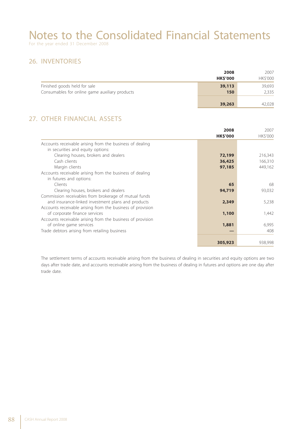### 26. INVENTORIES

|                                                | 2008            | 2007           |
|------------------------------------------------|-----------------|----------------|
|                                                | <b>HK\$'000</b> | <b>HKS'000</b> |
| Finished goods held for sale                   | 39,113          | 39,693         |
| Consumables for online game auxiliary products | 150             | 2,335          |
|                                                |                 |                |
|                                                | 39,263          | 42,028         |

### 27. OTHER FINANCIAL ASSETS

|                                                            | 2008<br><b>HK\$'000</b> | 2007<br>HK\$'000 |
|------------------------------------------------------------|-------------------------|------------------|
| Accounts receivable arising from the business of dealing   |                         |                  |
| in securities and equity options:                          |                         |                  |
| Clearing houses, brokers and dealers                       | 72,199                  | 216,343          |
| Cash clients                                               | 36,425                  | 166,310          |
| Margin clients                                             | 97,185                  | 449,162          |
| Accounts receivable arising from the business of dealing   |                         |                  |
| in futures and options:                                    |                         |                  |
| Clients                                                    | 65                      | 68               |
| Clearing houses, brokers and dealers                       | 94,719                  | 93,032           |
| Commission receivables from brokerage of mutual funds      |                         |                  |
| and insurance-linked investment plans and products         | 2,349                   | 5,238            |
| Accounts receivable arising from the business of provision |                         |                  |
| of corporate finance services                              | 1,100                   | 1,442            |
| Accounts receivable arising from the business of provision |                         |                  |
| of online game services                                    | 1,881                   | 6,995            |
| Trade debtors arising from retailing business              |                         | 408              |
|                                                            |                         |                  |
|                                                            | 305,923                 | 938,998          |

The settlement terms of accounts receivable arising from the business of dealing in securities and equity options are two days after trade date, and accounts receivable arising from the business of dealing in futures and options are one day after trade date.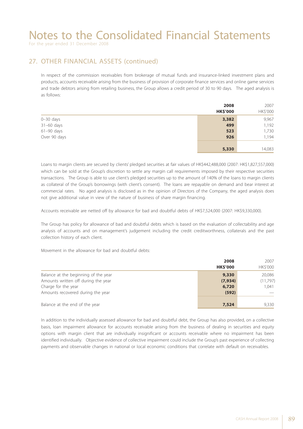For the year ended 31 December 2008

### 27. OTHER FINANCIAL ASSETS (continued)

In respect of the commission receivables from brokerage of mutual funds and insurance-linked investment plans and products, accounts receivable arising from the business of provision of corporate finance services and online game services and trade debtors arising from retailing business, the Group allows a credit period of 30 to 90 days. The aged analysis is as follows:

|               | 2008            | 2007     |
|---------------|-----------------|----------|
|               | <b>HK\$'000</b> | HK\$'000 |
| $0 - 30$ days | 3,382           | 9,967    |
| $31-60$ days  | 499             | 1,192    |
| $61-90$ days  | 523             | 1,730    |
| Over 90 days  | 926             | 1,194    |
|               |                 |          |
|               | 5,330           | 14,083   |

Loans to margin clients are secured by clients' pledged securities at fair values of HK\$442,488,000 (2007: HK\$1,827,557,000) which can be sold at the Group's discretion to settle any margin call requirements imposed by their respective securities transactions. The Group is able to use client's pledged securities up to the amount of 140% of the loans to margin clients as collateral of the Group's borrowings (with client's consent). The loans are repayable on demand and bear interest at commercial rates. No aged analysis is disclosed as in the opinion of Directors of the Company, the aged analysis does not give additional value in view of the nature of business of share margin financing.

Accounts receivable are netted off by allowance for bad and doubtful debts of HK\$7,524,000 (2007: HK\$9,330,000).

The Group has policy for allowance of bad and doubtful debts which is based on the evaluation of collectability and age analysis of accounts and on management's judgement including the credit creditworthness, collaterals and the past collection history of each client.

Movement in the allowance for bad and doubtful debts:

|                                      | 2008<br><b>HK\$'000</b> | 2007<br>HK\$'000 |
|--------------------------------------|-------------------------|------------------|
| Balance at the beginning of the year | 9,330                   | 20,086           |
| Amounts written off during the year  | (7, 934)                | (11,797)         |
| Charge for the year                  | 6,720                   | 1.041            |
| Amounts recovered during the year    | (592)                   |                  |
| Balance at the end of the year       | 7,524                   | 9,330            |

In addition to the individually assessed allowance for bad and doubtful debt, the Group has also provided, on a collective basis, loan impairment allowance for accounts receivable arising from the business of dealing in securities and equity options with margin client that are individually insignificant or accounts receivable where no impairment has been identified individually. Objective evidence of collective impairment could include the Group's past experience of collecting payments and observable changes in national or local economic conditions that correlate with default on receivables.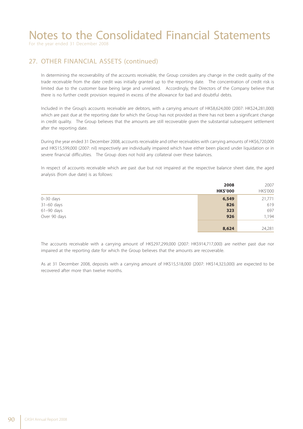For the year ended 31 December 2008

### 27. OTHER FINANCIAL ASSETS (continued)

In determining the recoverability of the accounts receivable, the Group considers any change in the credit quality of the trade receivable from the date credit was initially granted up to the reporting date. The concentration of credit risk is limited due to the customer base being large and unrelated. Accordingly, the Directors of the Company believe that there is no further credit provision required in excess of the allowance for bad and doubtful debts.

Included in the Group's accounts receivable are debtors, with a carrying amount of HK\$8,624,000 (2007: HK\$24,281,000) which are past due at the reporting date for which the Group has not provided as there has not been a significant change in credit quality. The Group believes that the amounts are still recoverable given the substantial subsequent settlement after the reporting date.

During the year ended 31 December 2008, accounts receivable and other receivables with carrying amounts of HK\$6,720,000 and HK\$15,599,000 (2007: nil) respectively are individually impaired which have either been placed under liquidation or in severe financial difficulties. The Group does not hold any collateral over these balances.

In respect of accounts receivable which are past due but not impaired at the respective balance sheet date, the aged analysis (from due date) is as follows:

|               | 2008            | 2007     |
|---------------|-----------------|----------|
|               | <b>HK\$'000</b> | HK\$'000 |
| $0 - 30$ days | 6,549           | 21,771   |
| $31-60$ days  | 826             | 619      |
| $61-90$ days  | 323             | 697      |
| Over 90 days  | 926             | 1,194    |
|               |                 |          |
|               | 8,624           | 24,281   |

The accounts receivable with a carrying amount of HK\$297,299,000 (2007: HK\$914,717,000) are neither past due nor impaired at the reporting date for which the Group believes that the amounts are recoverable.

As at 31 December 2008, deposits with a carrying amount of HK\$15,518,000 (2007: HK\$14,323,000) are expected to be recovered after more than twelve months.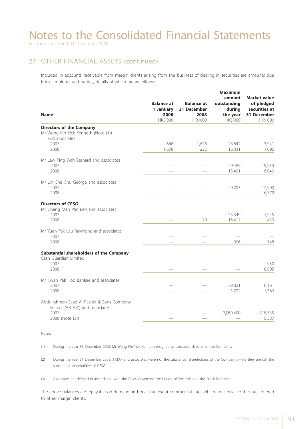For the year ended 31 December 2008

### 27. OTHER FINANCIAL ASSETS (continued)

Included in accounts receivable from margin clients arising from the business of dealing in securities are amounts due from certain related parties, details of which are as follows:

| <b>Name</b>                                                                                              | <b>Balance at</b><br>1 January<br>2008<br>HK\$'000 | <b>Balance at</b><br>31 December<br>2008<br>HK\$'000 | <b>Maximum</b><br>amount<br>outstanding<br>during<br>the year<br>HK\$'000 | <b>Market value</b><br>of pledged<br>securities at<br>31 December<br>HK\$'000 |
|----------------------------------------------------------------------------------------------------------|----------------------------------------------------|------------------------------------------------------|---------------------------------------------------------------------------|-------------------------------------------------------------------------------|
| <b>Directors of the Company</b><br>Mr Wong Kin Yick Kenneth (Note (1))<br>and associates                 |                                                    |                                                      |                                                                           |                                                                               |
| 2007<br>2008                                                                                             | 648<br>1,678                                       | 1,678<br>222                                         | 28,842<br>16,031                                                          | 3,941<br>1,096                                                                |
| Mr Law Ping Wah Bernard and associates<br>2007<br>2008                                                   |                                                    |                                                      | 29,489<br>15,401                                                          | 19,914<br>6,049                                                               |
| Mr Lin Che Chu George and associates<br>2007<br>2008                                                     |                                                    |                                                      | 29,703                                                                    | 12,900<br>6,372                                                               |
| <b>Directors of CFSG</b><br>Mr Cheng Man Pan Ben and associates<br>2007<br>2008                          |                                                    | 29                                                   | 23,349<br>16,412                                                          | 1,945<br>433                                                                  |
| Mr Yuen Pak Lau Raymond and associates<br>2007<br>2008                                                   |                                                    |                                                      | 996                                                                       | 748                                                                           |
| Substantial shareholders of the Company<br>Cash Guardian Limited<br>2007<br>2008                         |                                                    |                                                      |                                                                           | 930<br>8,895                                                                  |
| Mr Kwan Pak Hoo Bankee and associates<br>2007<br>2008                                                    |                                                    |                                                      | 29,021<br>1,792                                                           | 10,161<br>1,363                                                               |
| Abdulrahman Saad Al-Rashid & Sons Company<br>Limited ("ARTAR") and associates<br>2007<br>2008 (Note (2)) |                                                    |                                                      | 2,060,400                                                                 | 218,735<br>5,387                                                              |

Notes:

(1) During the year 31 December 2008, Mr Wong Kin Yick Kenneth resigned as executive director of the Company.

- (2) During the year 31 December 2008, ARTAR and associates were not the substantial shareholders of the Company, while they are still the substantial shareholders of CFSG.
- (3) Associates are defined in accordance with the Rules Governing the Listing of Securities on the Stock Exchange.

The above balances are repayable on demand and bear interest at commercial rates which are similar to the rates offered to other margin clients.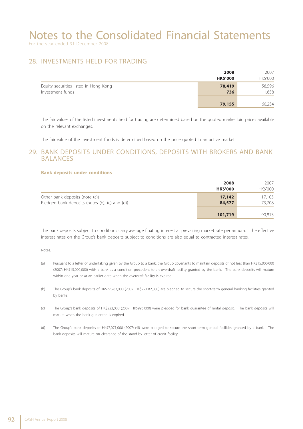For the year ended 31 December 2008

#### 28. INVESTMENTS HELD FOR TRADING

|                                                           | 2008<br><b>HK\$'000</b> | 2007<br>HK\$'000 |
|-----------------------------------------------------------|-------------------------|------------------|
| Equity securities listed in Hong Kong<br>Investment funds | 78,419<br>736           | 58,596<br>1,658  |
|                                                           | 79,155                  | 60,254           |

The fair values of the listed investments held for trading are determined based on the quoted market bid prices available on the relevant exchanges.

The fair value of the investment funds is determined based on the price quoted in an active market.

#### 29. BANK DEPOSITS UNDER CONDITIONS, DEPOSITS WITH BROKERS AND BANK BALANCES

#### **Bank deposits under conditions**

|                                                                                  | 2008<br><b>HK\$'000</b> | 2007<br>HK\$'000 |
|----------------------------------------------------------------------------------|-------------------------|------------------|
| Other bank deposits (note (a))<br>Pledged bank deposits (notes (b), (c) and (d)) | 17,142<br>84,577        | 17,105<br>73,708 |
|                                                                                  | 101,719                 | 90,813           |

The bank deposits subject to conditions carry average floating interest at prevailing market rate per annum. The effective interest rates on the Group's bank deposits subject to conditions are also equal to contracted interest rates.

Notes:

- (a) Pursuant to a letter of undertaking given by the Group to a bank, the Group covenants to maintain deposits of not less than HK\$15,000,000 (2007: HK\$15,000,000) with a bank as a condition precedent to an overdraft facility granted by the bank. The bank deposits will mature within one year or at an earlier date when the overdraft facility is expired.
- (b) The Group's bank deposits of HK\$77,283,000 (2007: HK\$72,082,000) are pledged to secure the short-term general banking facilities granted by banks.
- (c) The Group's bank deposits of HK\$223,000 (2007: HK\$996,000) were pledged for bank guarantee of rental deposit. The bank deposits will mature when the bank guarantee is expired.
- (d) The Group's bank deposits of HK\$7,071,000 (2007: nil) were pledged to secure the short-term general facilities granted by a bank. The bank deposits will mature on clearance of the stand-by letter of credit facility.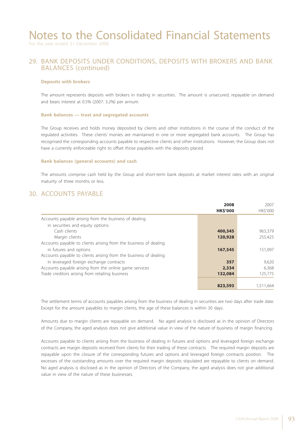For the year ended 31 December 2008

#### 29. BANK DEPOSITS UNDER CONDITIONS, DEPOSITS WITH BROKERS AND BANK BALANCES (continued)

#### **Deposits with brokers**

The amount represents deposits with brokers in trading in securities. The amount is unsecured, repayable on demand and bears interest at 0.5% (2007: 3.2%) per annum.

#### **Bank balances — trust and segregated accounts**

The Group receives and holds money deposited by clients and other institutions in the course of the conduct of the regulated activities. These clients' monies are maintained in one or more segregated bank accounts. The Group has recognised the corresponding accounts payable to respective clients and other institutions. However, the Group does not have a currently enforceable right to offset those payables with the deposits placed.

#### **Bank balances (general accounts) and cash**

The amounts comprise cash held by the Group and short-term bank deposits at market interest rates with an original maturity of three months or less.

#### 30. ACCOUNTS PAYABLE

|                                                                  | 2008           | 2007           |
|------------------------------------------------------------------|----------------|----------------|
|                                                                  | <b>HKS'000</b> | <b>HKS'000</b> |
| Accounts payable arising from the business of dealing            |                |                |
| in securities and equity options:                                |                |                |
| Cash clients                                                     | 400,345        | 963,379        |
| Margin clients                                                   | 120,928        | 255.425        |
| Accounts payable to clients arising from the business of dealing |                |                |
| in futures and options                                           | 167,545        | 151.097        |
| Accounts payable to clients arising from the business of dealing |                |                |
| in leveraged foreign exchange contracts                          | 357            | 9.620          |
| Accounts payable arising from the online game services           | 2,334          | 6.368          |
| Trade creditors arising from retailing business                  | 132,084        | 125,775        |
|                                                                  |                |                |
|                                                                  | 823,593        | 1.511.664      |

The settlement terms of accounts payables arising from the business of dealing in securities are two days after trade date. Except for the amount payables to margin clients, the age of these balances is within 30 days.

Amounts due to margin clients are repayable on demand. No aged analysis is disclosed as in the opinion of Directors of the Company, the aged analysis does not give additional value in view of the nature of business of margin financing.

Accounts payable to clients arising from the business of dealing in futures and options and leveraged foreign exchange contracts are margin deposits received from clients for their trading of these contracts. The required margin deposits are repayable upon the closure of the corresponding futures and options and leveraged foreign contracts position. The excesses of the outstanding amounts over the required margin deposits stipulated are repayable to clients on demand. No aged analysis is disclosed as in the opinion of Directors of the Company, the aged analysis does not give additional value in view of the nature of these businesses.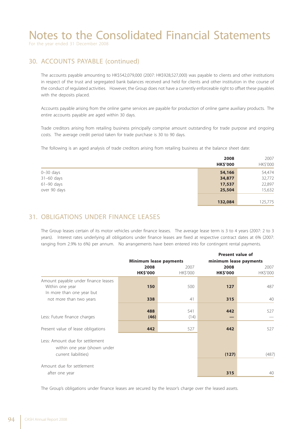For the year ended 31 December 2008

#### 30. ACCOUNTS PAYABLE (continued)

The accounts payable amounting to HK\$542,079,000 (2007: HK\$928,527,000) was payable to clients and other institutions in respect of the trust and segregated bank balances received and held for clients and other institution in the course of the conduct of regulated activities. However, the Group does not have a currently enforceable right to offset these payables with the deposits placed.

Accounts payable arising from the online game services are payable for production of online game auxiliary products. The entire accounts payable are aged within 30 days.

Trade creditors arising from retailing business principally comprise amount outstanding for trade purpose and ongoing costs. The average credit period taken for trade purchase is 30 to 90 days.

The following is an aged analysis of trade creditors arising from retailing business at the balance sheet date:

|               | 2008<br><b>HK\$'000</b> | 2007<br>HK\$'000 |
|---------------|-------------------------|------------------|
| $0 - 30$ days | 54,166                  | 54,474           |
| 31-60 days    | 34,877                  | 32,772           |
| $61-90$ days  | 17,537                  | 22,897           |
| over 90 days  | 25,504                  | 15,632           |
|               |                         |                  |
|               | 132,084                 | 125,775          |

### 31. OBLIGATIONS UNDER FINANCE LEASES

The Group leases certain of its motor vehicles under finance leases. The average lease term is 3 to 4 years (2007: 2 to 3 years). Interest rates underlying all obligations under finance leases are fixed at respective contract dates at 6% (2007: ranging from 2.9% to 6%) per annum. No arrangements have been entered into for contingent rental payments.

|                                                                                         |                               |                  | <b>Present value of</b> |                  |
|-----------------------------------------------------------------------------------------|-------------------------------|------------------|-------------------------|------------------|
|                                                                                         | <b>Minimum lease payments</b> |                  | minimum lease payments  |                  |
|                                                                                         | 2008<br><b>HK\$'000</b>       | 2007<br>HK\$'000 | 2008<br><b>HK\$'000</b> | 2007<br>HK\$'000 |
| Amount payable under finance leases<br>Within one year<br>In more than one year but     | 150                           | 500              | 127                     | 487              |
| not more than two years                                                                 | 338                           | 41               | 315                     | 40               |
| Less: Future finance charges                                                            | 488<br>(46)                   | 541<br>(14)      | 442                     | 527              |
| Present value of lease obligations                                                      | 442                           | 527              | 442                     | 527              |
| Less: Amount due for settlement<br>within one year (shown under<br>current liabilities) |                               |                  | (127)                   | (487)            |
| Amount due for settlement<br>after one year                                             |                               |                  | 315                     | 40               |

The Group's obligations under finance leases are secured by the lessor's charge over the leased assets.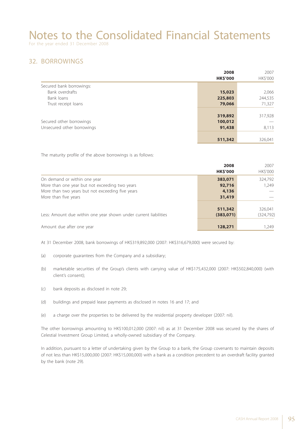For the year ended 31 December 2008

### 32. BORROWINGS

|                            | 2008            | 2007     |
|----------------------------|-----------------|----------|
|                            | <b>HK\$'000</b> | HK\$'000 |
| Secured bank borrowings:   |                 |          |
| Bank overdrafts            | 15,023          | 2,066    |
| Bank loans                 | 225,803         | 244,535  |
| Trust receipt loans        | 79,066          | 71,327   |
|                            |                 |          |
|                            | 319,892         | 317,928  |
| Secured other borrowings   | 100,012         |          |
| Unsecured other borrowings | 91,438          | 8,113    |
|                            |                 |          |
|                            | 511,342         | 326,041  |

The maturity profile of the above borrowings is as follows:

|                                                                  | 2008<br><b>HK\$'000</b> | 2007<br>HK\$'000 |
|------------------------------------------------------------------|-------------------------|------------------|
| On demand or within one year                                     | 383,071                 | 324,792          |
| More than one year but not exceeding two years                   | 92,716                  | 1.249            |
| More than two years but not exceeding five years                 | 4,136                   |                  |
| More than five years                                             | 31,419                  |                  |
|                                                                  | 511,342                 | 326,041          |
| Less: Amount due within one year shown under current liabilities | (383,071)               | (324, 792)       |
| Amount due after one year                                        | 128,271                 | 1,249            |

At 31 December 2008, bank borrowings of HK\$319,892,000 (2007: HK\$316,679,000) were secured by:

- (a) corporate guarantees from the Company and a subsidiary;
- (b) marketable securities of the Group's clients with carrying value of HK\$175,432,000 (2007: HK\$502,840,000) (with client's consent);
- (c) bank deposits as disclosed in note 29;
- (d) buildings and prepaid lease payments as disclosed in notes 16 and 17; and
- (e) a charge over the properties to be delivered by the residential property developer (2007: nil).

The other borrowings amounting to HK\$100,012,000 (2007: nil) as at 31 December 2008 was secured by the shares of Celestial Investment Group Limited, a wholly-owned subsidiary of the Company.

In addition, pursuant to a letter of undertaking given by the Group to a bank, the Group covenants to maintain deposits of not less than HK\$15,000,000 (2007: HK\$15,000,000) with a bank as a condition precedent to an overdraft facility granted by the bank (note 29).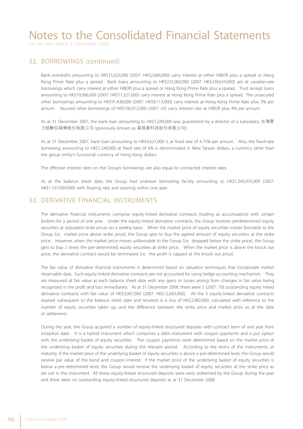For the year ended 31 December 2008

#### 32. BORROWINGS (continued)

Bank overdrafts amounting to HK\$15,023,000 (2007: HK\$2,066,000) carry interest at either HIBOR plus a spread or Hong Kong Prime Rate plus a spread. Bank loans amounting to HK\$225,083,000 (2007: HK\$238,659,000) are at variable-rate borrowings which carry interest at either HIBOR plus a spread or Hong Kong Prime Rate plus a spread. Trust receipt loans amounting to HK\$79,066,000 (2007: HK\$71,327,000) carry interest at Hong Kong Prime Rate plus a spread. The unsecured other borrowings amounting to HK\$91,438,000 (2007: HK\$8,113,000) carry interest at Hong Kong Prime Rate plus 3% per annum. Secured other borrowings of HK\$100,012,000 (2007: nil) carry interest rate at HIBOR plus 4% per annum.

As at 31 December 2007, the bank loan amounting to HK\$1,249,000 was guaranteed by a director of a subsidiary, 台灣摩 力遊數位娛樂股份有限公司 (previously known as 富格曼科技股份有限公司).

As at 31 December 2007, bank loan amounting to HK\$4,627,000 is at fixed rate of 4.75% per annum. Also, the fixed-rate borrowing amounting to HK\$1,249,000 at fixed rate of 6% is denominated in New Taiwan dollars, a currency other than the group entity's functional currency of Hong Kong dollars.

The effective interest rates on the Group's borrowings are also equal to contracted interest rates.

As at the balance sheet date, the Group had undrawn borrowing facility amounting to HK\$1,340,935,000 (2007: HK\$1,107,609,000) with floating rate and expiring within one year.

#### 33. DERIVATIVE FINANCIAL INSTRUMENTS

The derivative financial instruments comprise equity-linked derivative contracts (trading as accumulators) with certain brokers for a period of one year. Under the equity-linked derivative contracts, the Group receives predetermined equity securities at stipulated strike prices on a weekly basis. When the market price of equity securities moves favorable to the Group (i.e. market price above strike price), the Group gets to buy the agreed amount of equity securities at the strike price. However, when the market price moves unfavorable to the Group (i.e. dropped below the strike price), the Group gets to buy 2 times the pre-determined equity securities at strike price. When the market price is above the knock out price, the derivative contract would be terminated (i.e. the profit is capped at the knock out price).

The fair value of derivative financial instruments is determined based on valuation techniques that incorporate market observable data. Such equity-linked derivative contracts are not accounted for using hedge accounting mechanism. They are measured at fair value at each balance sheet date with any gains or losses arising from changes in fair value being recognised in the profit and loss immediately. As at 31 December 2008, there were 5 (2007: 10) outstanding equity linked derivative contracts with fair value of HK\$3,067,000 (2007: HK\$12,683,000). All the 5 equity-linked derivative contracts expired subsequent to the balance sheet date and resulted in a loss of HK\$2,982,000, calculated with reference to the number of equity securities taken up, and the difference between the strike price and market price as at the date of settlement.

During the year, the Group acquired a number of equity-linked structured deposits with contract term of one year from inception date. It is a hybrid instrument which comprises a debt instrument with coupon payments and a put option with the underlying basket of equity securities. The coupon payments were determined based on the market price of the underlying basket of equity securities during the relevant period. According to the terms of the instruments, at maturity, if the market price of the underlying basket of equity securities is above a pre-determined level, the Group would receive par value of the bond and coupon interest. If the market price of the underlying basket of equity securities is below a pre-determined level, the Group would receive the underlying basket of equity securities at the strike price as set out in the instrument. All these equity-linked structured deposits were early redeemed by the Group during the year and there were no outstanding equity-linked structured deposits as at 31 December 2008.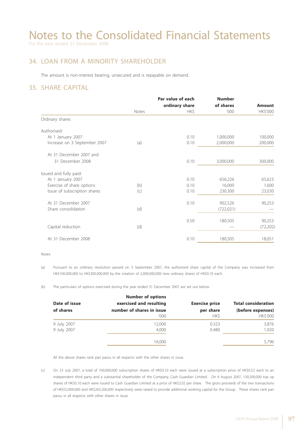For the year ended 31 December 2008

### 34. LOAN FROM A MINORITY SHAREHOLDER

The amount is non-interest bearing, unsecured and is repayable on demand.

### 35. SHARE CAPITAL

|                              |       | Par value of each | <b>Number</b> |               |
|------------------------------|-------|-------------------|---------------|---------------|
|                              |       | ordinary share    | of shares     | <b>Amount</b> |
|                              | Notes | HK\$              | '000          | HK\$'000      |
| Ordinary shares              |       |                   |               |               |
| Authorised:                  |       |                   |               |               |
| At 1 January 2007            |       | 0.10              | 1,000,000     | 100,000       |
| Increase on 3 September 2007 | (a)   | 0.10              | 2,000,000     | 200,000       |
| At 31 December 2007 and      |       |                   |               |               |
| 31 December 2008             |       | 0.10              | 3,000,000     | 300,000       |
| Issued and fully paid:       |       |                   |               |               |
| At 1 January 2007            |       | 0.10              | 656,226       | 65,623        |
| Exercise of share options    | (b)   | 0.10              | 16,000        | 1,600         |
| Issue of subscription shares | (c)   | 0.10              | 230,300       | 23,030        |
| At 31 December 2007          |       | 0.10              | 902,526       | 90,253        |
| Share consolidation          | (d)   |                   | (722,021)     |               |
|                              |       | 0.50              | 180,505       | 90,253        |
| Capital reduction            | (d)   |                   |               | (72, 202)     |
| At 31 December 2008          |       | 0.10              | 180,505       | 18,051        |
|                              |       |                   |               |               |

Notes:

(a) Pursuant to an ordinary resolution passed on 3 September 2007, the authorised share capital of the Company was increased from HK\$100,000,000 to HK\$300,000,000 by the creation of 2,000,000,000 new ordinary shares of HK\$0.10 each.

(b) The particulars of options exercised during the year ended 31 December 2007 are set out below:

|               | <b>Number of options</b>  |                       |                            |
|---------------|---------------------------|-----------------------|----------------------------|
| Date of issue | exercised and resulting   | <b>Exercise price</b> | <b>Total consideration</b> |
| of shares     | number of shares in issue | per share             | (before expenses)          |
|               | '000                      | HK\$                  | <b>HK\$'000</b>            |
| 9 July 2007   | 12,000                    | 0.323                 | 3,876                      |
| 9 July 2007   | 4,000                     | 0.480                 | 1,920                      |
|               | 16,000                    |                       | 5,796                      |

All the above shares rank pari passu in all respects with the other shares in issue.

(c) On 23 July 2007, a total of 100,000,000 subscription shares of HK\$0.10 each were issued at a subscription price of HK\$0.52 each to an independent third party and a substantial shareholder of the Company, Cash Guardian Limited. On 6 August 2007, 130,300,000 top up shares of HK\$0.10 each were issued to Cash Guardian Limited at a price of HK\$2.02 per share. The gross proceeds of the two transactions of HK\$52,000,000 and HK\$263,206,000 respectively were raised to provide additional working capital for the Group. These shares rank pari passu in all respects with other shares in issue.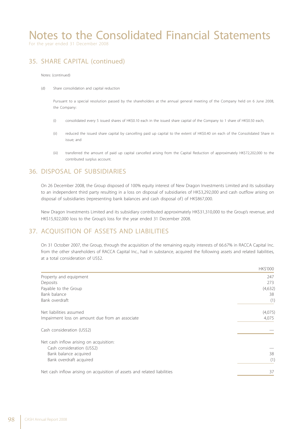For the year ended 31 December 2008

### 35. SHARE CAPITAL (continued)

Notes: (continued)

(d) Share consolidation and capital reduction

Pursuant to a special resolution passed by the shareholders at the annual general meeting of the Company held on 6 June 2008, the Company:

- (i) consolidated every 5 issued shares of HK\$0.10 each in the issued share capital of the Company to 1 share of HK\$0.50 each;
- (ii) reduced the issued share capital by cancelling paid up capital to the extent of HK\$0.40 on each of the Consolidated Share in issue; and
- (iii) transferred the amount of paid up capital cancelled arising from the Capital Reduction of approximately HK\$72,202,000 to the contributed surplus account.

#### 36. DISPOSAL OF SUBSIDIARIES

On 26 December 2008, the Group disposed of 100% equity interest of New Dragon Investments Limited and its subsidiary to an independent third party resulting in a loss on disposal of subsidiaries of HK\$3,292,000 and cash outflow arising on disposal of subsidiaries (representing bank balances and cash disposal of ) of HK\$867,000.

New Dragon Investments Limited and its subsidiary contributed approximately HK\$31,310,000 to the Group's revenue, and HK\$15,922,000 loss to the Group's loss for the year ended 31 December 2008.

#### 37. ACQUISITION OF ASSETS AND LIABILITIES

On 31 October 2007, the Group, through the acquisition of the remaining equity interests of 66.67% in RACCA Capital Inc. from the other shareholders of RACCA Capital Inc., had in substance, acquired the following assets and related liabilities, at a total consideration of US\$2.

| HK\$'000 |
|----------|
| 247      |
| 273      |
| (4,632)  |
| 38       |
| (1)      |
| (4,075)  |
| 4,075    |
|          |
|          |
|          |
| 38       |
| (1)      |
| 37       |
|          |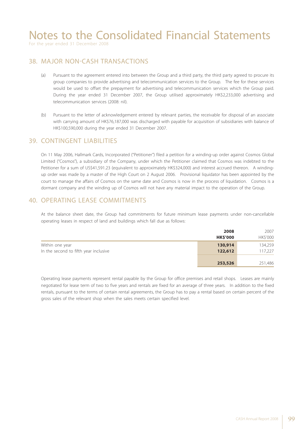For the year ended 31 December 2008

#### 38. MAJOR NON-CASH TRANSACTIONS

- (a) Pursuant to the agreement entered into between the Group and a third party, the third party agreed to procure its group companies to provide advertising and telecommunication services to the Group. The fee for these services would be used to offset the prepayment for advertising and telecommunication services which the Group paid. During the year ended 31 December 2007, the Group utilised approximately HK\$2,233,000 advertising and telecommunication services (2008: nil).
- (b) Pursuant to the letter of acknowledgement entered by relevant parties, the receivable for disposal of an associate with carrying amount of HK\$76,187,000 was discharged with payable for acquisition of subsidiaries with balance of HK\$100,590,000 during the year ended 31 December 2007.

#### 39. CONTINGENT LIABILITIES

On 11 May 2006, Hallmark Cards, Incorporated ("Petitioner") filed a petition for a winding-up order against Cosmos Global Limited ("Cosmos"), a subsidiary of the Company, under which the Petitioner claimed that Cosmos was indebted to the Petitioner for a sum of US\$41,591.23 (equivalent to approximately HK\$324,000) and interest accrued thereon. A windingup order was made by a master of the High Court on 2 August 2006. Provisional liquidator has been appointed by the court to manage the affairs of Cosmos on the same date and Cosmos is now in the process of liquidation. Cosmos is a dormant company and the winding up of Cosmos will not have any material impact to the operation of the Group.

#### 40. OPERATING LEASE COMMITMENTS

At the balance sheet date, the Group had commitments for future minimum lease payments under non-cancellable operating leases in respect of land and buildings which fall due as follows:

|                                       | 2008            | 2007     |
|---------------------------------------|-----------------|----------|
|                                       | <b>HK\$'000</b> | HK\$'000 |
| Within one year                       | 130,914         | 134,259  |
| In the second to fifth year inclusive | 122,612         | 117,227  |
|                                       | 253,526         | 251,486  |

Operating lease payments represent rental payable by the Group for office premises and retail shops. Leases are mainly negotiated for lease term of two to five years and rentals are fixed for an average of three years. In addition to the fixed rentals, pursuant to the terms of certain rental agreements, the Group has to pay a rental based on certain percent of the gross sales of the relevant shop when the sales meets certain specified level.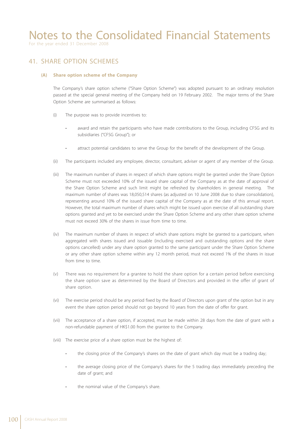For the year ended 31 December 2008

#### 41. SHARE OPTION SCHEMES

#### **(A) Share option scheme of the Company**

The Company's share option scheme ("Share Option Scheme") was adopted pursuant to an ordinary resolution passed at the special general meeting of the Company held on 19 February 2002. The major terms of the Share Option Scheme are summarised as follows:

- (i) The purpose was to provide incentives to:
	- award and retain the participants who have made contributions to the Group, including CFSG and its subsidiaries ("CFSG Group"); or
	- attract potential candidates to serve the Group for the benefit of the development of the Group.
- (ii) The participants included any employee, director, consultant, adviser or agent of any member of the Group.
- (iii) The maximum number of shares in respect of which share options might be granted under the Share Option Scheme must not exceeded 10% of the issued share capital of the Company as at the date of approval of the Share Option Scheme and such limit might be refreshed by shareholders in general meeting. The maximum number of shares was 18,050,514 shares (as adjusted on 10 June 2008 due to share consolidation), representing around 10% of the issued share capital of the Company as at the date of this annual report. However, the total maximum number of shares which might be issued upon exercise of all outstanding share options granted and yet to be exercised under the Share Option Scheme and any other share option scheme must not exceed 30% of the shares in issue from time to time.
- (iv) The maximum number of shares in respect of which share options might be granted to a participant, when aggregated with shares issued and issuable (including exercised and outstanding options and the share options cancelled) under any share option granted to the same participant under the Share Option Scheme or any other share option scheme within any 12 month period, must not exceed 1% of the shares in issue from time to time.
- (v) There was no requirement for a grantee to hold the share option for a certain period before exercising the share option save as determined by the Board of Directors and provided in the offer of grant of share option.
- (vi) The exercise period should be any period fixed by the Board of Directors upon grant of the option but in any event the share option period should not go beyond 10 years from the date of offer for grant.
- (vii) The acceptance of a share option, if accepted, must be made within 28 days from the date of grant with a non-refundable payment of HK\$1.00 from the grantee to the Company.
- (viii) The exercise price of a share option must be the highest of:
	- the closing price of the Company's shares on the date of grant which day must be a trading day;
	- the average closing price of the Company's shares for the 5 trading days immediately preceding the date of grant; and
	- the nominal value of the Company's share.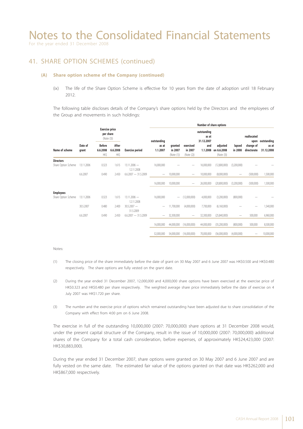For the year ended 31 December 2008

#### 41. SHARE OPTION SCHEMES (continued)

#### **(A) Share option scheme of the Company (continued)**

(ix) The life of the Share Option Scheme is effective for 10 years from the date of adoption until 18 February 2012.

The following table discloses details of the Company's share options held by the Directors and the employees of the Group and movements in such holdings:

|                     |            |                                                  |                                   |                                  |                          |                          |                                  |                                    | Number of share options |                                       |                   |                          |                     |
|---------------------|------------|--------------------------------------------------|-----------------------------------|----------------------------------|--------------------------|--------------------------|----------------------------------|------------------------------------|-------------------------|---------------------------------------|-------------------|--------------------------|---------------------|
|                     |            | <b>Exercise price</b><br>per share<br>(Note (3)) |                                   |                                  | outstanding              |                          |                                  | outstanding<br>as at<br>31.12.2007 |                         |                                       | reallocated       | upon outstanding         |                     |
| Name of scheme      |            | Date of<br>grant                                 | <b>Before</b><br>6.6.2008<br>HK\$ | After<br>6.6.2008<br><b>HK\$</b> | <b>Exercise period</b>   | as at<br>1.1.2007        | granted<br>in 2007<br>(Note (1)) | exercised<br>in 2007<br>(Note (2)) | and<br>1.1.2008         | adjusted<br>on 6.6.2008<br>(Note (3)) | lapsed<br>in 2008 | change of<br>directorate | as at<br>31.12.2008 |
| <b>Directors</b>    |            |                                                  |                                   |                                  |                          |                          |                                  |                                    |                         |                                       |                   |                          |                     |
| Share Option Scheme | 13.11.2006 | 0.323                                            | 1.615                             | $13.11.2006 -$<br>12.11.2008     | 16,000,000               |                          |                                  | 16,000,000                         | (12,800,000)            | (3,200,000)                           |                   |                          |                     |
|                     | 6.6.2007   | 0.490                                            | 2.450                             | $6.6.2007 - 31.5.2009$           |                          | 10,000,000               | $\overline{\phantom{m}}$         | 10,000,000                         | (8,000,000)             | $\hspace{1.0cm} \rule{1.5cm}{0.15cm}$ | (500,000)         | 1,500,000                |                     |
|                     |            |                                                  |                                   |                                  | 16,000,000               | 10,000,000               |                                  | 26,000,000                         | (20,800,000)            | (3,200,000)                           | (500,000)         | 1,500,000                |                     |
| <b>Employees</b>    |            |                                                  |                                   |                                  |                          |                          |                                  |                                    |                         |                                       |                   |                          |                     |
| Share Option Scheme | 13.11.2006 | 0.323                                            | 1.615                             | $13.11.2006 -$<br>12.11.2008     | 16,000,000               | $\overline{\phantom{0}}$ | (12,000,000)                     | 4,000,000                          | (3,200,000)             | (800,000)                             |                   |                          |                     |
|                     | 30.5.2007  | 0.480                                            | 2.400                             | $30.5.2007 -$<br>31.5.2009       |                          | 11,700,000               | (4,000,000)                      | 7,700,000                          | (6,160,000)             |                                       |                   | 1,540,000                |                     |
|                     | 6.6.2007   | 0.490                                            | 2.450                             | $6.6.2007 - 31.5.2009$           | $\overline{\phantom{0}}$ | 32,300,000               |                                  | 32,300,000                         | (25,840,000)            |                                       | 500,000           | 6,960,000                |                     |
|                     |            |                                                  |                                   |                                  | 16.000.000               | 44,000,000               | (16,000,000)                     | 44,000,000                         | (35,200,000)            | (800,000)                             | 500,000           | 8,500,000                |                     |
|                     |            |                                                  |                                   |                                  | 32,000,000               | 54,000,000               | (16.000.000)                     | 70,000,000                         | (56,000,000)            | (4,000,000)                           |                   | 10,000,000               |                     |

#### Notes:

- (1) The closing price of the share immediately before the date of grant on 30 May 2007 and 6 June 2007 was HK\$0.500 and HK\$0.480 respectively. The share options are fully vested on the grant date.
- (2) During the year ended 31 December 2007, 12,000,000 and 4,000,000 share options have been exercised at the exercise price of HK\$0.323 and HK\$0.480 per share respectively. The weighted average share price immediately before the date of exercise on 4 July 2007 was HK\$1.720 per share.
- (3) The number and the exercise price of options which remained outstanding have been adjusted due to share consolidation of the Company with effect from 4:00 pm on 6 June 2008.

The exercise in full of the outstanding 10,000,000 (2007: 70,000,000) share options at 31 December 2008 would, under the present capital structure of the Company, result in the issue of 10,000,000 (2007: 70,000,000) additional shares of the Company for a total cash consideration, before expenses, of approximately HK\$24,423,000 (2007: HK\$30,883,000).

During the year ended 31 December 2007, share options were granted on 30 May 2007 and 6 June 2007 and are fully vested on the same date. The estimated fair value of the options granted on that date was HK\$262,000 and HK\$867,000 respectively.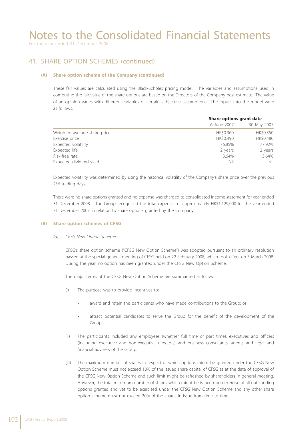For the year ended 31 December 2008

#### 41. SHARE OPTION SCHEMES (continued)

#### **(A) Share option scheme of the Company (continued)**

These fair values are calculated using the Black-Scholes pricing model. The variables and assumptions used in computing the fair value of the share options are based on the Directors' of the Company best estimate. The value of an opinion varies with different variables of certain subjective assumptions. The inputs into the model were as follows:

|                              | Share options grant date |             |  |
|------------------------------|--------------------------|-------------|--|
|                              | 6 June 2007              | 30 May 2007 |  |
| Weighted average share price | HK\$0.360                | HK\$0.350   |  |
| Exercise price               | HK\$0.490                | HK\$0.480   |  |
| Expected volatility          | 76.85%                   | 77.92%      |  |
| Expected life                | 2 years                  | 2 years     |  |
| Risk-free rate               | 3.64%                    | 3.64%       |  |
| Expected dividend yield      | Nil                      | Nil         |  |

Expected volatility was determined by using the historical volatility of the Company's share price over the previous 256 trading days.

There were no share options granted and no expense was charged to consolidated income statement for year ended 31 December 2008. The Group recognised the total expenses of approximately HK\$1,129,000 for the year ended 31 December 2007 in relation to share options granted by the Company.

#### **(B) Share option schemes of CFSG**

 *(a) CFSG New Option Scheme*

CFSG's share option scheme ("CFSG New Option Scheme") was adopted pursuant to an ordinary resolution passed at the special general meeting of CFSG held on 22 February 2008, which took effect on 3 March 2008. During the year, no option has been granted under the CFSG New Option Scheme.

The major terms of the CFSG New Option Scheme are summarised as follows:

- (i) The purpose was to provide incentives to:
	- award and retain the participants who have made contributions to the Group; or
	- attract potential candidates to serve the Group for the benefit of the development of the Group.
- (ii) The participants included any employees (whether full time or part time), executives and officers (including executive and non-executive directors) and business consultants, agents and legal and financial advisers of the Group.
- (iii) The maximum number of shares in respect of which options might be granted under the CFSG New Option Scheme must not exceed 10% of the issued share capital of CFSG as at the date of approval of the CFSG New Option Scheme and such limit might be refreshed by shareholders in general meeting. However, the total maximum number of shares which might be issued upon exercise of all outstanding options granted and yet to be exercised under the CFSG New Option Scheme and any other share option scheme must not exceed 30% of the shares in issue from time to time.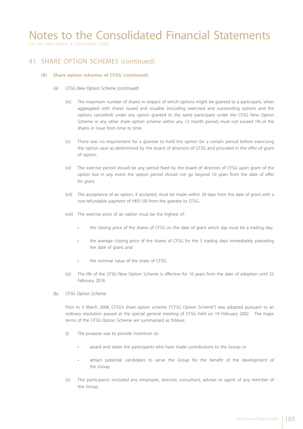For the year ended 31 December 2008

### 41. SHARE OPTION SCHEMES (continued)

#### **(B) Share option schemes of CFSG (continued)**

- *(a) CFSG New Option Scheme (continued)*
	- (iv) The maximum number of shares in respect of which options might be granted to a participant, when aggregated with shares issued and issuable (including exercised and outstanding options and the options cancelled) under any option granted to the same participant under the CFSG New Option Scheme or any other share option scheme within any 12 month period, must not exceed 1% of the shares in issue from time to time.
	- (v) There was no requirement for a grantee to hold the option for a certain period before exercising the option save as determined by the board of directors of CFSG and provided in the offer of grant of option.
	- (vi) The exercise period should be any period fixed by the board of directors of CFSG upon grant of the option but in any event the option period should not go beyond 10 years from the date of offer for grant.
	- (vii) The acceptance of an option, if accepted, must be made within 28 days from the date of grant with a non-refundable payment of HK\$1.00 from the grantee to CFSG.
	- (viii) The exercise price of an option must be the highest of:
		- the closing price of the shares of CFSG on the date of grant which day must be a trading day;
		- the average closing price of the shares of CFSG for the 5 trading days immediately preceding the date of grant; and
		- the nominal value of the share of CFSG.
	- (ix) The life of the CFSG New Option Scheme is effective for 10 years from the date of adoption until 22 February 2018.
- *(b) CFSG Option Scheme*

Prior to 3 March 2008, CFSG's share option scheme ("CFSG Option Scheme") was adopted pursuant to an ordinary resolution passed at the special general meeting of CFSG held on 19 February 2002. The major terms of the CFSG Option Scheme are summarised as follows:

- (i) The purpose was to provide incentives to:
	- award and retain the participants who have made contributions to the Group; or
	- attract potential candidates to serve the Group for the benefit of the development of the Group.
- (ii) The participants included any employee, director, consultant, adviser or agent of any member of the Group.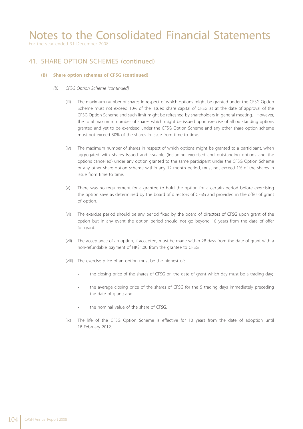For the year ended 31 December 2008

### 41. SHARE OPTION SCHEMES (continued)

#### **(B) Share option schemes of CFSG (continued)**

- *(b) CFSG Option Scheme (continued)*
	- (iii) The maximum number of shares in respect of which options might be granted under the CFSG Option Scheme must not exceed 10% of the issued share capital of CFSG as at the date of approval of the CFSG Option Scheme and such limit might be refreshed by shareholders in general meeting. However, the total maximum number of shares which might be issued upon exercise of all outstanding options granted and yet to be exercised under the CFSG Option Scheme and any other share option scheme must not exceed 30% of the shares in issue from time to time.
	- (iv) The maximum number of shares in respect of which options might be granted to a participant, when aggregated with shares issued and issuable (including exercised and outstanding options and the options cancelled) under any option granted to the same participant under the CFSG Option Scheme or any other share option scheme within any 12 month period, must not exceed 1% of the shares in issue from time to time.
	- (v) There was no requirement for a grantee to hold the option for a certain period before exercising the option save as determined by the board of directors of CFSG and provided in the offer of grant of option.
	- (vi) The exercise period should be any period fixed by the board of directors of CFSG upon grant of the option but in any event the option period should not go beyond 10 years from the date of offer for grant.
	- (vii) The acceptance of an option, if accepted, must be made within 28 days from the date of grant with a non-refundable payment of HK\$1.00 from the grantee to CFSG.
	- (viii) The exercise price of an option must be the highest of:
		- the closing price of the shares of CFSG on the date of grant which day must be a trading day;
		- the average closing price of the shares of CFSG for the 5 trading days immediately preceding the date of grant; and
		- the nominal value of the share of CFSG.
	- (ix) The life of the CFSG Option Scheme is effective for 10 years from the date of adoption until 18 February 2012.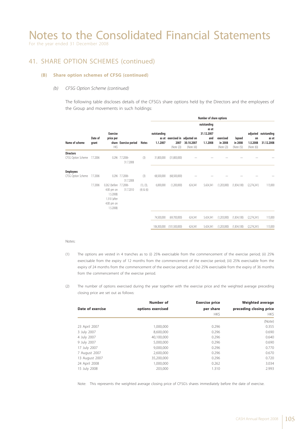For the year ended 31 December 2008

#### 41. SHARE OPTION SCHEMES (continued)

#### **(B) Share option schemes of CFSG (continued)**

#### *(b) CFSG Option Scheme (continued)*

The following table discloses details of the CFSG's share options held by the Directors and the employees of the Group and movements in such holdings:

|                                        |                      |                                                                                               |                                           | <b>Notes</b>                      | Number of share options   |                                                      |                             |                                                       |                                    |                                 |                              |                                             |
|----------------------------------------|----------------------|-----------------------------------------------------------------------------------------------|-------------------------------------------|-----------------------------------|---------------------------|------------------------------------------------------|-----------------------------|-------------------------------------------------------|------------------------------------|---------------------------------|------------------------------|---------------------------------------------|
| Name of scheme                         | Date of<br>grant     | <b>Exercise</b><br>price per<br>HK\$                                                          | share Exercise period                     |                                   | outstanding<br>1.1.2007   | as at exercised in adjusted on<br>2007<br>(Note (2)) | 30.10.2007<br>(Note $(4)$ ) | outstanding<br>as at<br>31.12.2007<br>and<br>1.1.2008 | exercised<br>in 2008<br>(Note (2)) | lapsed<br>in 2008<br>(Note (5)) | on<br>1.5.2008<br>(Note (6)) | adjusted outstanding<br>as at<br>31.12.2008 |
| <b>Directors</b><br>CFSG Option Scheme | 7.7.2006             | 0.296                                                                                         | 7.7.2006-<br>31.7.2008                    | (3)                               | 31,800,000                | (31,800,000)                                         |                             |                                                       |                                    |                                 |                              |                                             |
| <b>Employees</b><br>CFSG Option Scheme | 7.7.2006<br>7.7.2006 | 0.262 (before 7.7.2006-<br>4:00 pm on<br>1.5.2008)<br>1.310 (after<br>4:00 pm on<br>1.5.2008) | 0.296 7.7.2006-<br>31.7.2008<br>31.7.2010 | (3)<br>(1), (3),<br>$(4)$ & $(6)$ | 68,500,000<br>6,000,000   | (68,500,000)<br>(1,200,000)                          | 624,341                     | 5,424,341                                             | (1,203,000)                        | (1,834,100)                     | (2,274,241)                  | 113,000                                     |
|                                        |                      |                                                                                               |                                           |                                   | 74,500,000<br>106.300.000 | (69,700,000)<br>(101, 500, 000)                      | 624,341<br>624,341          | 5,424,341<br>5,424,341                                | (1,203,000)<br>(1,203,000)         | (1,834,100)<br>(1,834,100)      | (2,274,241)<br>(2,274,241)   | 113,000<br>113,000                          |

#### Notes:

- (1) The options are vested in 4 tranches as to (i) 25% exercisable from the commencement of the exercise period; (ii) 25% exercisable from the expiry of 12 months from the commencement of the exercise period; (iii) 25% exercisable from the expiry of 24 months from the commencement of the exercise period; and (iv) 25% exercisable from the expiry of 36 months from the commencement of the exercise period.
- (2) The number of options exercised during the year together with the exercise price and the weighted average preceding closing price are set out as follows:

|                  | Number of         | <b>Exercise price</b> | <b>Weighted average</b><br>preceding closing price |  |  |
|------------------|-------------------|-----------------------|----------------------------------------------------|--|--|
| Date of exercise | options exercised | per share             |                                                    |  |  |
|                  |                   | HK\$                  | HK\$                                               |  |  |
|                  |                   |                       | (Note)                                             |  |  |
| 23 April 2007    | 1,000,000         | 0.296                 | 0.355                                              |  |  |
| 3 July 2007      | 8,600,000         | 0.296                 | 0.690                                              |  |  |
| 4 July 2007      | 40,100,000        | 0.296                 | 0.640                                              |  |  |
| 9 July 2007      | 5,000,000         | 0.296                 | 0.690                                              |  |  |
| 17 July 2007     | 9,000,000         | 0.296                 | 0.770                                              |  |  |
| 7 August 2007    | 2,600,000         | 0.296                 | 0.670                                              |  |  |
| 13 August 2007   | 35,200,000        | 0.296                 | 0.720                                              |  |  |
| 24 April 2008    | 1,000,000         | 0.262                 | 3.034                                              |  |  |
| 15 July 2008     | 203,000           | 1.310                 | 2.993                                              |  |  |

Note: This represents the weighted average closing price of CFSG's shares immediately before the date of exercise.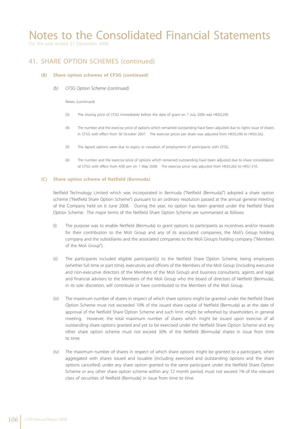For the year ended 31 December 2008

### 41. SHARE OPTION SCHEMES (continued)

#### **(B) Share option schemes of CFSG (continued)**

 *(b) CFSG Option Scheme (continued)*

#### Notes: (continued)

- (3) The closing price of CFSG immediately before the date of grant on 7 July 2006 was HK\$0.290.
- (4) The number and the exercise price of options which remained outstanding have been adjusted due to rights issue of shares in CFSG with effect from 30 October 2007. The exercise prices per share was adjusted from HK\$0.296 to HK\$0.262.
- (5) The lapsed options were due to expiry or cessation of employment of participants with CFSG.
- (6) The number and the exercise price of options which remained outstanding have been adjusted due to share consolidation of CFSG with effect from 4:00 pm on 1 May 2008. The exercise price was adjusted from HK\$0.262 to HK\$1.310.

#### **(C) Share option scheme of Netfield (Bermuda)**

Netfield Technology Limited which was incorporated in Bermuda ("Netfield (Bermuda)") adopted a share option scheme ("Netfield Share Option Scheme") pursuant to an ordinary resolution passed at the annual general meeting of the Company held on 6 June 2008. During the year, no option has been granted under the Netfield Share Option Scheme. The major terms of the Netfield Share Option Scheme are summarised as follows:

- (i) The purpose was to enable Netfield (Bermuda) to grant options to participants as incentives and/or rewards for their contribution to the Moli Group and any of its associated companies, the Moli's Group holding company and the subsidiaries and the associated companies to the Moli Group's holding company ("Members of the Moli Group").
- (ii) The participants included eligible participant(s) to the Netfield Share Option Scheme, being employees (whether full time or part time), executives and officers of the Members of the Moli Group (including executive and non-executive directors of the Members of the Moli Group) and business consultants, agents and legal and financial advisers to the Members of the Moli Group who the board of directors of Netfield (Bermuda), in its sole discretion, will contribute or have contributed to the Members of the Moli Group.
- (iii) The maximum number of shares in respect of which share options might be granted under the Netfield Share Option Scheme must not exceeded 10% of the issued share capital of Netfield (Bermuda) as at the date of approval of the Netfield Share Option Scheme and such limit might be refreshed by shareholders in general meeting. However, the total maximum number of shares which might be issued upon exercise of all outstanding share options granted and yet to be exercised under the Netfield Share Option Scheme and any other share option scheme must not exceed 30% of the Netfield (Bermuda) shares in issue from time to time.
- (iv) The maximum number of shares in respect of which share options might be granted to a participant, when aggregated with shares issued and issuable (including exercised and outstanding options and the share options cancelled) under any share option granted to the same participant under the Netfield Share Option Scheme or any other share option scheme within any 12 month period, must not exceed 1% of the relevant class of securities of Netfield (Bermuda) in issue from time to time.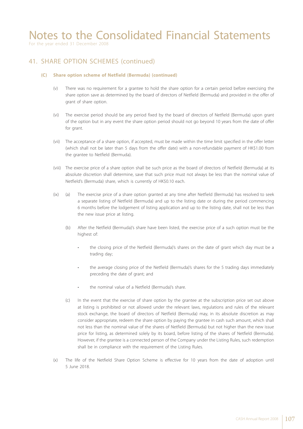For the year ended 31 December 2008

#### 41. SHARE OPTION SCHEMES (continued)

#### **(C) Share option scheme of Netfield (Bermuda) (continued)**

- (v) There was no requirement for a grantee to hold the share option for a certain period before exercising the share option save as determined by the board of directors of Netfield (Bermuda) and provided in the offer of grant of share option.
- (vi) The exercise period should be any period fixed by the board of directors of Netfield (Bermuda) upon grant of the option but in any event the share option period should not go beyond 10 years from the date of offer for grant.
- (vii) The acceptance of a share option, if accepted, must be made within the time limit specified in the offer letter (which shall not be later than 5 days from the offer date) with a non-refundable payment of HK\$1.00 from the grantee to Netfield (Bermuda).
- (viii) The exercise price of a share option shall be such price as the board of directors of Netfield (Bermuda) at its absolute discretion shall determine, save that such price must not always be less than the nominal value of Netfield's (Bermuda) share, which is currently of HK\$0.10 each.
- (ix) (a) The exercise price of a share option granted at any time after Netfield (Bermuda) has resolved to seek a separate listing of Netfield (Bermuda) and up to the listing date or during the period commencing 6 months before the lodgement of listing application and up to the listing date, shall not be less than the new issue price at listing.
	- (b) After the Netfield (Bermuda)'s share have been listed, the exercise price of a such option must be the highest of:
		- the closing price of the Netfield (Bermuda)'s shares on the date of grant which day must be a trading day;
		- the average closing price of the Netfield (Bermuda)'s shares for the 5 trading days immediately preceding the date of grant; and
		- the nominal value of a Netfield (Bermuda)'s share.
	- (c) In the event that the exercise of share option by the grantee at the subscription price set out above at listing is prohibited or not allowed under the relevant laws, regulations and rules of the relevant stock exchange, the board of directors of Netfield (Bermuda) may, in its absolute discretion as may consider appropriate, redeem the share option by paying the grantee in cash such amount, which shall not less than the nominal value of the shares of Netfield (Bermuda) but not higher than the new issue price for listing, as determined solely by its board, before listing of the shares of Netfield (Bermuda). However, if the grantee is a connected person of the Company under the Listing Rules, such redemption shall be in compliance with the requirement of the Listing Rules.
- (x) The life of the Netfield Share Option Scheme is effective for 10 years from the date of adoption until 5 June 2018.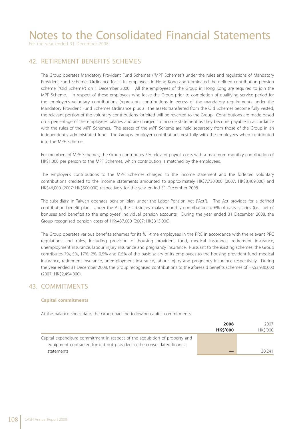For the year ended 31 December 2008

#### 42. RETIREMENT BENEFITS SCHEMES

The Group operates Mandatory Provident Fund Schemes ("MPF Schemes") under the rules and regulations of Mandatory Provident Fund Schemes Ordinance for all its employees in Hong Kong and terminated the defined contribution pension scheme ("Old Scheme") on 1 December 2000. All the employees of the Group in Hong Kong are required to join the MPF Scheme. In respect of those employees who leave the Group prior to completion of qualifying service period for the employer's voluntary contributions (represents contributions in excess of the mandatory requirements under the Mandatory Provident Fund Schemes Ordinance plus all the assets transferred from the Old Scheme) become fully vested, the relevant portion of the voluntary contributions forfeited will be reverted to the Group. Contributions are made based on a percentage of the employees' salaries and are charged to income statement as they become payable in accordance with the rules of the MPF Schemes. The assets of the MPF Scheme are held separately from those of the Group in an independently administrated fund. The Group's employer contributions vest fully with the employees when contributed into the MPF Scheme.

For members of MPF Schemes, the Group contributes 5% relevant payroll costs with a maximum monthly contribution of HK\$1,000 per person to the MPF Schemes, which contribution is matched by the employees.

The employer's contributions to the MPF Schemes charged to the income statement and the forfeited voluntary contributions credited to the income statements amounted to approximately HK\$7,730,000 (2007: HK\$8,409,000) and HK\$46,000 (2007: HK\$500,000) respectively for the year ended 31 December 2008.

The subsidiary in Taiwan operates pension plan under the Labor Pension Act ("Act"). The Act provides for a defined contribution benefit plan. Under the Act, the subsidiary makes monthly contribution to 6% of basis salaries (i.e. net of bonuses and benefits) to the employees' individual pension accounts. During the year ended 31 December 2008, the Group recognised pension costs of HK\$437,000 (2007: HK\$315,000).

The Group operates various benefits schemes for its full-time employees in the PRC in accordance with the relevant PRC regulations and rules, including provision of housing provident fund, medical insurance, retirement insurance, unemployment insurance, labour injury insurance and pregnancy insurance. Pursuant to the existing schemes, the Group contributes 7%, 5%, 17%, 2%, 0.5% and 0.5% of the basic salary of its employees to the housing provident fund, medical insurance, retirement insurance, unemployment insurance, labour injury and pregnancy insurance respectively. During the year ended 31 December 2008, the Group recognised contributions to the aforesaid benefits schemes of HK\$3,930,000 (2007: HK\$2,494,000).

#### 43. COMMITMENTS

#### **Capital commitments**

At the balance sheet date, the Group had the following capital commitments:

|                                                                                                                                                         | 2008           | 2007           |
|---------------------------------------------------------------------------------------------------------------------------------------------------------|----------------|----------------|
|                                                                                                                                                         | <b>HKS'000</b> | <b>HKS'000</b> |
| Capital expenditure commitment in respect of the acquisition of property and<br>equipment contracted for but not provided in the consolidated financial |                |                |
| statements                                                                                                                                              |                | 30.241         |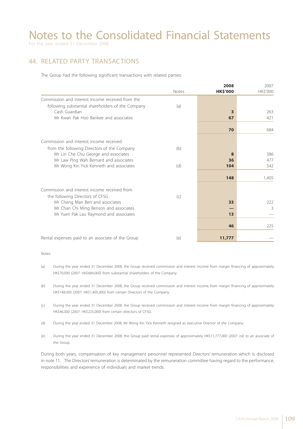For the year ended 31 December 2008

#### 44. RELATED PARTY TRANSACTIONS

The Group had the following significant transactions with related parties:

|                                                   |              | 2008                    | 2007     |
|---------------------------------------------------|--------------|-------------------------|----------|
|                                                   | <b>Notes</b> | <b>HK\$'000</b>         | HK\$'000 |
| Commission and interest income received from the  |              |                         |          |
| following substantial shareholders of the Company | (a)          |                         |          |
| Cash Guardian                                     |              | $\overline{\mathbf{3}}$ | 263      |
| Mr Kwan Pak Hoo Bankee and associates             |              | 67                      | 421      |
|                                                   |              | 70                      | 684      |
|                                                   |              |                         |          |
| Commission and interest income received           |              |                         |          |
| from the following Directors of the Company       | (b)          |                         |          |
| Mr Lin Che Chu George and associates              |              | 8                       | 386      |
| Mr Law Ping Wah Bernard and associates            |              | 36                      | 477      |
| Mr Wong Kin Yick Kenneth and associates           | (d)          | 104                     | 542      |
|                                                   |              | 148                     | 1,405    |
| Commission and interest income received from      |              |                         |          |
| the following Directors of CFSG                   | (C)          |                         |          |
| Mr Cheng Man Ben and associates                   |              | 33                      | 222      |
| Mr Chan Chi Ming Benson and associates            |              |                         | 3        |
| Mr Yuen Pak Lau Raymond and associates            |              | 13                      |          |
|                                                   |              | 46                      | 225      |
|                                                   |              |                         |          |
| Rental expenses paid to an associate of the Group | (e)          | 11,777                  |          |

Notes:

- (a) During the year ended 31 December 2008, the Group received commission and interest income from margin financing of approximately HK\$70,000 (2007: HK\$684,000) from substantial shareholders of the Company.
- (b) During the year ended 31 December 2008, the Group received commission and interest income from margin financing of approximately HK\$148,000 (2007: HK\$1,405,000) from certain Directors of the Company.
- (c) During the year ended 31 December 2008, the Group received commission and interest income from margin financing of approximately HK\$46,000 (2007: HK\$225,000) from certain directors of CFSG.
- (d) During the year ended 31 December 2008, Mr Wong Kin Yick Kenneth resigned as executive Director of the Company.
- (e) During the year ended 31 December 2008, the Group paid rental expenses of approximately HK\$11,777,000 (2007: nil) to an associate of the Group.

During both years, compensation of key management personnel represented Directors' remuneration which is disclosed in note 11. The Directors' remuneration is determinated by the remuneration committee having regard to the performance, responsibilities and experience of individuals and market trends.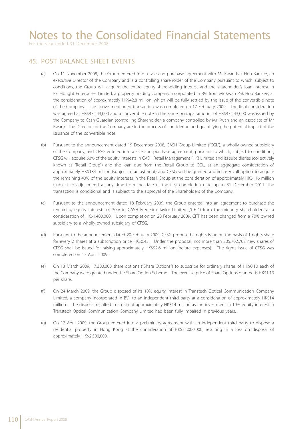For the year ended 31 December 2008

### 45. POST BALANCE SHEET EVENTS

- (a) On 11 November 2008, the Group entered into a sale and purchase agreement with Mr Kwan Pak Hoo Bankee, an executive Director of the Company and is a controlling shareholder of the Company pursuant to which, subject to conditions, the Group will acquire the entire equity shareholding interest and the shareholder's loan interest in Excelbright Enterprises Limited, a property holding company incorporated in BVI from Mr Kwan Pak Hoo Bankee, at the consideration of approximately HK\$42.8 million, which will be fully settled by the issue of the convertible note of the Company. The above mentioned transaction was completed on 17 February 2009. The final consideration was agreed at HK\$43,243,000 and a convertible note in the same principal amount of HK\$43,243,000 was issued by the Company to Cash Guardian (controlling Shareholder, a company controlled by Mr Kwan and an associate of Mr Kwan). The Directors of the Company are in the process of considering and quantifying the potential impact of the issuance of the convertible note.
- (b) Pursuant to the announcement dated 19 December 2008, CASH Group Limited ("CGL"), a wholly-owned subsidiary of the Company, and CFSG entered into a sale and purchase agreement, pursuant to which, subject to conditions, CFSG will acquire 60% of the equity interests in CASH Retail Management (HK) Limited and its subsidiaries (collectively known as "Retail Group") and the loan due from the Retail Group to CGL, at an aggregate consideration of approximately HK\$184 million (subject to adjustment) and CFSG will be granted a purchaser call option to acquire the remaining 40% of the equity interests in the Retail Group at the consideration of approximately HK\$116 million (subject to adjustment) at any time from the date of the first completion date up to 31 December 2011. The transaction is conditional and is subject to the approval of the Shareholders of the Company.
- (c) Pursuant to the announcement dated 18 February 2009, the Group entered into an agreement to purchase the remaining equity interests of 30% in CASH Frederick Taylor Limited ("CFT") from the minority shareholders at a consideration of HK\$1,400,000. Upon completion on 20 February 2009, CFT has been changed from a 70% owned subsidiary to a wholly-owned subsidiary of CFSG.
- (d) Pursuant to the announcement dated 20 February 2009, CFSG proposed a rights issue on the basis of 1 rights share for every 2 shares at a subscription price HK\$0.45. Under the proposal, not more than 205,702,702 new shares of CFSG shall be issued for raising approximately HK\$92.6 million (before expenses). The rights issue of CFSG was completed on 17 April 2009.
- (e) On 13 March 2009, 17,300,000 share options ("Share Options") to subscribe for ordinary shares of HK\$0.10 each of the Company were granted under the Share Option Scheme. The exercise price of Share Options granted is HK\$1.13 per share.
- (f ) On 24 March 2009, the Group disposed of its 10% equity interest in Transtech Optical Communication Company Limited, a company incorporated in BVI, to an independent third party at a consideration of approximately HK\$14 million. The disposal resulted in a gain of approximately HK\$14 million as the investment in 10% equity interest in Transtech Optical Communication Company Limited had been fully impaired in previous years.
- (g) On 12 April 2009, the Group entered into a preliminary agreement with an independent third party to dispose a residential property in Hong Kong at the consideration of HK\$51,000,000, resulting in a loss on disposal of approximately HK\$2,500,000.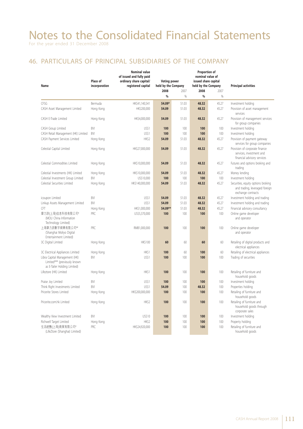#### 46. PARTICULARS OF PRINCIPAL SUBSIDIARIES OF THE COMPANY

| <b>Nominal value</b><br>of issued and fully paid<br>Place of<br>ordinary share capital/<br><b>Voting power</b><br>registered capital<br>held by the Company<br>Name<br>incorporation |            |                 | Proportion of<br>nominal value of<br>issued share capital<br>held by the Company |       | <b>Principal activities</b> |       |                                                                                            |
|--------------------------------------------------------------------------------------------------------------------------------------------------------------------------------------|------------|-----------------|----------------------------------------------------------------------------------|-------|-----------------------------|-------|--------------------------------------------------------------------------------------------|
|                                                                                                                                                                                      |            |                 | 2008                                                                             | 2007  | 2008                        | 2007  |                                                                                            |
|                                                                                                                                                                                      |            |                 | %                                                                                | %     | %                           | %     |                                                                                            |
| CFSG                                                                                                                                                                                 | Bermuda    | HK\$41,140,541  | 54.09*                                                                           | 51.03 | 48.32                       | 45.27 | Investment holding                                                                         |
| CASH Asset Management Limited                                                                                                                                                        | Hong Kong  | HK\$200,000     | 54.09                                                                            | 51.03 | 48.32                       | 45.27 | Provision of asset management<br>services                                                  |
| CASH E-Trade Limited                                                                                                                                                                 | Hong Kong  | HK\$4,000,000   | 54.09                                                                            | 51.03 | 48.32                       | 45.27 | Provision of management services<br>for group companies                                    |
| CASH Group Limited                                                                                                                                                                   | <b>BVI</b> | US\$1           | 100                                                                              | 100   | 100                         | 100   | Investment holding                                                                         |
| CASH Retail Management (HK) Limited                                                                                                                                                  | BVI        | US\$1           | 100                                                                              | 100   | 100                         | 100   | Investment holding                                                                         |
| CASH Payment Services Limited                                                                                                                                                        | Hong Kong  | HK\$2           | 54.09                                                                            | 51.03 | 48.32                       | 45.27 | Provision of payment gateway<br>services for group companies                               |
| Celestial Capital Limited                                                                                                                                                            | Hong Kong  | HK\$27,000,000  | 54.09                                                                            | 51.03 | 48.32                       | 45.27 | Provision of corporate finance<br>services, investment and<br>financial advisory services  |
| Celestial Commodities Limited                                                                                                                                                        | Hong Kong  | HK\$10,000,000  | 54.09                                                                            | 51.03 | 48.32                       | 45.27 | Futures and options broking and<br>trading                                                 |
| Celestial Investments (HK) Limited                                                                                                                                                   | Hong Kong  | HK\$10,000,000  | 54.09                                                                            | 51.03 | 48.32                       | 45.27 | Money lending                                                                              |
| Celestial Investment Group Limited                                                                                                                                                   | BVI        | US\$10,000      | 100                                                                              | 100   | 100                         | 100   | Investment holding                                                                         |
| Celestial Securities Limited                                                                                                                                                         | Hong Kong  | HK\$140,000,000 | 54.09                                                                            | 51.03 | 48.32                       | 45.27 | Securities, equity options broking<br>and trading, leveraged foreign<br>exchange contracts |
| icoupon Limited                                                                                                                                                                      | <b>BVI</b> | US\$1           | 54.09                                                                            | 51.03 | 48.32                       | 45.27 | Investment holding and trading                                                             |
| Linkup Assets Management Limited                                                                                                                                                     | BVI        | US\$1           | 54.09                                                                            | 51.03 | 48.32                       | 45.27 | Investment holding and trading                                                             |
| <b>CFT</b>                                                                                                                                                                           | Hong Kong  | HK\$1,000,000   | 54.09**                                                                          | 51.03 | 48.32                       | 45.27 | Financial advisory consultancy                                                             |
| 摩力游(上海)信息科技有限公司#<br>(MOLI China Information<br>Technology Limited)                                                                                                                   | PRC        | US\$5,370,000   | 100                                                                              | 100   | 100                         | 100   | Online game developer<br>and operator                                                      |
| 上海摩力游數字娛樂有限公司##<br>(Shanghai Moliyo Digital<br>Entertainment Limited)                                                                                                                | PRC        | RMB1,000,000    | 100                                                                              | 100   | 100                         | 100   | Online game developer<br>and operator                                                      |
| 3C Digital Limited                                                                                                                                                                   | Hong Kong  | <b>HK\$100</b>  | 60                                                                               | 60    | 60                          | 60    | Retailing of digital products and<br>electrical appliances                                 |
| 3C Electrical Appliances Limited                                                                                                                                                     | Hong Kong  | HK\$1           | 100                                                                              | 60    | 100                         | 60    | Retailing of electrical appliances                                                         |
| Libra Capital Management (HK)<br>Limited*** (previously known<br>as E-Tailer Holding Limited)                                                                                        | <b>BVI</b> | US\$1           | 100                                                                              | 100   | 100                         | 100   | Trading of securities                                                                      |
| Lifeztore (HK) Limited                                                                                                                                                               | Hong Kong  | HK\$1           | 100                                                                              | 100   | 100                         | 100   | Retailing of furniture and<br>household goods                                              |
| Praise Joy Limited                                                                                                                                                                   | BVI        | US\$1           | 100                                                                              | 100   | 100                         | 100   | Investment holding                                                                         |
| Think Right Investments Limited                                                                                                                                                      | BVI        | US\$1           | 54.09                                                                            | 100   | 48.32                       | 100   | Properties holding                                                                         |
| Pricerite Stores Limited                                                                                                                                                             | Hong Kong  | HK\$200,000,000 | 100                                                                              | 100   | 100                         | 100   | Retailing of furniture and<br>household goods                                              |
| Pricerite.com.hk Limited                                                                                                                                                             | Hong Kong  | HK\$2           | 100                                                                              | 100   | 100                         | 100   | Retailing of furniture and<br>household goods through<br>corporate sales                   |
| Wealthy View Investment Limited                                                                                                                                                      | BVI        | US\$10          | 100                                                                              | 100   | 100                         | 100   | Investment holding                                                                         |
| Richwell Target Limited                                                                                                                                                              | Hong Kong  | HK\$2           | 100                                                                              | 100   | 100                         | 100   | Property holding                                                                           |
| 生活經艷(上海)商貿有限公司#<br>(LifeZtore (Shanghai) Limited)                                                                                                                                    | PRC        | HK\$24,920,000  | 100                                                                              | 100   | 100                         | 100   | Retailing of furniture and<br>household goods                                              |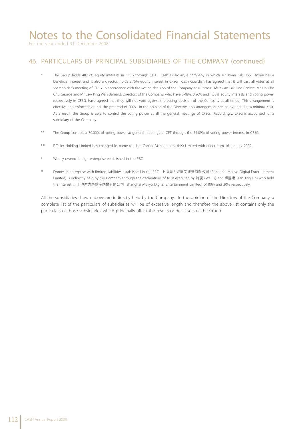For the year ended 31 December 2008

### 46. PARTICULARS OF PRINCIPAL SUBSIDIARIES OF THE COMPANY (continued)

- The Group holds 48.32% equity interests in CFSG through CIGL. Cash Guardian, a company in which Mr Kwan Pak Hoo Bankee has a beneficial interest and is also a director, holds 2.75% equity interest in CFSG. Cash Guardian has agreed that it will cast all votes at all shareholder's meeting of CFSG, in accordance with the voting decision of the Company at all times. Mr Kwan Pak Hoo Bankee, Mr Lin Che Chu George and Mr Law Ping Wah Bernard, Directors of the Company, who have 0.48%, 0.96% and 1.58% equity interests and voting power respectively in CFSG, have agreed that they will not vote against the voting decision of the Company at all times. This arrangement is effective and enforceable until the year end of 2009. In the opinion of the Directors, this arrangement can be extended at a minimal cost. As a result, the Group is able to control the voting power at all the general meetings of CFSG. Accordingly, CFSG is accounted for a subsidiary of the Company.
- \*\* The Group controls a 70.00% of voting power at general meetings of CFT through the 54.09% of voting power interest in CFSG.
- \*\*\* E-Tailer Holding Limited has changed its name to Libra Capital Management (HK) Limited with effect from 16 January 2009.
- # Wholly-owned foreign enterprise established in the PRC.
- ## Domestic enterprise with limited liabilities established in the PRC. 上海摩力游數字娛樂有限公司 (Shanghai Moliyo Digital Entertainment Limited) is indirectly held by the Company through the declarations of trust executed by 魏麗 (Wei Li) and 譚靜琳 (Tan Jing Lin) who hold the interest in 上海摩力游數字娛樂有限公司 (Shanghai Moliyo Digital Entertainment Limited) of 80% and 20% respectively.

All the subsidiaries shown above are indirectly held by the Company. In the opinion of the Directors of the Company, a complete list of the particulars of subsidiaries will be of excessive length and therefore the above list contains only the particulars of those subsidiaries which principally affect the results or net assets of the Group.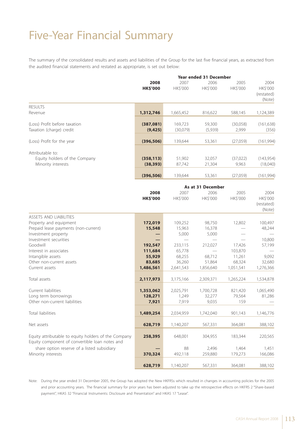### Five-Year Financial Summary

The summary of the consolidated results and assets and liabilities of the Group for the last five financial years, as extracted from the audited financial statements and restated as appropriate, is set out below:

|                                                                                                                                          |                                                     |                                                    | Year ended 31 December                                               |                                                    |                                          |
|------------------------------------------------------------------------------------------------------------------------------------------|-----------------------------------------------------|----------------------------------------------------|----------------------------------------------------------------------|----------------------------------------------------|------------------------------------------|
|                                                                                                                                          | 2008<br><b>HK\$'000</b>                             | 2007<br>HK\$'000                                   | 2006<br>HK\$'000                                                     | 2005<br>HK\$'000                                   | 2004<br>HK\$'000<br>(restated)<br>(Note) |
| <b>RESULTS</b><br>Revenue                                                                                                                | 1,312,746                                           | 1,665,452                                          | 816,622                                                              | 588,145                                            | 1,124,389                                |
| (Loss) Profit before taxation<br>Taxation (charge) credit                                                                                | (387,081)<br>(9, 425)                               | 169,723<br>(30,079)                                | 59,300<br>(5,939)                                                    | (30,058)<br>2,999                                  | (161, 638)<br>(356)                      |
| (Loss) Profit for the year                                                                                                               | (396, 506)                                          | 139,644                                            | 53,361                                                               | (27,059)                                           | (161, 994)                               |
| Attributable to:<br>Equity holders of the Company<br>Minority interests                                                                  | (358, 113)<br>(38, 393)                             | 51,902<br>87,742                                   | 32,057<br>21,304                                                     | (37,022)<br>9,963                                  | (143, 954)<br>(18,040)                   |
|                                                                                                                                          | (396, 506)                                          | 139,644                                            | 53,361                                                               | (27,059)                                           | (161, 994)                               |
|                                                                                                                                          | 2008<br><b>HK\$'000</b>                             | 2007<br>HK\$'000                                   | As at 31 December<br>2006<br>HK\$'000                                | 2005<br>HK\$'000                                   | 2004<br>HK\$'000<br>(restated)<br>(Note) |
| ASSETS AND LIABILITIES<br>Property and equipment<br>Prepaid lease payments (non-current)<br>Investment property<br>Investment securities | 172,019<br>15,548                                   | 109,252<br>15,963<br>5,000                         | 98,750<br>16,378<br>5,000                                            | 12,802                                             | 100,497<br>48,244<br>10,800              |
| Goodwill<br>Interest in associates<br>Intangible assets<br>Other non-current assets<br>Current assets                                    | 192,547<br>111,684<br>55,929<br>83,685<br>1,486,561 | 233,115<br>65,778<br>68,255<br>36,260<br>2,641,543 | 212,027<br>$\overline{\phantom{0}}$<br>68,712<br>51,864<br>1,856,640 | 17,426<br>103,870<br>11,261<br>68,324<br>1,051,541 | 57,199<br>9,092<br>32,680<br>1,276,366   |
| Total assets                                                                                                                             | 2,117,973                                           | 3,175,166                                          | 2,309,371                                                            | 1,265,224                                          | 1,534,878                                |
| Current liabilities<br>Long term borrowings<br>Other non-current liabilities                                                             | 1,353,062<br>128,271<br>7,921                       | 2,025,791<br>1,249<br>7,919                        | 1,700,728<br>32,277<br>9,035                                         | 821,420<br>79,564<br>159                           | 1,065,490<br>81,286                      |
| Total liabilities                                                                                                                        | 1,489,254                                           | 2,034,959                                          | 1,742,040                                                            | 901,143                                            | 1,146,776                                |
| Net assets                                                                                                                               | 628,719                                             | 1,140,207                                          | 567,331                                                              | 364,081                                            | 388,102                                  |
| Equity attributable to equity holders of the Company<br>Equity component of convertible loan notes and                                   | 258,395                                             | 648,001                                            | 304,955                                                              | 183,344                                            | 220,565                                  |
| share option reserve of a listed subsidiary<br>Minority interests                                                                        | 370,324                                             | 88<br>492,118                                      | 2,496<br>259,880                                                     | 1,464<br>179,273                                   | 1,451<br>166,086                         |
|                                                                                                                                          | 628,719                                             | 1,140,207                                          | 567,331                                                              | 364,081                                            | 388,102                                  |

Note: During the year ended 31 December 2005, the Group has adopted the New HKFRSs which resulted in changes in accounting policies for the 2005 and prior accounting years. The financial summary for prior years has been adjusted to take up the retrospective effects on HKFRS 2 "Share-based payment", HKAS 32 "Financial Instruments: Disclosure and Presentation" and HKAS 17 "Lease".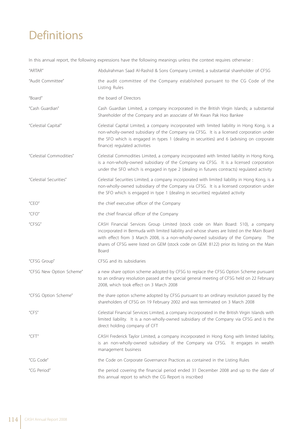# **Definitions**

In this annual report, the following expressions have the following meanings unless the context requires otherwise :

| "ARTAR"                                 | Abdulrahman Saad Al-Rashid & Sons Company Limited, a substantial shareholder of CFSG                                                                                                                                                                                                                                                                                          |
|-----------------------------------------|-------------------------------------------------------------------------------------------------------------------------------------------------------------------------------------------------------------------------------------------------------------------------------------------------------------------------------------------------------------------------------|
| "Audit Committee"                       | the audit committee of the Company established pursuant to the CG Code of the<br>Listing Rules                                                                                                                                                                                                                                                                                |
| "Board"                                 | the board of Directors                                                                                                                                                                                                                                                                                                                                                        |
| "Cash Guardian"                         | Cash Guardian Limited, a company incorporated in the British Virgin Islands; a substantial<br>Shareholder of the Company and an associate of Mr Kwan Pak Hoo Bankee                                                                                                                                                                                                           |
| "Celestial Capital"                     | Celestial Capital Limited, a company incorporated with limited liability in Hong Kong, is a<br>non-wholly-owned subsidiary of the Company via CFSG. It is a licensed corporation under<br>the SFO which is engaged in types 1 (dealing in securities) and 6 (advising on corporate<br>finance) regulated activities                                                           |
| "Celestial Commodities"                 | Celestial Commodities Limited, a company incorporated with limited liability in Hong Kong,<br>is a non-wholly-owned subsidiary of the Company via CFSG. It is a licensed corporation<br>under the SFO which is engaged in type 2 (dealing in futures contracts) regulated activity                                                                                            |
| "Celestial Securities"                  | Celestial Securities Limited, a company incorporated with limited liability in Hong Kong, is a<br>non-wholly-owned subsidiary of the Company via CFSG. It is a licensed corporation under<br>the SFO which is engaged in type 1 (dealing in securities) regulated activity                                                                                                    |
| "CEO"                                   | the chief executive officer of the Company                                                                                                                                                                                                                                                                                                                                    |
| $^{\prime\prime}$ CFO $^{\prime\prime}$ | the chief financial officer of the Company                                                                                                                                                                                                                                                                                                                                    |
| "CFSG"                                  | CASH Financial Services Group Limited (stock code on Main Board: 510), a company<br>incorporated in Bermuda with limited liability and whose shares are listed on the Main Board<br>with effect from 3 March 2008, is a non-wholly-owned subsidiary of the Company. The<br>shares of CFSG were listed on GEM (stock code on GEM: 8122) prior its listing on the Main<br>Board |
| "CFSG Group"                            | CFSG and its subsidiaries                                                                                                                                                                                                                                                                                                                                                     |
| "CFSG New Option Scheme"                | a new share option scheme adopted by CFSG to replace the CFSG Option Scheme pursuant<br>to an ordinary resolution passed at the special general meeting of CFSG held on 22 February<br>2008, which took effect on 3 March 2008                                                                                                                                                |
| "CFSG Option Scheme"                    | the share option scheme adopted by CFSG pursuant to an ordinary resolution passed by the<br>shareholders of CFSG on 19 February 2002 and was terminated on 3 March 2008                                                                                                                                                                                                       |
| "CFS"                                   | Celestial Financial Services Limited, a company incorporated in the British Virgin Islands with<br>limited liability. It is a non-wholly-owned subsidiary of the Company via CFSG and is the<br>direct holding company of CFT                                                                                                                                                 |
| $^{\prime\prime}$ CFT $^{\prime\prime}$ | CASH Frederick Taylor Limited, a company incorporated in Hong Kong with limited liability,<br>is an non-wholly-owned subsidiary of the Company via CFSG. It engages in wealth<br>management business                                                                                                                                                                          |
| "CG Code"                               | the Code on Corporate Governance Practices as contained in the Listing Rules                                                                                                                                                                                                                                                                                                  |
| "CG Period"                             | the period covering the financial period ended 31 December 2008 and up to the date of<br>this annual report to which the CG Report is inscribed                                                                                                                                                                                                                               |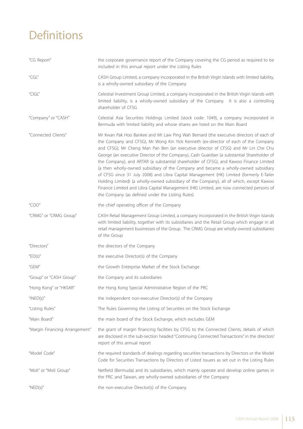# **Definitions**

| "CG Report"                             | the corporate governance report of the Company covering the CG period as required to be<br>included in this annual report under the Listing Rules                                                                                                                                                                                                                                                                                                                                                                                                                                                                                                                                                                                                                                                                                                                                        |
|-----------------------------------------|------------------------------------------------------------------------------------------------------------------------------------------------------------------------------------------------------------------------------------------------------------------------------------------------------------------------------------------------------------------------------------------------------------------------------------------------------------------------------------------------------------------------------------------------------------------------------------------------------------------------------------------------------------------------------------------------------------------------------------------------------------------------------------------------------------------------------------------------------------------------------------------|
| $^{\prime\prime}$ CGL $^{\prime\prime}$ | CASH Group Limited, a company incorporated in the British Virgin Islands with limited liability,<br>is a wholly-owned subsidiary of the Company                                                                                                                                                                                                                                                                                                                                                                                                                                                                                                                                                                                                                                                                                                                                          |
| "CIGL"                                  | Celestial Investment Group Limited, a company incorporated in the British Virgin Islands with<br>limited liability, is a wholly-owned subsidiary of the Company. It is also a controlling<br>shareholder of CFSG                                                                                                                                                                                                                                                                                                                                                                                                                                                                                                                                                                                                                                                                         |
| "Company" or "CASH"                     | Celestial Asia Securities Holdings Limited (stock code: 1049), a company incorporated in<br>Bermuda with limited liability and whose shares are listed on the Main Board                                                                                                                                                                                                                                                                                                                                                                                                                                                                                                                                                                                                                                                                                                                 |
| "Connected Clients"                     | Mr Kwan Pak Hoo Bankee and Mr Law Ping Wah Bernard (the executive directors of each of<br>the Company and CFSG), Mr Wong Kin Yick Kenneth (ex-director of each of the Company<br>and CFSG), Mr Cheng Man Pan Ben (an executive director of CFSG) and Mr Lin Che Chu<br>George (an executive Director of the Company), Cash Guardian (a substantial Shareholder of<br>the Company), and ARTAR (a substantial shareholder of CFSG), and Kawoo Finance Limited<br>(a then wholly-owned subsidiary of the Company and became a wholly-owned subsidiary<br>of CFSG since 31 July 2008) and Libra Capital Management (HK) Limited (formerly E-Tailer<br>Holding Limited) (a wholly-owned subsidiary of the Company), all of which, except Kawoo<br>Finance Limited and Libra Capital Management (HK) Limited, are now connected persons of<br>the Company (as defined under the Listing Rules) |
| "COO"                                   | the chief operating officer of the Company                                                                                                                                                                                                                                                                                                                                                                                                                                                                                                                                                                                                                                                                                                                                                                                                                                               |
| "CRMG" or "CRMG Group"                  | CASH Retail Management Group Limited, a company incorporated in the British Virgin Islands<br>with limited liability, together with its subsidiaries and the Retail Group which engage in all<br>retail management businesses of the Group. The CRMG Group are wholly-owned subsidiaries<br>of the Group                                                                                                                                                                                                                                                                                                                                                                                                                                                                                                                                                                                 |
| "Directors"                             | the directors of the Company                                                                                                                                                                                                                                                                                                                                                                                                                                                                                                                                                                                                                                                                                                                                                                                                                                                             |
| "ED(s)"                                 | the executive Director(s) of the Company                                                                                                                                                                                                                                                                                                                                                                                                                                                                                                                                                                                                                                                                                                                                                                                                                                                 |
| "GEM"                                   | the Growth Enterprise Market of the Stock Exchange                                                                                                                                                                                                                                                                                                                                                                                                                                                                                                                                                                                                                                                                                                                                                                                                                                       |
| "Group" or "CASH Group"                 | the Company and its subsidiaries                                                                                                                                                                                                                                                                                                                                                                                                                                                                                                                                                                                                                                                                                                                                                                                                                                                         |
| "Hong Kong" or "HKSAR"                  | the Hong Kong Special Administrative Region of the PRC                                                                                                                                                                                                                                                                                                                                                                                                                                                                                                                                                                                                                                                                                                                                                                                                                                   |
| " $INED(s)$ "                           | the independent non-executive Director(s) of the Company                                                                                                                                                                                                                                                                                                                                                                                                                                                                                                                                                                                                                                                                                                                                                                                                                                 |
| "Listing Rules"                         | The Rules Governing the Listing of Securities on the Stock Exchange                                                                                                                                                                                                                                                                                                                                                                                                                                                                                                                                                                                                                                                                                                                                                                                                                      |
| "Main Board"                            | the main board of the Stock Exchange, which excludes GEM                                                                                                                                                                                                                                                                                                                                                                                                                                                                                                                                                                                                                                                                                                                                                                                                                                 |
| "Margin Financing Arrangement"          | the grant of margin financing facilities by CFSG to the Connected Clients, details of which<br>are disclosed in the sub-section headed "Continuing Connected Transactions" in the directors'<br>report of this annual report                                                                                                                                                                                                                                                                                                                                                                                                                                                                                                                                                                                                                                                             |
| "Model Code"                            | the required standards of dealings regarding securities transactions by Directors or the Model<br>Code for Securities Transactions by Directors of Listed Issuers as set out in the Listing Rules                                                                                                                                                                                                                                                                                                                                                                                                                                                                                                                                                                                                                                                                                        |
| "Moli" or "Moli Group"                  | Netfield (Bermuda) and its subsidiaries, which mainly operate and develop online games in<br>the PRC and Taiwan, are wholly-owned subsidiaries of the Company                                                                                                                                                                                                                                                                                                                                                                                                                                                                                                                                                                                                                                                                                                                            |
| " $NED(s)$ "                            | the non-executive Director(s) of the Company                                                                                                                                                                                                                                                                                                                                                                                                                                                                                                                                                                                                                                                                                                                                                                                                                                             |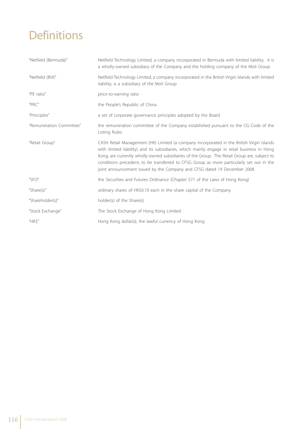# **Definitions**

| "Netfield (Bermuda)"     | Netfield Technology Limited, a company incorporated in Bermuda with limited liability. It is<br>a wholly-owned subsidiary of the Company and the holding company of the Moli Group                                                                                                                                                                                                                                                                                 |
|--------------------------|--------------------------------------------------------------------------------------------------------------------------------------------------------------------------------------------------------------------------------------------------------------------------------------------------------------------------------------------------------------------------------------------------------------------------------------------------------------------|
| "Netfield (BVI)"         | Netfield Technology Limited, a company incorporated in the British Virgin Islands with limited<br>liability, is a subsidiary of the Moli Group                                                                                                                                                                                                                                                                                                                     |
| "PE ratio"               | price-to-earning ratio                                                                                                                                                                                                                                                                                                                                                                                                                                             |
| "PRC"                    | the People's Republic of China                                                                                                                                                                                                                                                                                                                                                                                                                                     |
| "Principles"             | a set of corporate governance principles adopted by the Board                                                                                                                                                                                                                                                                                                                                                                                                      |
| "Remuneration Committee" | the remuneration committee of the Company established pursuant to the CG Code of the<br>Listing Rules                                                                                                                                                                                                                                                                                                                                                              |
| "Retail Group"           | CASH Retail Management (HK) Limited (a company incorporated in the British Virgin Islands<br>with limited liability) and its subsidiaries, which mainly engage in retail business in Hong<br>Kong, are currently wholly-owned subsidiaries of the Group. The Retail Group are, subject to<br>conditions precedent, to be transferred to CFSG Group as more particularly set out in the<br>joint announcement issued by the Company and CFSG dated 19 December 2008 |
| "SFO"                    | the Securities and Futures Ordinance (Chapter 571 of the Laws of Hong Kong)                                                                                                                                                                                                                                                                                                                                                                                        |
| "Share $(s)$ "           | ordinary shares of HK\$0.10 each in the share capital of the Company                                                                                                                                                                                                                                                                                                                                                                                               |
| "Shareholder(s)"         | holder(s) of the Share(s)                                                                                                                                                                                                                                                                                                                                                                                                                                          |
| "Stock Exchange"         | The Stock Exchange of Hong Kong Limited                                                                                                                                                                                                                                                                                                                                                                                                                            |
| HKS''                    | Hong Kong dollar(s), the lawful currency of Hong Kong                                                                                                                                                                                                                                                                                                                                                                                                              |